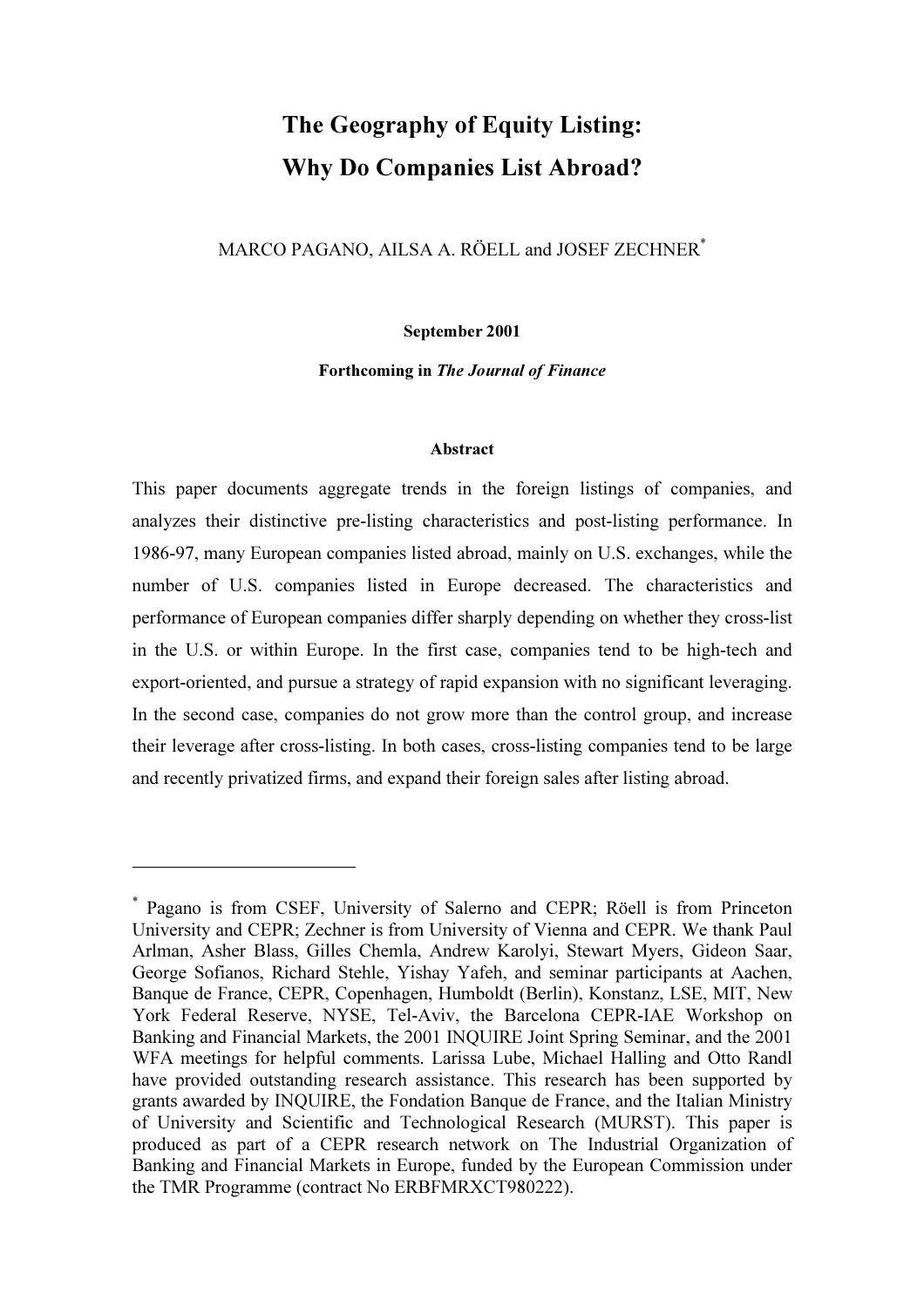# The Geography of Equity Listing: Why Do Companies List Abroad?

MARCO PAGANO, AILSA A. RÖELL and JOSEF ZECHNER\*

September 2001

Forthcoming in The Journal of Finance

#### **Abstract**

This paper documents aggregate trends in the foreign listings of companies, and analyzes their distinctive pre-listing characteristics and post-listing performance. In 1986-97, many European companies listed abroad, mainly on U.S. exchanges, while the number of U.S. companies listed in Europe decreased. The characteristics and performance of European companies differ sharply depending on whether they cross-list in the U.S. or within Europe. In the first case, companies tend to be high-tech and export-oriented, and pursue a strategy of rapid expansion with no significant leveraging. In the second case, companies do not grow more than the control group, and increase their leverage after cross-listing. In both cases, cross-listing companies tend to be large and recently privatized firms, and expand their foreign sales after listing abroad.

 $\overline{a}$ 

<sup>\*</sup> Pagano is from CSEF, University of Salerno and CEPR; Röell is from Princeton University and CEPR; Zechner is from University of Vienna and CEPR. We thank Paul Arlman, Asher Blass, Gilles Chemla, Andrew Karolyi, Stewart Myers, Gideon Saar, George Sofianos, Richard Stehle, Yishay Yafeh, and seminar participants at Aachen, Banque de France, CEPR, Copenhagen, Humboldt (Berlin), Konstanz, LSE, MIT, New York Federal Reserve, NYSE, Tel-Aviv, the Barcelona CEPR-IAE Workshop on Banking and Financial Markets, the 2001 INQUIRE Joint Spring Seminar, and the 2001 WFA meetings for helpful comments. Larissa Lube, Michael Halling and Otto Randl have provided outstanding research assistance. This research has been supported by grants awarded by INQUIRE, the Fondation Banque de France, and the Italian Ministry of University and Scientific and Technological Research (MURST). This paper is produced as part of a CEPR research network on The Industrial Organization of Banking and Financial Markets in Europe, funded by the European Commission under the TMR Programme (contract No ERBFMRXCT980222).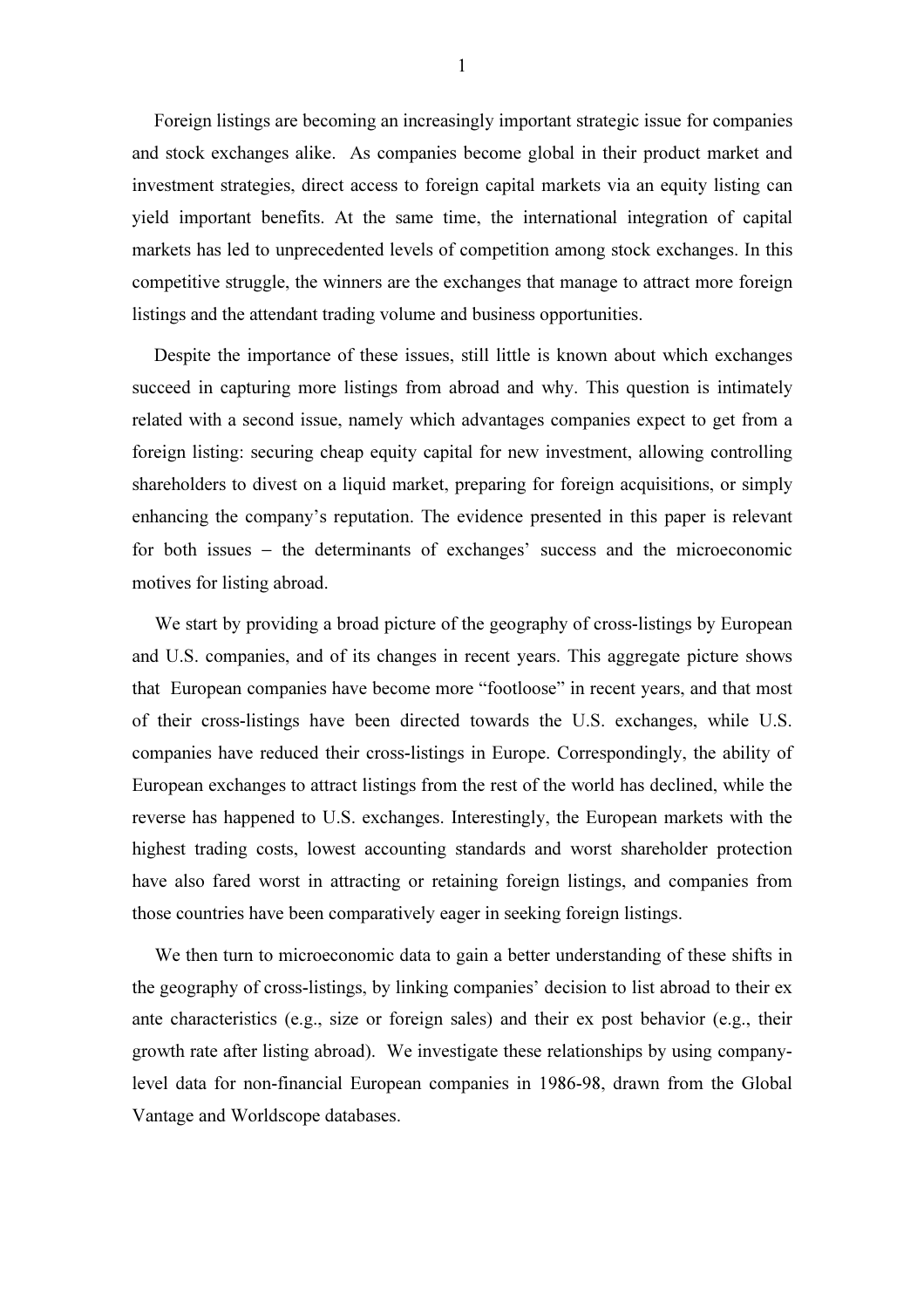Foreign listings are becoming an increasingly important strategic issue for companies and stock exchanges alike. As companies become global in their product market and investment strategies, direct access to foreign capital markets via an equity listing can yield important benefits. At the same time, the international integration of capital markets has led to unprecedented levels of competition among stock exchanges. In this competitive struggle, the winners are the exchanges that manage to attract more foreign listings and the attendant trading volume and business opportunities.

Despite the importance of these issues, still little is known about which exchanges succeed in capturing more listings from abroad and why. This question is intimately related with a second issue, namely which advantages companies expect to get from a foreign listing: securing cheap equity capital for new investment, allowing controlling shareholders to divest on a liquid market, preparing for foreign acquisitions, or simply enhancing the company's reputation. The evidence presented in this paper is relevant for both issues – the determinants of exchanges' success and the microeconomic motives for listing abroad.

We start by providing a broad picture of the geography of cross-listings by European and U.S. companies, and of its changes in recent years. This aggregate picture shows that European companies have become more "footloose" in recent years, and that most of their cross-listings have been directed towards the U.S. exchanges, while U.S. companies have reduced their cross-listings in Europe. Correspondingly, the ability of European exchanges to attract listings from the rest of the world has declined, while the reverse has happened to U.S. exchanges. Interestingly, the European markets with the highest trading costs, lowest accounting standards and worst shareholder protection have also fared worst in attracting or retaining foreign listings, and companies from those countries have been comparatively eager in seeking foreign listings.

We then turn to microeconomic data to gain a better understanding of these shifts in the geography of cross-listings, by linking companies' decision to list abroad to their ex ante characteristics (e.g., size or foreign sales) and their ex post behavior (e.g., their growth rate after listing abroad). We investigate these relationships by using companylevel data for non-financial European companies in 1986-98, drawn from the Global Vantage and Worldscope databases.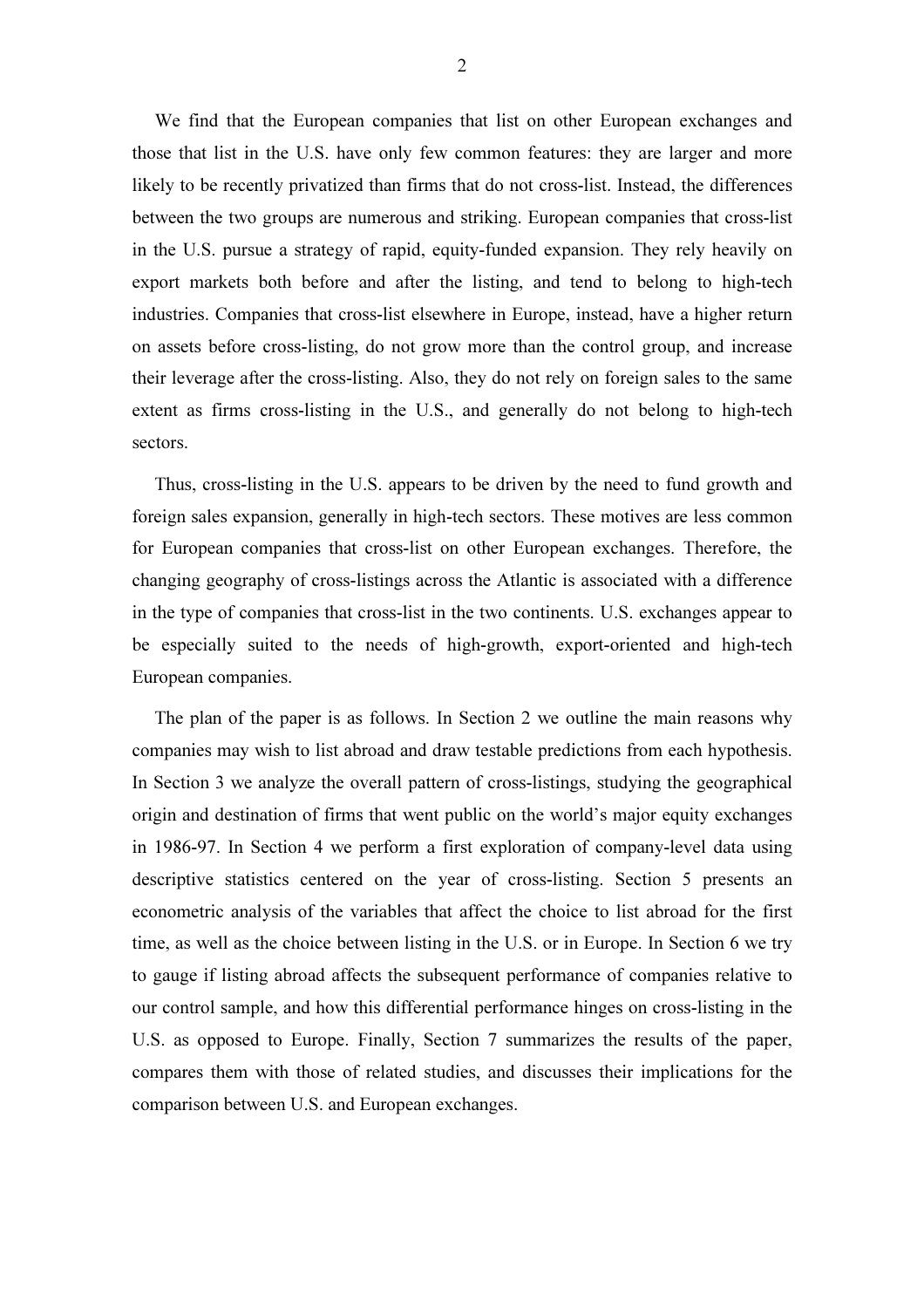We find that the European companies that list on other European exchanges and those that list in the U.S. have only few common features: they are larger and more likely to be recently privatized than firms that do not cross-list. Instead, the differences between the two groups are numerous and striking. European companies that cross-list in the U.S. pursue a strategy of rapid, equity-funded expansion. They rely heavily on export markets both before and after the listing, and tend to belong to high-tech industries. Companies that cross-list elsewhere in Europe, instead, have a higher return on assets before cross-listing, do not grow more than the control group, and increase their leverage after the cross-listing. Also, they do not rely on foreign sales to the same extent as firms cross-listing in the U.S., and generally do not belong to high-tech sectors.

Thus, cross-listing in the U.S. appears to be driven by the need to fund growth and foreign sales expansion, generally in high-tech sectors. These motives are less common for European companies that cross-list on other European exchanges. Therefore, the changing geography of cross-listings across the Atlantic is associated with a difference in the type of companies that cross-list in the two continents. U.S. exchanges appear to be especially suited to the needs of high-growth, export-oriented and high-tech European companies.

The plan of the paper is as follows. In Section 2 we outline the main reasons why companies may wish to list abroad and draw testable predictions from each hypothesis. In Section 3 we analyze the overall pattern of cross-listings, studying the geographical origin and destination of firms that went public on the world's major equity exchanges in 1986-97. In Section 4 we perform a first exploration of company-level data using descriptive statistics centered on the year of cross-listing. Section 5 presents an econometric analysis of the variables that affect the choice to list abroad for the first time, as well as the choice between listing in the U.S. or in Europe. In Section 6 we try to gauge if listing abroad affects the subsequent performance of companies relative to our control sample, and how this differential performance hinges on cross-listing in the U.S. as opposed to Europe. Finally, Section 7 summarizes the results of the paper, compares them with those of related studies, and discusses their implications for the comparison between U.S. and European exchanges.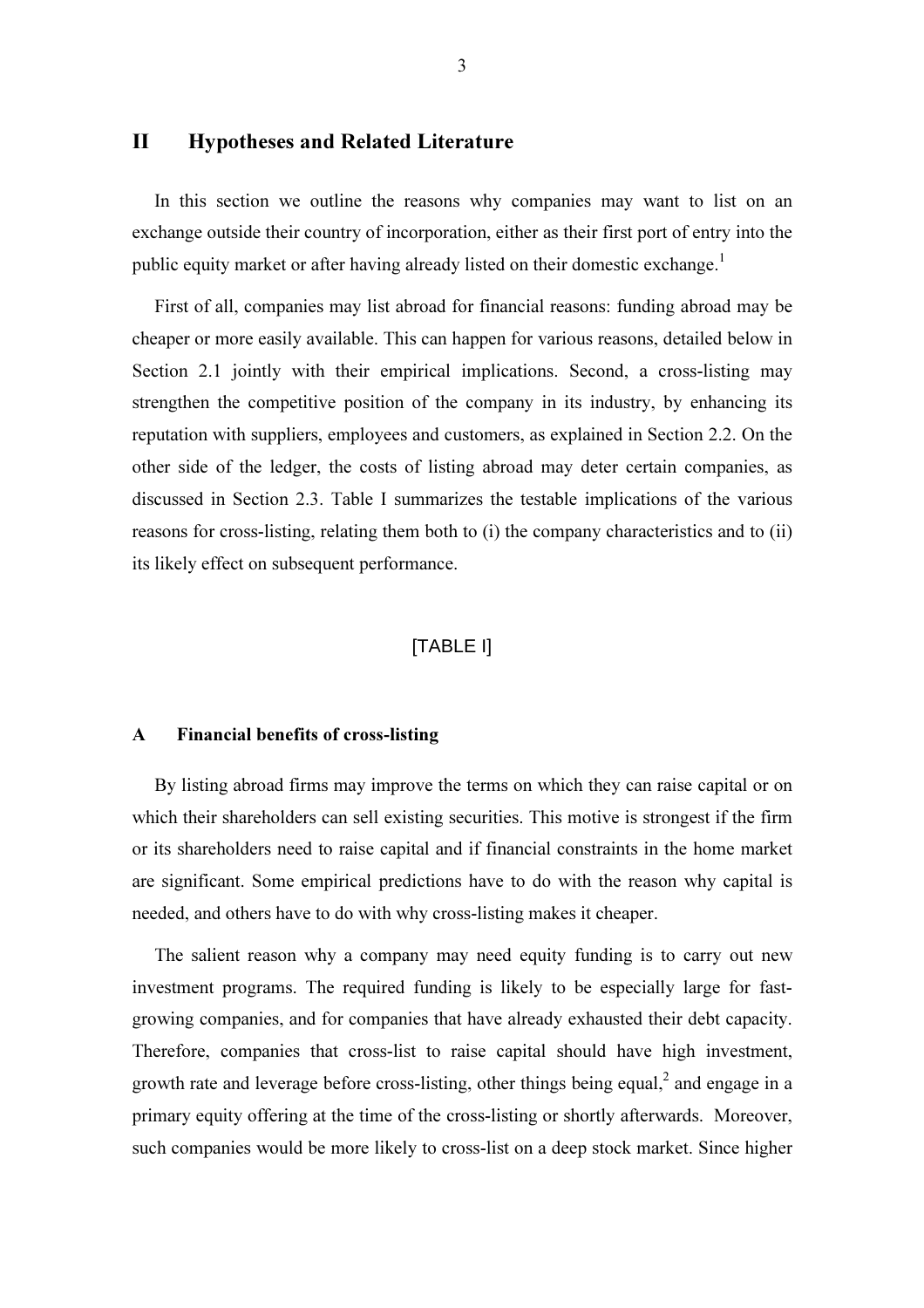### II Hypotheses and Related Literature

In this section we outline the reasons why companies may want to list on an exchange outside their country of incorporation, either as their first port of entry into the public equity market or after having already listed on their domestic exchange.<sup>1</sup>

First of all, companies may list abroad for financial reasons: funding abroad may be cheaper or more easily available. This can happen for various reasons, detailed below in Section 2.1 jointly with their empirical implications. Second, a cross-listing may strengthen the competitive position of the company in its industry, by enhancing its reputation with suppliers, employees and customers, as explained in Section 2.2. On the other side of the ledger, the costs of listing abroad may deter certain companies, as discussed in Section 2.3. Table I summarizes the testable implications of the various reasons for cross-listing, relating them both to (i) the company characteristics and to (ii) its likely effect on subsequent performance.

### [TABLE I]

### A Financial benefits of cross-listing

By listing abroad firms may improve the terms on which they can raise capital or on which their shareholders can sell existing securities. This motive is strongest if the firm or its shareholders need to raise capital and if financial constraints in the home market are significant. Some empirical predictions have to do with the reason why capital is needed, and others have to do with why cross-listing makes it cheaper.

The salient reason why a company may need equity funding is to carry out new investment programs. The required funding is likely to be especially large for fastgrowing companies, and for companies that have already exhausted their debt capacity. Therefore, companies that cross-list to raise capital should have high investment, growth rate and leverage before cross-listing, other things being equal, $<sup>2</sup>$  and engage in a</sup> primary equity offering at the time of the cross-listing or shortly afterwards. Moreover, such companies would be more likely to cross-list on a deep stock market. Since higher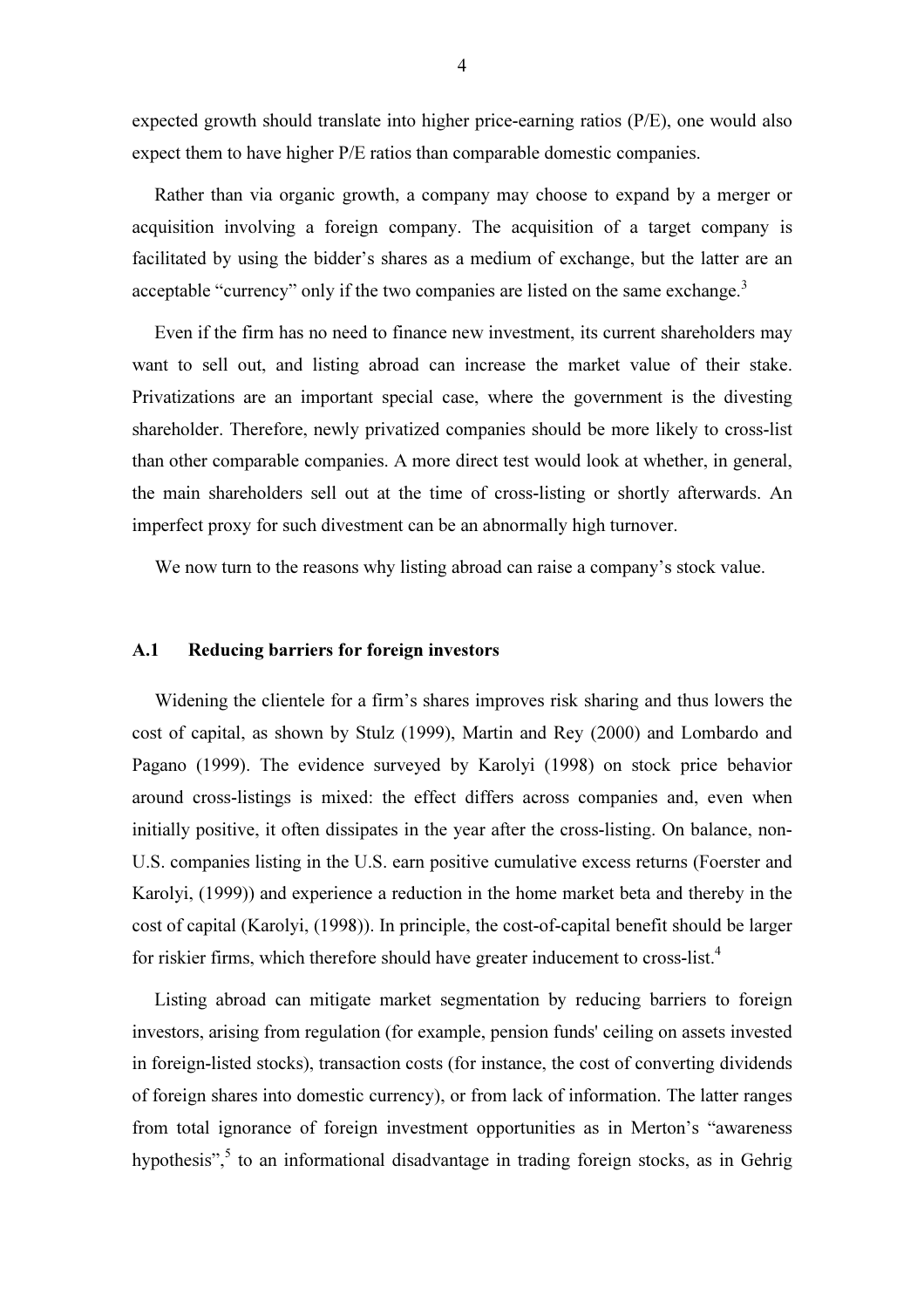expected growth should translate into higher price-earning ratios (P/E), one would also expect them to have higher P/E ratios than comparable domestic companies.

Rather than via organic growth, a company may choose to expand by a merger or acquisition involving a foreign company. The acquisition of a target company is facilitated by using the bidder's shares as a medium of exchange, but the latter are an acceptable "currency" only if the two companies are listed on the same exchange. $3$ 

Even if the firm has no need to finance new investment, its current shareholders may want to sell out, and listing abroad can increase the market value of their stake. Privatizations are an important special case, where the government is the divesting shareholder. Therefore, newly privatized companies should be more likely to cross-list than other comparable companies. A more direct test would look at whether, in general, the main shareholders sell out at the time of cross-listing or shortly afterwards. An imperfect proxy for such divestment can be an abnormally high turnover.

We now turn to the reasons why listing abroad can raise a company's stock value.

### A.1 Reducing barriers for foreign investors

Widening the clientele for a firm's shares improves risk sharing and thus lowers the cost of capital, as shown by Stulz (1999), Martin and Rey (2000) and Lombardo and Pagano (1999). The evidence surveyed by Karolyi (1998) on stock price behavior around cross-listings is mixed: the effect differs across companies and, even when initially positive, it often dissipates in the year after the cross-listing. On balance, non-U.S. companies listing in the U.S. earn positive cumulative excess returns (Foerster and Karolyi, (1999)) and experience a reduction in the home market beta and thereby in the cost of capital (Karolyi, (1998)). In principle, the cost-of-capital benefit should be larger for riskier firms, which therefore should have greater inducement to cross-list.<sup>4</sup>

Listing abroad can mitigate market segmentation by reducing barriers to foreign investors, arising from regulation (for example, pension funds' ceiling on assets invested in foreign-listed stocks), transaction costs (for instance, the cost of converting dividends of foreign shares into domestic currency), or from lack of information. The latter ranges from total ignorance of foreign investment opportunities as in Merton's "awareness hypothesis",<sup>5</sup> to an informational disadvantage in trading foreign stocks, as in Gehrig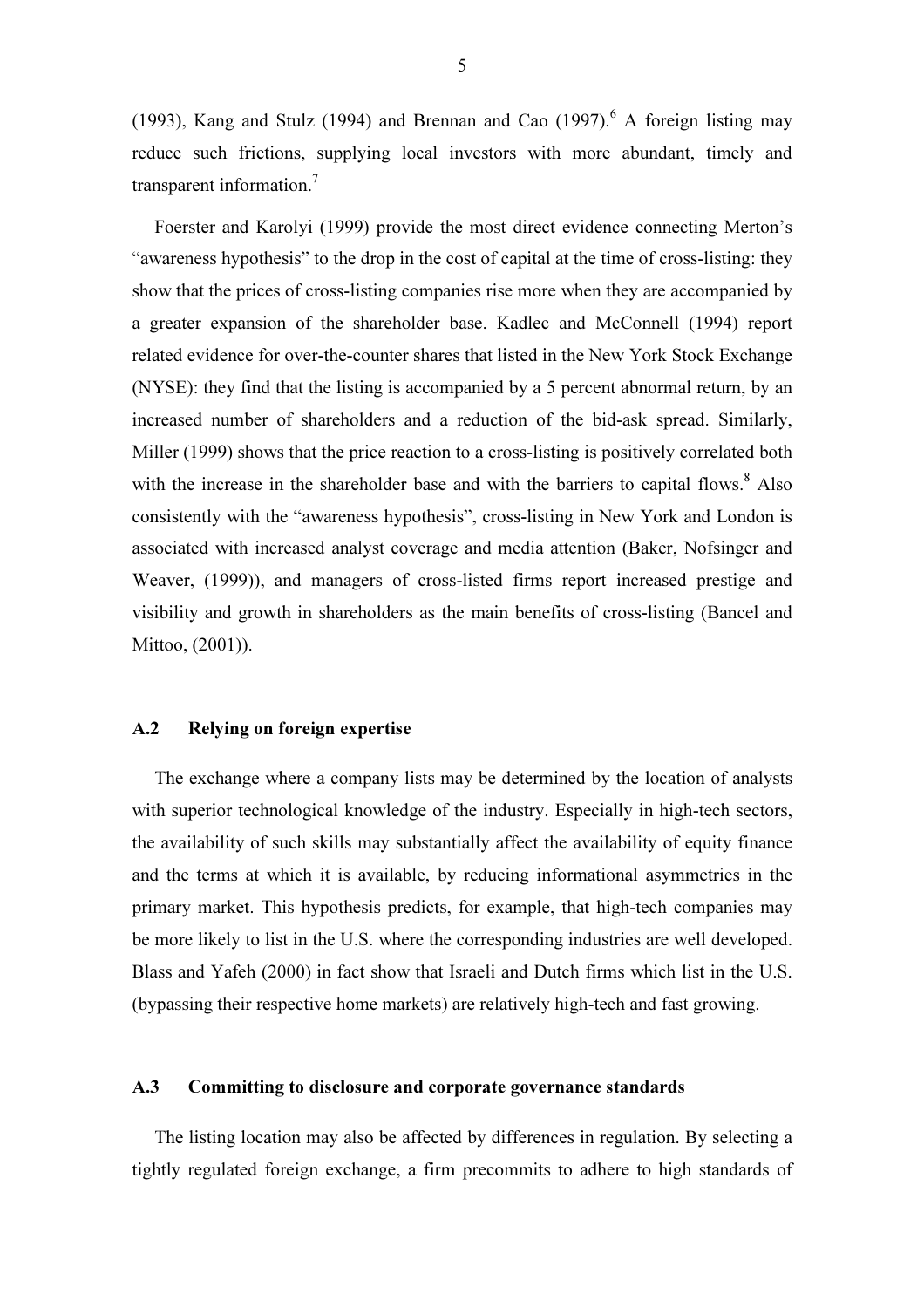(1993), Kang and Stulz (1994) and Brennan and Cao (1997). $^6$  A foreign listing may reduce such frictions, supplying local investors with more abundant, timely and transparent information.<sup>7</sup>

Foerster and Karolyi (1999) provide the most direct evidence connecting Merton's "awareness hypothesis" to the drop in the cost of capital at the time of cross-listing: they show that the prices of cross-listing companies rise more when they are accompanied by a greater expansion of the shareholder base. Kadlec and McConnell (1994) report related evidence for over-the-counter shares that listed in the New York Stock Exchange (NYSE): they find that the listing is accompanied by a 5 percent abnormal return, by an increased number of shareholders and a reduction of the bid-ask spread. Similarly, Miller (1999) shows that the price reaction to a cross-listing is positively correlated both with the increase in the shareholder base and with the barriers to capital flows. $8$  Also consistently with the "awareness hypothesis", cross-listing in New York and London is associated with increased analyst coverage and media attention (Baker, Nofsinger and Weaver, (1999)), and managers of cross-listed firms report increased prestige and visibility and growth in shareholders as the main benefits of cross-listing (Bancel and Mittoo, (2001)).

### A.2 Relying on foreign expertise

The exchange where a company lists may be determined by the location of analysts with superior technological knowledge of the industry. Especially in high-tech sectors, the availability of such skills may substantially affect the availability of equity finance and the terms at which it is available, by reducing informational asymmetries in the primary market. This hypothesis predicts, for example, that high-tech companies may be more likely to list in the U.S. where the corresponding industries are well developed. Blass and Yafeh (2000) in fact show that Israeli and Dutch firms which list in the U.S. (bypassing their respective home markets) are relatively high-tech and fast growing.

### A.3 Committing to disclosure and corporate governance standards

The listing location may also be affected by differences in regulation. By selecting a tightly regulated foreign exchange, a firm precommits to adhere to high standards of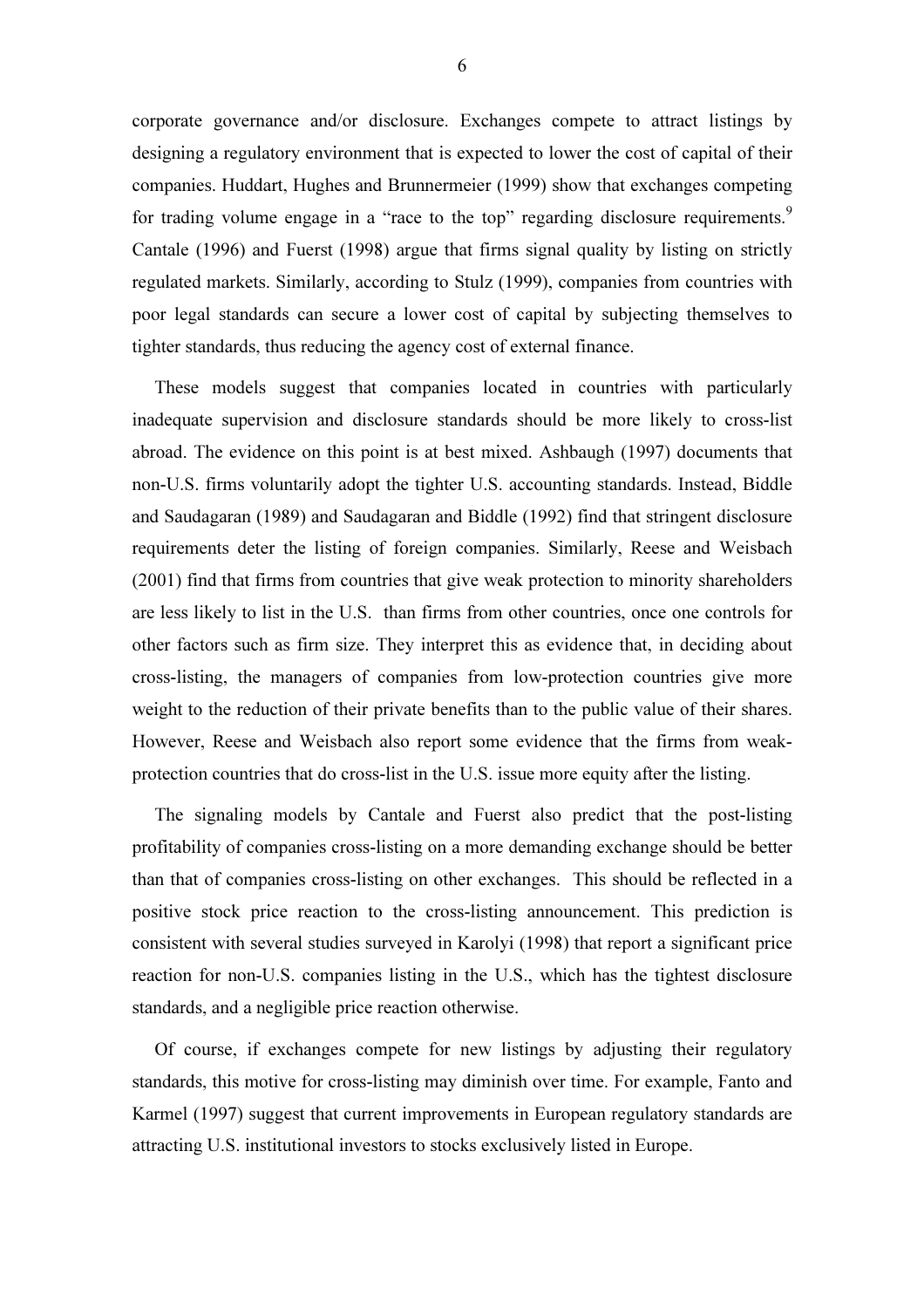corporate governance and/or disclosure. Exchanges compete to attract listings by designing a regulatory environment that is expected to lower the cost of capital of their companies. Huddart, Hughes and Brunnermeier (1999) show that exchanges competing for trading volume engage in a "race to the top" regarding disclosure requirements.<sup>9</sup> Cantale (1996) and Fuerst (1998) argue that firms signal quality by listing on strictly regulated markets. Similarly, according to Stulz (1999), companies from countries with poor legal standards can secure a lower cost of capital by subjecting themselves to tighter standards, thus reducing the agency cost of external finance.

These models suggest that companies located in countries with particularly inadequate supervision and disclosure standards should be more likely to cross-list abroad. The evidence on this point is at best mixed. Ashbaugh (1997) documents that non-U.S. firms voluntarily adopt the tighter U.S. accounting standards. Instead, Biddle and Saudagaran (1989) and Saudagaran and Biddle (1992) find that stringent disclosure requirements deter the listing of foreign companies. Similarly, Reese and Weisbach (2001) find that firms from countries that give weak protection to minority shareholders are less likely to list in the U.S. than firms from other countries, once one controls for other factors such as firm size. They interpret this as evidence that, in deciding about cross-listing, the managers of companies from low-protection countries give more weight to the reduction of their private benefits than to the public value of their shares. However, Reese and Weisbach also report some evidence that the firms from weakprotection countries that do cross-list in the U.S. issue more equity after the listing.

The signaling models by Cantale and Fuerst also predict that the post-listing profitability of companies cross-listing on a more demanding exchange should be better than that of companies cross-listing on other exchanges. This should be reflected in a positive stock price reaction to the cross-listing announcement. This prediction is consistent with several studies surveyed in Karolyi (1998) that report a significant price reaction for non-U.S. companies listing in the U.S., which has the tightest disclosure standards, and a negligible price reaction otherwise.

Of course, if exchanges compete for new listings by adjusting their regulatory standards, this motive for cross-listing may diminish over time. For example, Fanto and Karmel (1997) suggest that current improvements in European regulatory standards are attracting U.S. institutional investors to stocks exclusively listed in Europe.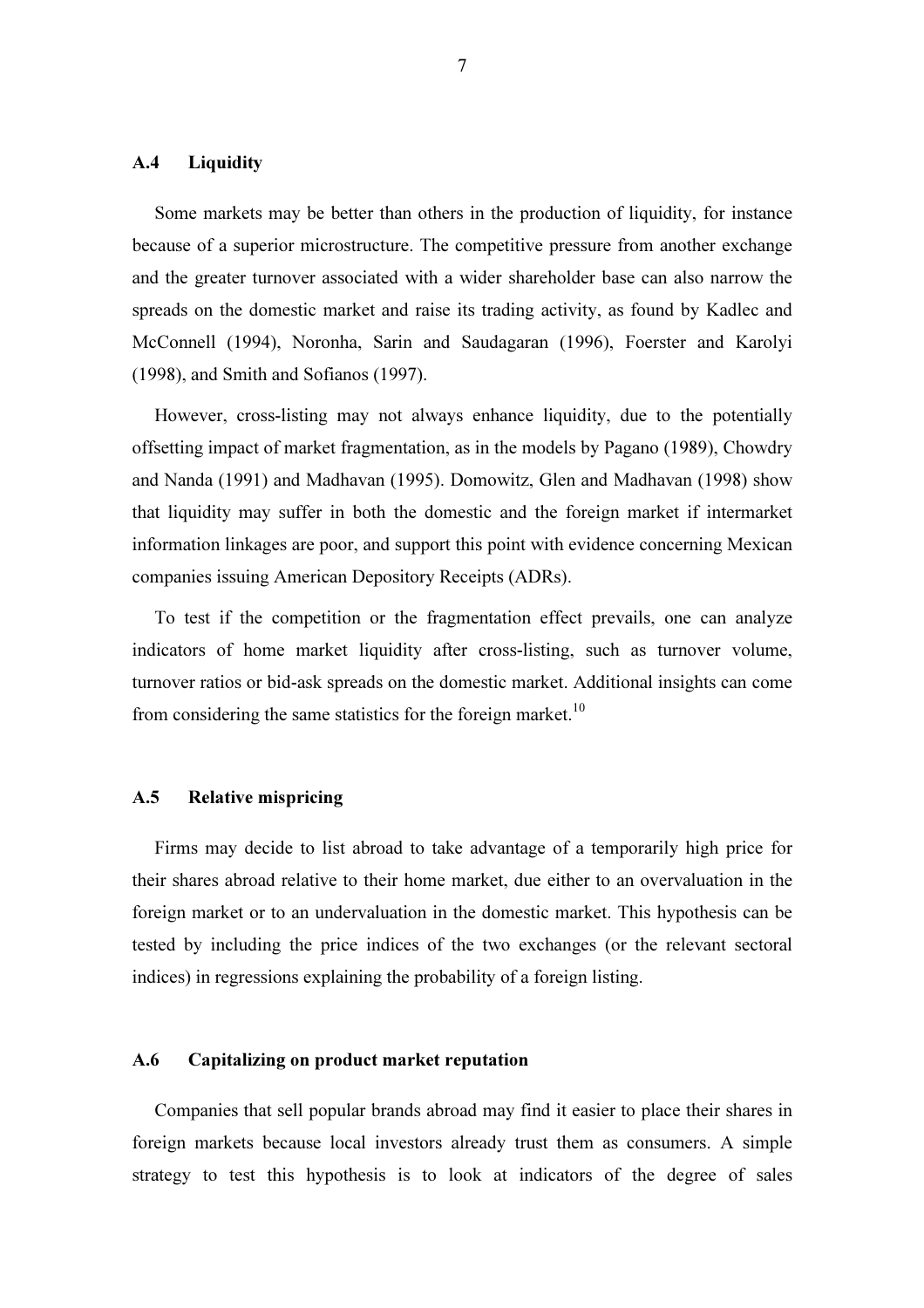### A.4 Liquidity

Some markets may be better than others in the production of liquidity, for instance because of a superior microstructure. The competitive pressure from another exchange and the greater turnover associated with a wider shareholder base can also narrow the spreads on the domestic market and raise its trading activity, as found by Kadlec and McConnell (1994), Noronha, Sarin and Saudagaran (1996), Foerster and Karolyi (1998), and Smith and Sofianos (1997).

However, cross-listing may not always enhance liquidity, due to the potentially offsetting impact of market fragmentation, as in the models by Pagano (1989), Chowdry and Nanda (1991) and Madhavan (1995). Domowitz, Glen and Madhavan (1998) show that liquidity may suffer in both the domestic and the foreign market if intermarket information linkages are poor, and support this point with evidence concerning Mexican companies issuing American Depository Receipts (ADRs).

To test if the competition or the fragmentation effect prevails, one can analyze indicators of home market liquidity after cross-listing, such as turnover volume, turnover ratios or bid-ask spreads on the domestic market. Additional insights can come from considering the same statistics for the foreign market.<sup>10</sup>

### A.5 Relative mispricing

Firms may decide to list abroad to take advantage of a temporarily high price for their shares abroad relative to their home market, due either to an overvaluation in the foreign market or to an undervaluation in the domestic market. This hypothesis can be tested by including the price indices of the two exchanges (or the relevant sectoral indices) in regressions explaining the probability of a foreign listing.

#### A.6 Capitalizing on product market reputation

Companies that sell popular brands abroad may find it easier to place their shares in foreign markets because local investors already trust them as consumers. A simple strategy to test this hypothesis is to look at indicators of the degree of sales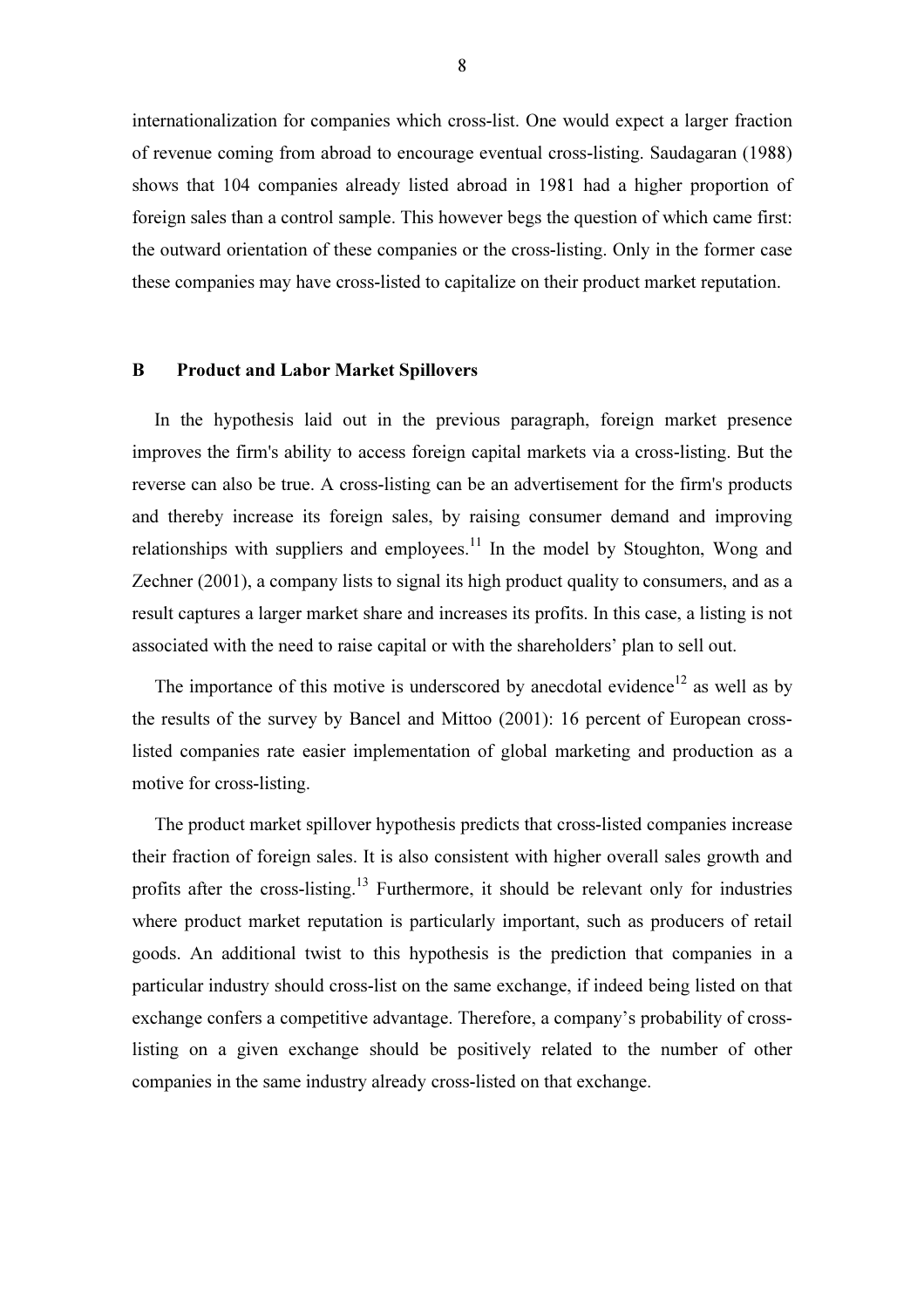internationalization for companies which cross-list. One would expect a larger fraction of revenue coming from abroad to encourage eventual cross-listing. Saudagaran (1988) shows that 104 companies already listed abroad in 1981 had a higher proportion of foreign sales than a control sample. This however begs the question of which came first: the outward orientation of these companies or the cross-listing. Only in the former case these companies may have cross-listed to capitalize on their product market reputation.

#### B Product and Labor Market Spillovers

In the hypothesis laid out in the previous paragraph, foreign market presence improves the firm's ability to access foreign capital markets via a cross-listing. But the reverse can also be true. A cross-listing can be an advertisement for the firm's products and thereby increase its foreign sales, by raising consumer demand and improving relationships with suppliers and employees.<sup>11</sup> In the model by Stoughton, Wong and Zechner (2001), a company lists to signal its high product quality to consumers, and as a result captures a larger market share and increases its profits. In this case, a listing is not associated with the need to raise capital or with the shareholders' plan to sell out.

The importance of this motive is underscored by anecdotal evidence<sup>12</sup> as well as by the results of the survey by Bancel and Mittoo (2001): 16 percent of European crosslisted companies rate easier implementation of global marketing and production as a motive for cross-listing.

The product market spillover hypothesis predicts that cross-listed companies increase their fraction of foreign sales. It is also consistent with higher overall sales growth and profits after the cross-listing.<sup>13</sup> Furthermore, it should be relevant only for industries where product market reputation is particularly important, such as producers of retail goods. An additional twist to this hypothesis is the prediction that companies in a particular industry should cross-list on the same exchange, if indeed being listed on that exchange confers a competitive advantage. Therefore, a company's probability of crosslisting on a given exchange should be positively related to the number of other companies in the same industry already cross-listed on that exchange.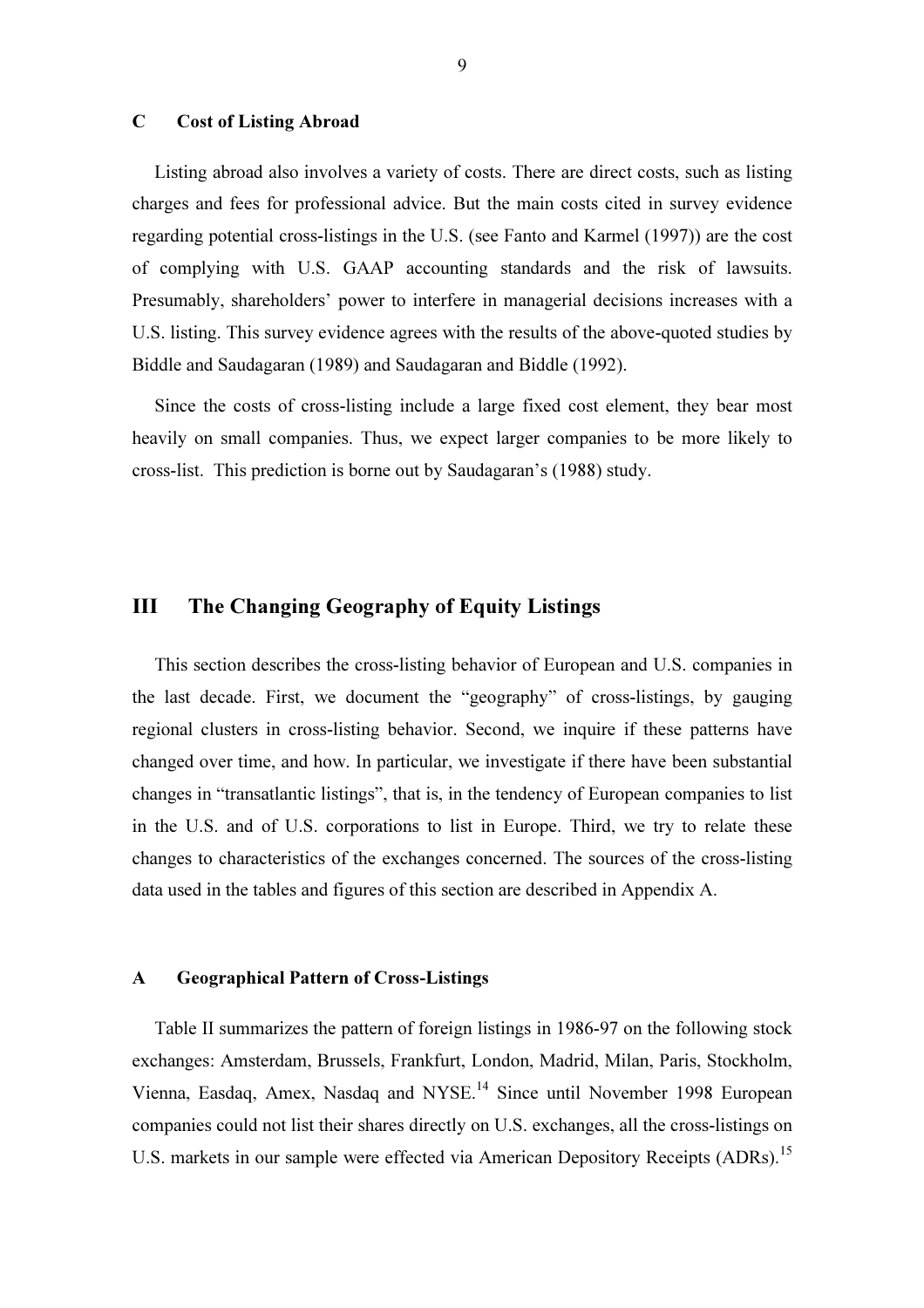### C Cost of Listing Abroad

Listing abroad also involves a variety of costs. There are direct costs, such as listing charges and fees for professional advice. But the main costs cited in survey evidence regarding potential cross-listings in the U.S. (see Fanto and Karmel (1997)) are the cost of complying with U.S. GAAP accounting standards and the risk of lawsuits. Presumably, shareholders' power to interfere in managerial decisions increases with a U.S. listing. This survey evidence agrees with the results of the above-quoted studies by Biddle and Saudagaran (1989) and Saudagaran and Biddle (1992).

Since the costs of cross-listing include a large fixed cost element, they bear most heavily on small companies. Thus, we expect larger companies to be more likely to cross-list. This prediction is borne out by Saudagaran's (1988) study.

# III The Changing Geography of Equity Listings

This section describes the cross-listing behavior of European and U.S. companies in the last decade. First, we document the "geography" of cross-listings, by gauging regional clusters in cross-listing behavior. Second, we inquire if these patterns have changed over time, and how. In particular, we investigate if there have been substantial changes in "transatlantic listings", that is, in the tendency of European companies to list in the U.S. and of U.S. corporations to list in Europe. Third, we try to relate these changes to characteristics of the exchanges concerned. The sources of the cross-listing data used in the tables and figures of this section are described in Appendix A.

### A Geographical Pattern of Cross-Listings

Table II summarizes the pattern of foreign listings in 1986-97 on the following stock exchanges: Amsterdam, Brussels, Frankfurt, London, Madrid, Milan, Paris, Stockholm, Vienna, Easdaq, Amex, Nasdaq and NYSE.<sup>14</sup> Since until November 1998 European companies could not list their shares directly on U.S. exchanges, all the cross-listings on U.S. markets in our sample were effected via American Depository Receipts (ADRs).<sup>15</sup>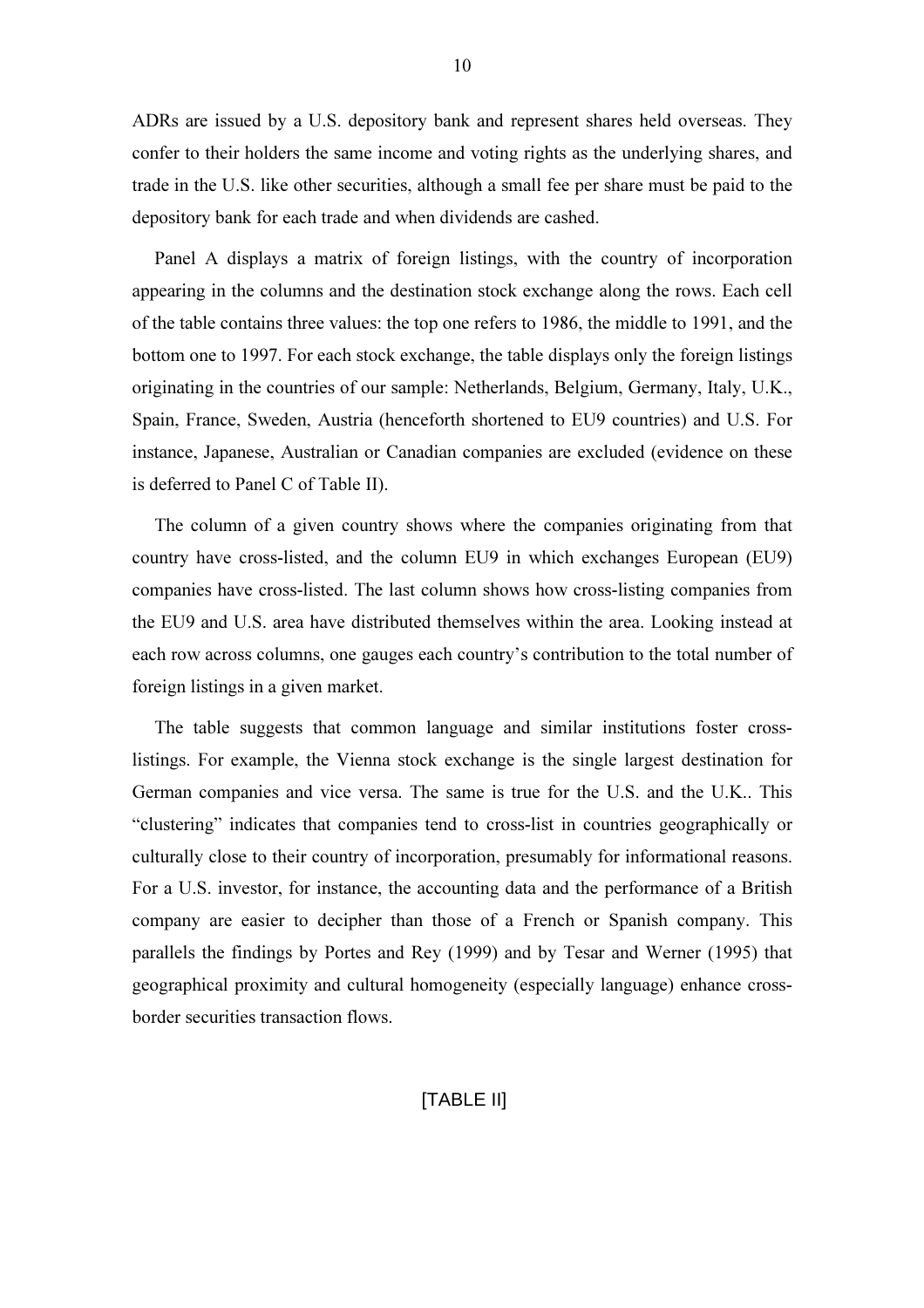ADRs are issued by a U.S. depository bank and represent shares held overseas. They confer to their holders the same income and voting rights as the underlying shares, and trade in the U.S. like other securities, although a small fee per share must be paid to the depository bank for each trade and when dividends are cashed.

Panel A displays a matrix of foreign listings, with the country of incorporation appearing in the columns and the destination stock exchange along the rows. Each cell of the table contains three values: the top one refers to 1986, the middle to 1991, and the bottom one to 1997. For each stock exchange, the table displays only the foreign listings originating in the countries of our sample: Netherlands, Belgium, Germany, Italy, U.K., Spain, France, Sweden, Austria (henceforth shortened to EU9 countries) and U.S. For instance, Japanese, Australian or Canadian companies are excluded (evidence on these is deferred to Panel C of Table II).

The column of a given country shows where the companies originating from that country have cross-listed, and the column EU9 in which exchanges European (EU9) companies have cross-listed. The last column shows how cross-listing companies from the EU9 and U.S. area have distributed themselves within the area. Looking instead at each row across columns, one gauges each country's contribution to the total number of foreign listings in a given market.

The table suggests that common language and similar institutions foster crosslistings. For example, the Vienna stock exchange is the single largest destination for German companies and vice versa. The same is true for the U.S. and the U.K.. This "clustering" indicates that companies tend to cross-list in countries geographically or culturally close to their country of incorporation, presumably for informational reasons. For a U.S. investor, for instance, the accounting data and the performance of a British company are easier to decipher than those of a French or Spanish company. This parallels the findings by Portes and Rey (1999) and by Tesar and Werner (1995) that geographical proximity and cultural homogeneity (especially language) enhance crossborder securities transaction flows.

# [TABLE II]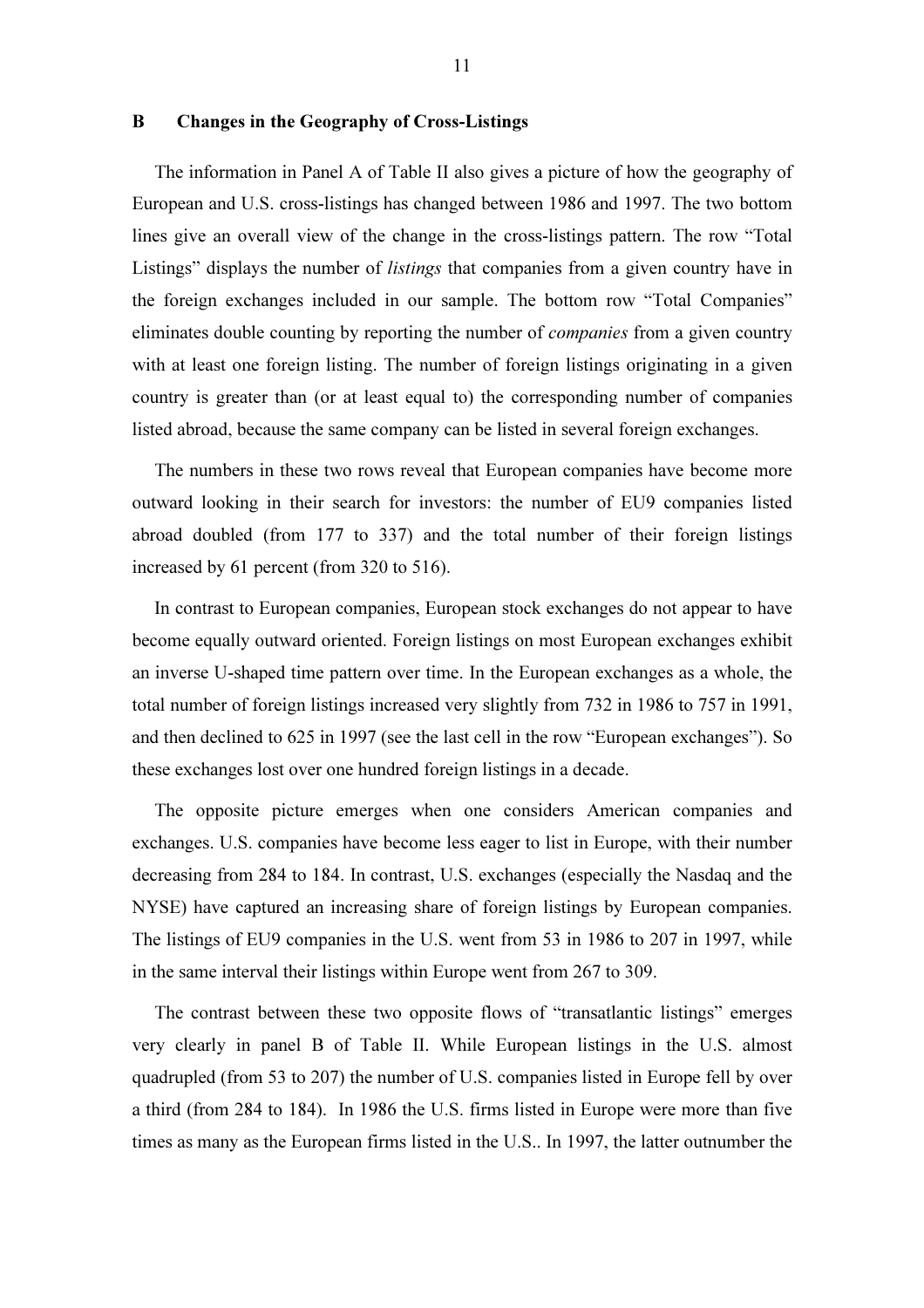### B Changes in the Geography of Cross-Listings

The information in Panel A of Table II also gives a picture of how the geography of European and U.S. cross-listings has changed between 1986 and 1997. The two bottom lines give an overall view of the change in the cross-listings pattern. The row "Total Listings" displays the number of listings that companies from a given country have in the foreign exchanges included in our sample. The bottom row "Total Companies" eliminates double counting by reporting the number of companies from a given country with at least one foreign listing. The number of foreign listings originating in a given country is greater than (or at least equal to) the corresponding number of companies listed abroad, because the same company can be listed in several foreign exchanges.

The numbers in these two rows reveal that European companies have become more outward looking in their search for investors: the number of EU9 companies listed abroad doubled (from 177 to 337) and the total number of their foreign listings increased by 61 percent (from 320 to 516).

In contrast to European companies, European stock exchanges do not appear to have become equally outward oriented. Foreign listings on most European exchanges exhibit an inverse U-shaped time pattern over time. In the European exchanges as a whole, the total number of foreign listings increased very slightly from 732 in 1986 to 757 in 1991, and then declined to 625 in 1997 (see the last cell in the row "European exchanges"). So these exchanges lost over one hundred foreign listings in a decade.

The opposite picture emerges when one considers American companies and exchanges. U.S. companies have become less eager to list in Europe, with their number decreasing from 284 to 184. In contrast, U.S. exchanges (especially the Nasdaq and the NYSE) have captured an increasing share of foreign listings by European companies. The listings of EU9 companies in the U.S. went from 53 in 1986 to 207 in 1997, while in the same interval their listings within Europe went from 267 to 309.

The contrast between these two opposite flows of "transatlantic listings" emerges very clearly in panel B of Table II. While European listings in the U.S. almost quadrupled (from 53 to 207) the number of U.S. companies listed in Europe fell by over a third (from 284 to 184). In 1986 the U.S. firms listed in Europe were more than five times as many as the European firms listed in the U.S.. In 1997, the latter outnumber the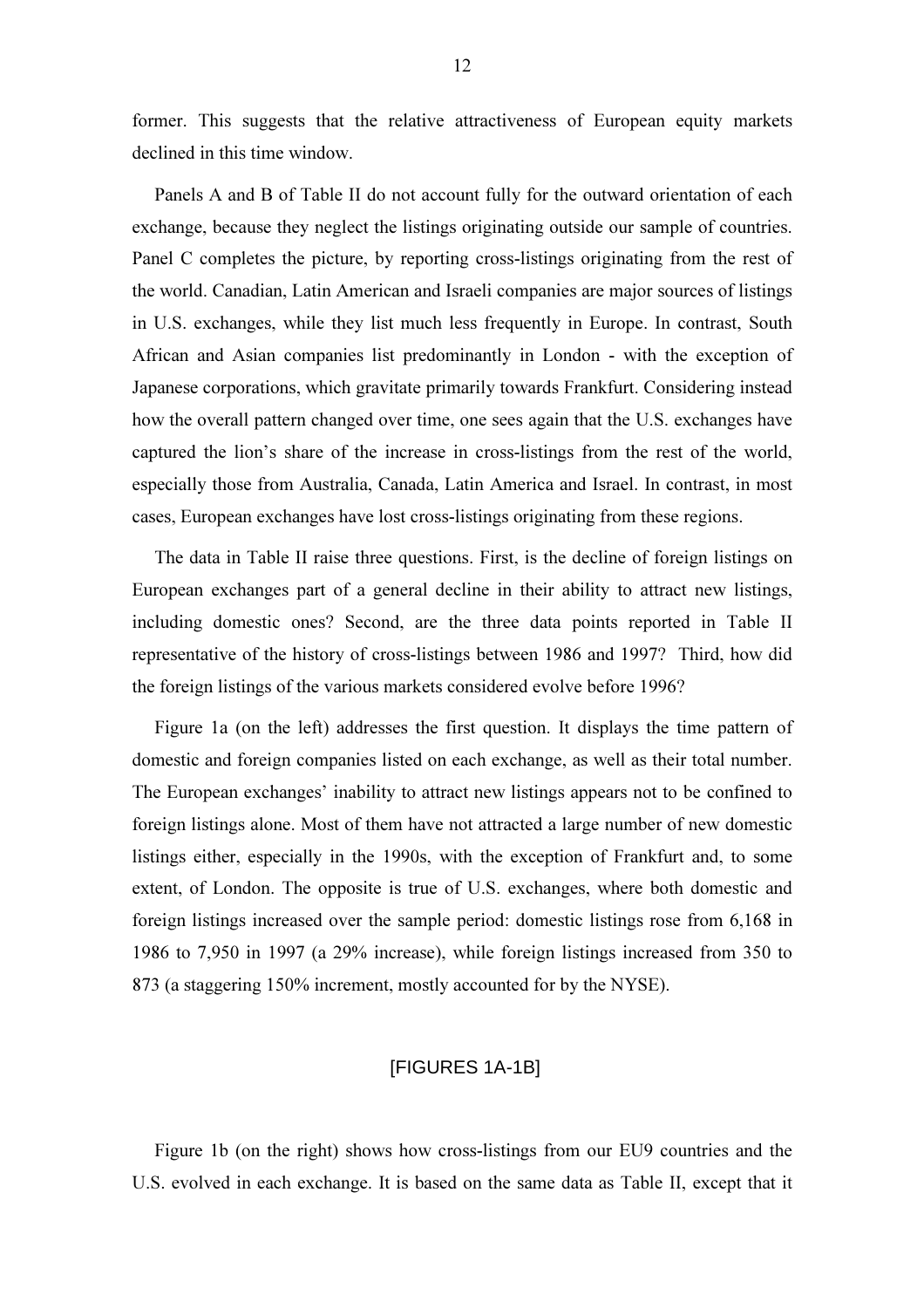former. This suggests that the relative attractiveness of European equity markets declined in this time window.

Panels A and B of Table II do not account fully for the outward orientation of each exchange, because they neglect the listings originating outside our sample of countries. Panel C completes the picture, by reporting cross-listings originating from the rest of the world. Canadian, Latin American and Israeli companies are major sources of listings in U.S. exchanges, while they list much less frequently in Europe. In contrast, South African and Asian companies list predominantly in London - with the exception of Japanese corporations, which gravitate primarily towards Frankfurt. Considering instead how the overall pattern changed over time, one sees again that the U.S. exchanges have captured the lion's share of the increase in cross-listings from the rest of the world, especially those from Australia, Canada, Latin America and Israel. In contrast, in most cases, European exchanges have lost cross-listings originating from these regions.

The data in Table II raise three questions. First, is the decline of foreign listings on European exchanges part of a general decline in their ability to attract new listings, including domestic ones? Second, are the three data points reported in Table II representative of the history of cross-listings between 1986 and 1997? Third, how did the foreign listings of the various markets considered evolve before 1996?

Figure 1a (on the left) addresses the first question. It displays the time pattern of domestic and foreign companies listed on each exchange, as well as their total number. The European exchanges' inability to attract new listings appears not to be confined to foreign listings alone. Most of them have not attracted a large number of new domestic listings either, especially in the 1990s, with the exception of Frankfurt and, to some extent, of London. The opposite is true of U.S. exchanges, where both domestic and foreign listings increased over the sample period: domestic listings rose from 6,168 in 1986 to 7,950 in 1997 (a 29% increase), while foreign listings increased from 350 to 873 (a staggering 150% increment, mostly accounted for by the NYSE).

### [FIGURES 1A-1B]

Figure 1b (on the right) shows how cross-listings from our EU9 countries and the U.S. evolved in each exchange. It is based on the same data as Table II, except that it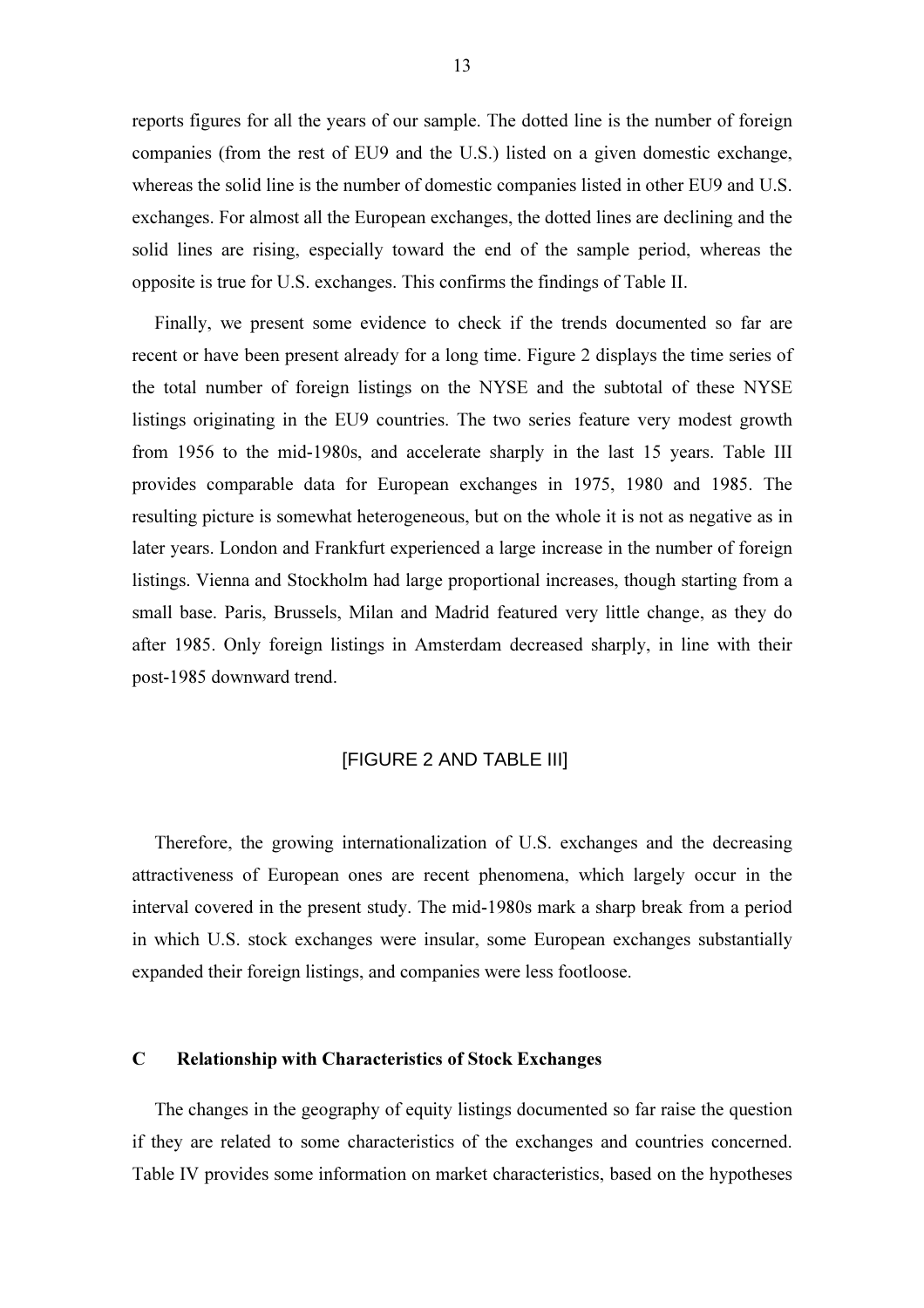reports figures for all the years of our sample. The dotted line is the number of foreign companies (from the rest of EU9 and the U.S.) listed on a given domestic exchange, whereas the solid line is the number of domestic companies listed in other EU9 and U.S. exchanges. For almost all the European exchanges, the dotted lines are declining and the solid lines are rising, especially toward the end of the sample period, whereas the opposite is true for U.S. exchanges. This confirms the findings of Table II.

Finally, we present some evidence to check if the trends documented so far are recent or have been present already for a long time. Figure 2 displays the time series of the total number of foreign listings on the NYSE and the subtotal of these NYSE listings originating in the EU9 countries. The two series feature very modest growth from 1956 to the mid-1980s, and accelerate sharply in the last 15 years. Table III provides comparable data for European exchanges in 1975, 1980 and 1985. The resulting picture is somewhat heterogeneous, but on the whole it is not as negative as in later years. London and Frankfurt experienced a large increase in the number of foreign listings. Vienna and Stockholm had large proportional increases, though starting from a small base. Paris, Brussels, Milan and Madrid featured very little change, as they do after 1985. Only foreign listings in Amsterdam decreased sharply, in line with their post-1985 downward trend.

### [FIGURE 2 AND TABLE III]

Therefore, the growing internationalization of U.S. exchanges and the decreasing attractiveness of European ones are recent phenomena, which largely occur in the interval covered in the present study. The mid-1980s mark a sharp break from a period in which U.S. stock exchanges were insular, some European exchanges substantially expanded their foreign listings, and companies were less footloose.

#### C Relationship with Characteristics of Stock Exchanges

The changes in the geography of equity listings documented so far raise the question if they are related to some characteristics of the exchanges and countries concerned. Table IV provides some information on market characteristics, based on the hypotheses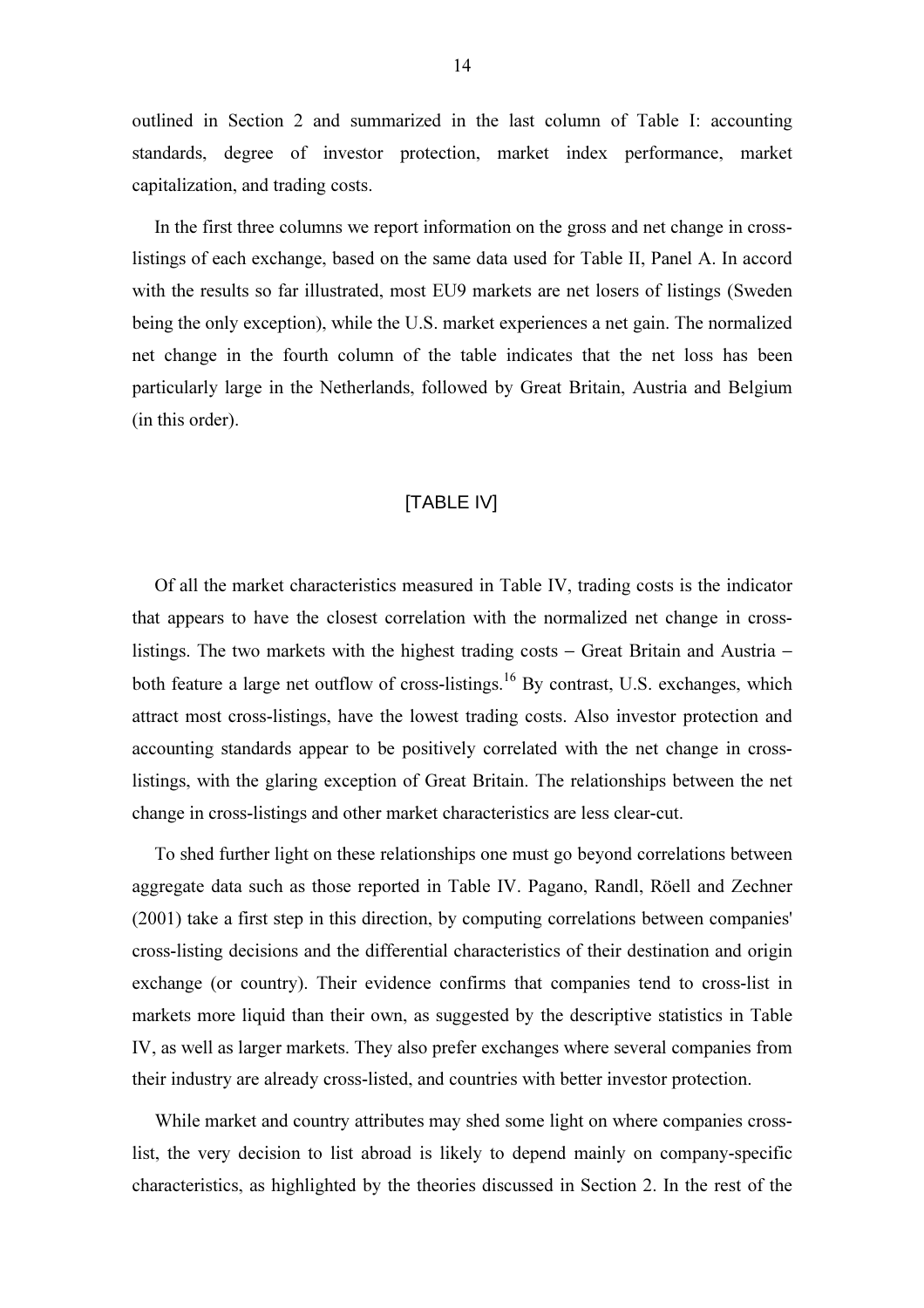outlined in Section 2 and summarized in the last column of Table I: accounting standards, degree of investor protection, market index performance, market capitalization, and trading costs.

In the first three columns we report information on the gross and net change in crosslistings of each exchange, based on the same data used for Table II, Panel A. In accord with the results so far illustrated, most EU9 markets are net losers of listings (Sweden being the only exception), while the U.S. market experiences a net gain. The normalized net change in the fourth column of the table indicates that the net loss has been particularly large in the Netherlands, followed by Great Britain, Austria and Belgium (in this order).

### [TABLE IV]

Of all the market characteristics measured in Table IV, trading costs is the indicator that appears to have the closest correlation with the normalized net change in crosslistings. The two markets with the highest trading costs − Great Britain and Austria − both feature a large net outflow of cross-listings.<sup>16</sup> By contrast, U.S. exchanges, which attract most cross-listings, have the lowest trading costs. Also investor protection and accounting standards appear to be positively correlated with the net change in crosslistings, with the glaring exception of Great Britain. The relationships between the net change in cross-listings and other market characteristics are less clear-cut.

To shed further light on these relationships one must go beyond correlations between aggregate data such as those reported in Table IV. Pagano, Randl, Röell and Zechner (2001) take a first step in this direction, by computing correlations between companies' cross-listing decisions and the differential characteristics of their destination and origin exchange (or country). Their evidence confirms that companies tend to cross-list in markets more liquid than their own, as suggested by the descriptive statistics in Table IV, as well as larger markets. They also prefer exchanges where several companies from their industry are already cross-listed, and countries with better investor protection.

While market and country attributes may shed some light on where companies crosslist, the very decision to list abroad is likely to depend mainly on company-specific characteristics, as highlighted by the theories discussed in Section 2. In the rest of the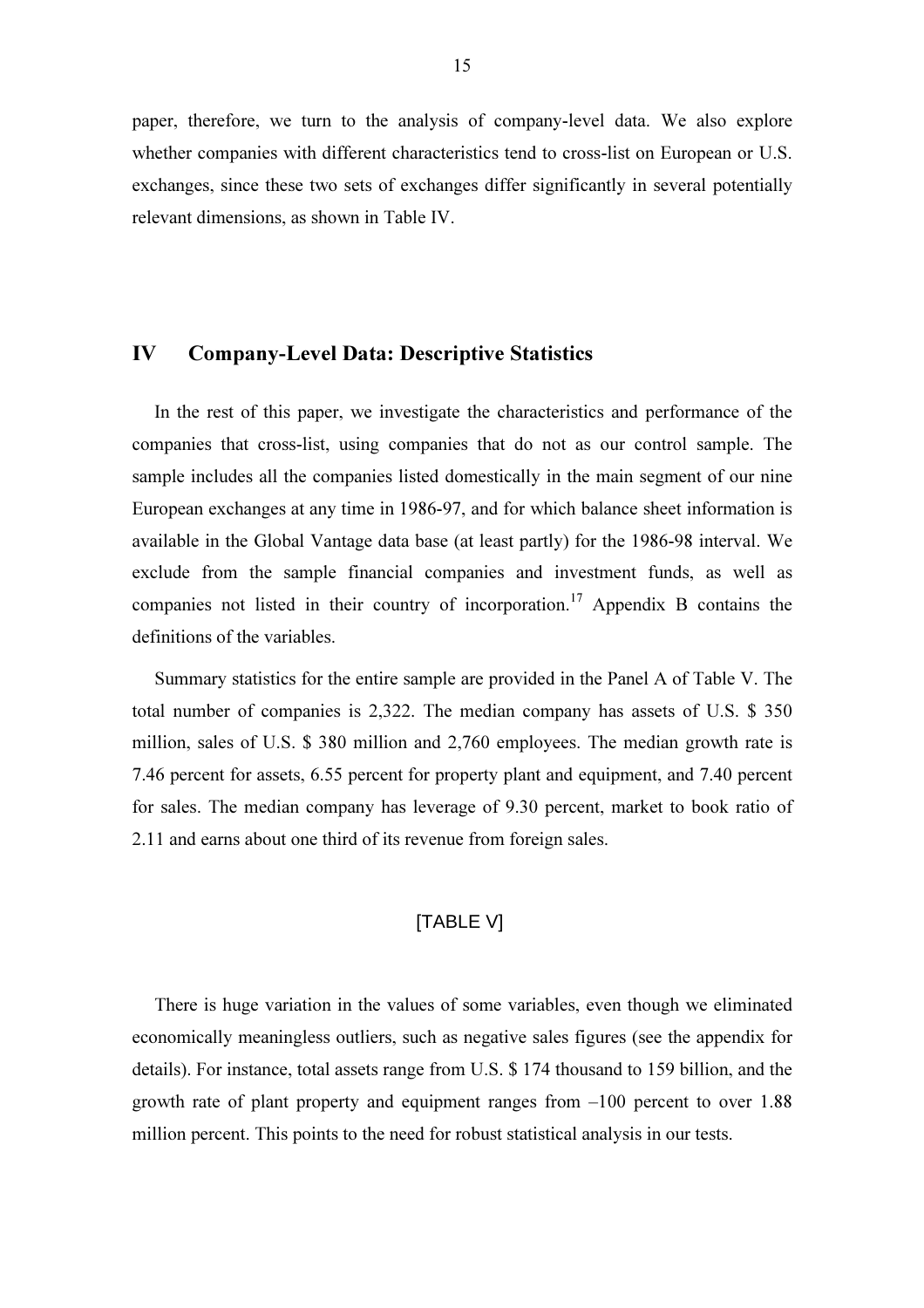paper, therefore, we turn to the analysis of company-level data. We also explore whether companies with different characteristics tend to cross-list on European or U.S. exchanges, since these two sets of exchanges differ significantly in several potentially relevant dimensions, as shown in Table IV.

### IV Company-Level Data: Descriptive Statistics

In the rest of this paper, we investigate the characteristics and performance of the companies that cross-list, using companies that do not as our control sample. The sample includes all the companies listed domestically in the main segment of our nine European exchanges at any time in 1986-97, and for which balance sheet information is available in the Global Vantage data base (at least partly) for the 1986-98 interval. We exclude from the sample financial companies and investment funds, as well as companies not listed in their country of incorporation.<sup>17</sup> Appendix B contains the definitions of the variables.

Summary statistics for the entire sample are provided in the Panel A of Table V. The total number of companies is 2,322. The median company has assets of U.S. \$ 350 million, sales of U.S. \$ 380 million and 2,760 employees. The median growth rate is 7.46 percent for assets, 6.55 percent for property plant and equipment, and 7.40 percent for sales. The median company has leverage of 9.30 percent, market to book ratio of 2.11 and earns about one third of its revenue from foreign sales.

# [TABLE V]

There is huge variation in the values of some variables, even though we eliminated economically meaningless outliers, such as negative sales figures (see the appendix for details). For instance, total assets range from U.S. \$ 174 thousand to 159 billion, and the growth rate of plant property and equipment ranges from –100 percent to over 1.88 million percent. This points to the need for robust statistical analysis in our tests.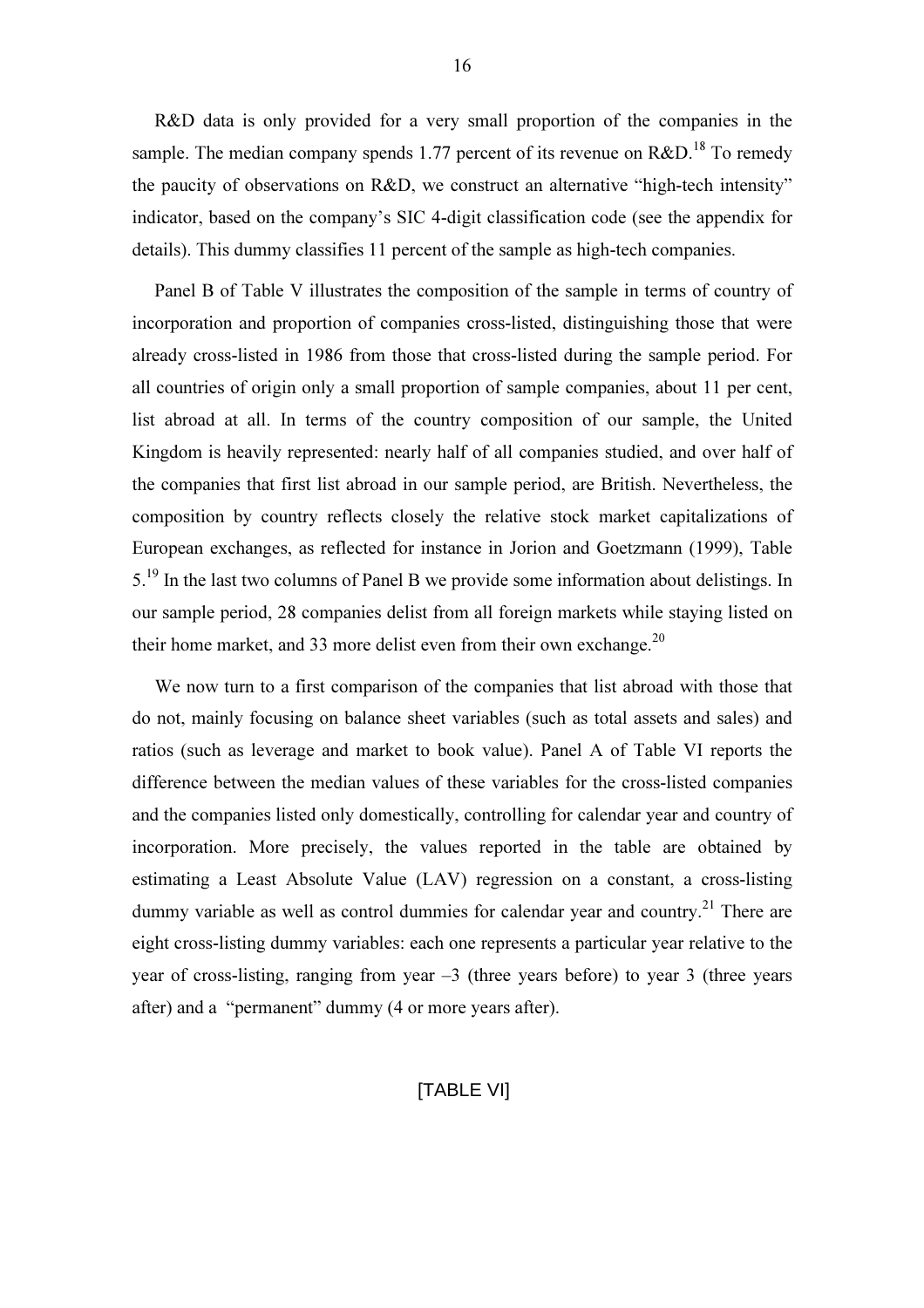R&D data is only provided for a very small proportion of the companies in the sample. The median company spends 1.77 percent of its revenue on  $R&D$ <sup>18</sup>. To remedy the paucity of observations on R&D, we construct an alternative "high-tech intensity" indicator, based on the company's SIC 4-digit classification code (see the appendix for details). This dummy classifies 11 percent of the sample as high-tech companies.

Panel B of Table V illustrates the composition of the sample in terms of country of incorporation and proportion of companies cross-listed, distinguishing those that were already cross-listed in 1986 from those that cross-listed during the sample period. For all countries of origin only a small proportion of sample companies, about 11 per cent, list abroad at all. In terms of the country composition of our sample, the United Kingdom is heavily represented: nearly half of all companies studied, and over half of the companies that first list abroad in our sample period, are British. Nevertheless, the composition by country reflects closely the relative stock market capitalizations of European exchanges, as reflected for instance in Jorion and Goetzmann (1999), Table 5.<sup>19</sup> In the last two columns of Panel B we provide some information about delistings. In our sample period, 28 companies delist from all foreign markets while staying listed on their home market, and 33 more delist even from their own exchange.<sup>20</sup>

We now turn to a first comparison of the companies that list abroad with those that do not, mainly focusing on balance sheet variables (such as total assets and sales) and ratios (such as leverage and market to book value). Panel A of Table VI reports the difference between the median values of these variables for the cross-listed companies and the companies listed only domestically, controlling for calendar year and country of incorporation. More precisely, the values reported in the table are obtained by estimating a Least Absolute Value (LAV) regression on a constant, a cross-listing dummy variable as well as control dummies for calendar year and country.<sup>21</sup> There are eight cross-listing dummy variables: each one represents a particular year relative to the year of cross-listing, ranging from year  $-3$  (three years before) to year 3 (three years after) and a "permanent" dummy (4 or more years after).

[TABLE VI]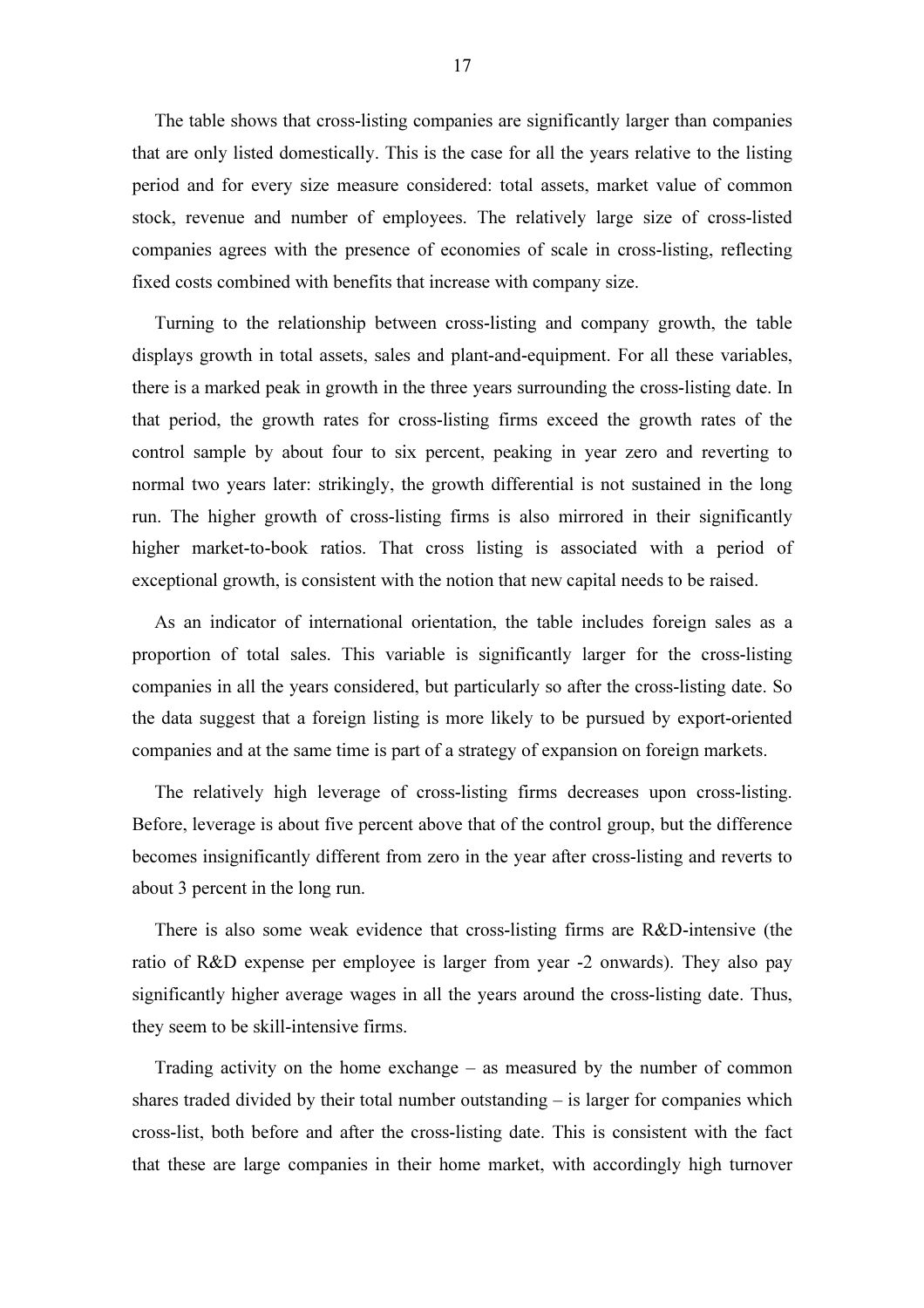The table shows that cross-listing companies are significantly larger than companies that are only listed domestically. This is the case for all the years relative to the listing period and for every size measure considered: total assets, market value of common stock, revenue and number of employees. The relatively large size of cross-listed companies agrees with the presence of economies of scale in cross-listing, reflecting fixed costs combined with benefits that increase with company size.

Turning to the relationship between cross-listing and company growth, the table displays growth in total assets, sales and plant-and-equipment. For all these variables, there is a marked peak in growth in the three years surrounding the cross-listing date. In that period, the growth rates for cross-listing firms exceed the growth rates of the control sample by about four to six percent, peaking in year zero and reverting to normal two years later: strikingly, the growth differential is not sustained in the long run. The higher growth of cross-listing firms is also mirrored in their significantly higher market-to-book ratios. That cross listing is associated with a period of exceptional growth, is consistent with the notion that new capital needs to be raised.

As an indicator of international orientation, the table includes foreign sales as a proportion of total sales. This variable is significantly larger for the cross-listing companies in all the years considered, but particularly so after the cross-listing date. So the data suggest that a foreign listing is more likely to be pursued by export-oriented companies and at the same time is part of a strategy of expansion on foreign markets.

The relatively high leverage of cross-listing firms decreases upon cross-listing. Before, leverage is about five percent above that of the control group, but the difference becomes insignificantly different from zero in the year after cross-listing and reverts to about 3 percent in the long run.

There is also some weak evidence that cross-listing firms are R&D-intensive (the ratio of R&D expense per employee is larger from year -2 onwards). They also pay significantly higher average wages in all the years around the cross-listing date. Thus, they seem to be skill-intensive firms.

Trading activity on the home exchange – as measured by the number of common shares traded divided by their total number outstanding – is larger for companies which cross-list, both before and after the cross-listing date. This is consistent with the fact that these are large companies in their home market, with accordingly high turnover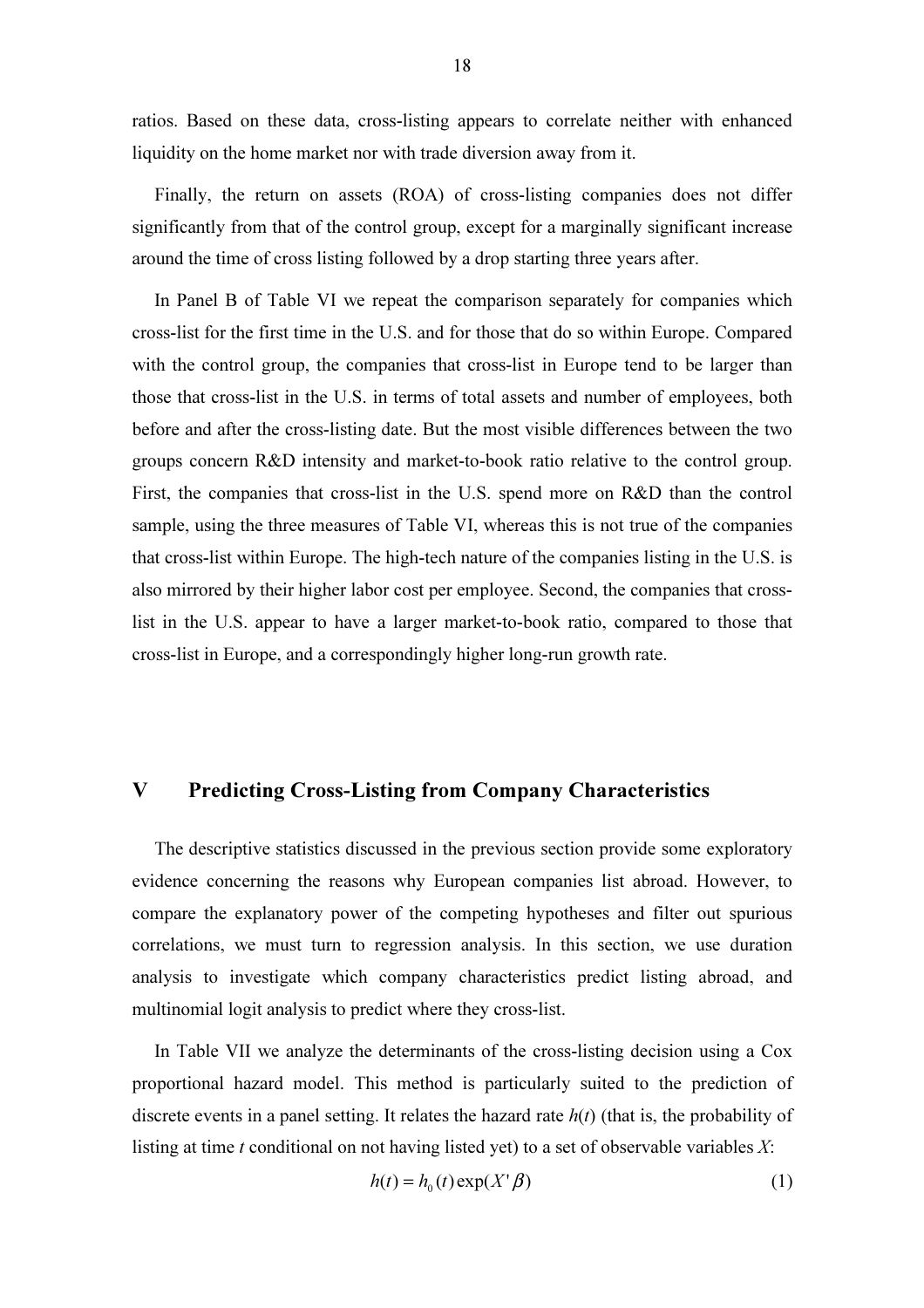ratios. Based on these data, cross-listing appears to correlate neither with enhanced liquidity on the home market nor with trade diversion away from it.

Finally, the return on assets (ROA) of cross-listing companies does not differ significantly from that of the control group, except for a marginally significant increase around the time of cross listing followed by a drop starting three years after.

In Panel B of Table VI we repeat the comparison separately for companies which cross-list for the first time in the U.S. and for those that do so within Europe. Compared with the control group, the companies that cross-list in Europe tend to be larger than those that cross-list in the U.S. in terms of total assets and number of employees, both before and after the cross-listing date. But the most visible differences between the two groups concern R&D intensity and market-to-book ratio relative to the control group. First, the companies that cross-list in the U.S. spend more on R&D than the control sample, using the three measures of Table VI, whereas this is not true of the companies that cross-list within Europe. The high-tech nature of the companies listing in the U.S. is also mirrored by their higher labor cost per employee. Second, the companies that crosslist in the U.S. appear to have a larger market-to-book ratio, compared to those that cross-list in Europe, and a correspondingly higher long-run growth rate.

# V Predicting Cross-Listing from Company Characteristics

The descriptive statistics discussed in the previous section provide some exploratory evidence concerning the reasons why European companies list abroad. However, to compare the explanatory power of the competing hypotheses and filter out spurious correlations, we must turn to regression analysis. In this section, we use duration analysis to investigate which company characteristics predict listing abroad, and multinomial logit analysis to predict where they cross-list.

In Table VII we analyze the determinants of the cross-listing decision using a Cox proportional hazard model. This method is particularly suited to the prediction of discrete events in a panel setting. It relates the hazard rate  $h(t)$  (that is, the probability of listing at time t conditional on not having listed yet) to a set of observable variables  $X$ :

$$
h(t) = h_0(t) \exp(X^{\prime} \beta)
$$
 (1)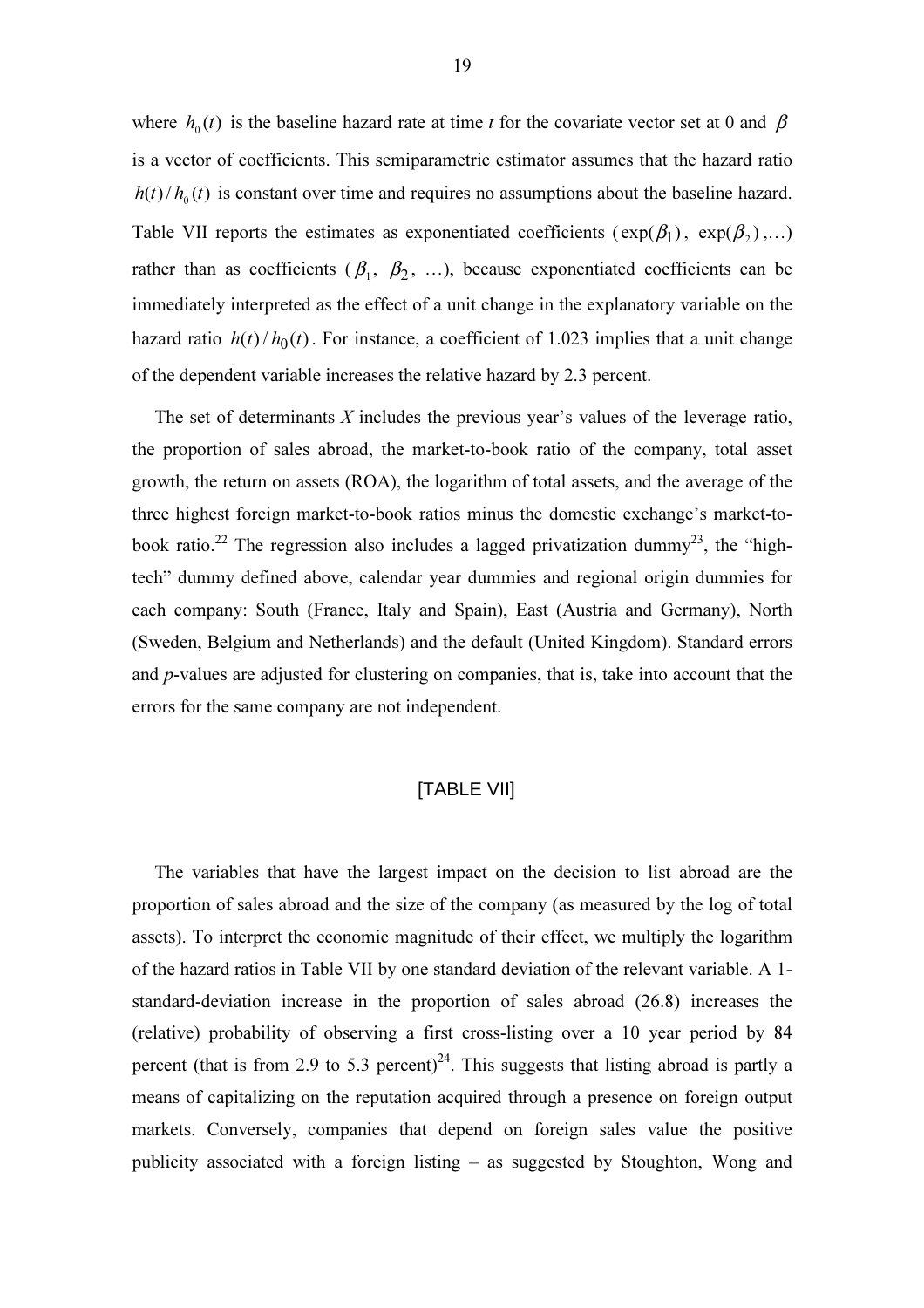where  $h_0(t)$  is the baseline hazard rate at time t for the covariate vector set at 0 and  $\beta$ is a vector of coefficients. This semiparametric estimator assumes that the hazard ratio  $h(t)/h_0(t)$  is constant over time and requires no assumptions about the baseline hazard. Table VII reports the estimates as exponentiated coefficients  $(\exp(\beta_1), \exp(\beta_2), \ldots)$ rather than as coefficients ( $\beta_1$ ,  $\beta_2$ , ...), because exponentiated coefficients can be immediately interpreted as the effect of a unit change in the explanatory variable on the hazard ratio  $h(t) / h_0(t)$ . For instance, a coefficient of 1.023 implies that a unit change of the dependent variable increases the relative hazard by 2.3 percent.

The set of determinants X includes the previous year's values of the leverage ratio, the proportion of sales abroad, the market-to-book ratio of the company, total asset growth, the return on assets (ROA), the logarithm of total assets, and the average of the three highest foreign market-to-book ratios minus the domestic exchange's market-tobook ratio.<sup>22</sup> The regression also includes a lagged privatization dummy<sup>23</sup>, the "hightech" dummy defined above, calendar year dummies and regional origin dummies for each company: South (France, Italy and Spain), East (Austria and Germany), North (Sweden, Belgium and Netherlands) and the default (United Kingdom). Standard errors and p-values are adjusted for clustering on companies, that is, take into account that the errors for the same company are not independent.

### [TABLE VII]

The variables that have the largest impact on the decision to list abroad are the proportion of sales abroad and the size of the company (as measured by the log of total assets). To interpret the economic magnitude of their effect, we multiply the logarithm of the hazard ratios in Table VII by one standard deviation of the relevant variable. A 1 standard-deviation increase in the proportion of sales abroad (26.8) increases the (relative) probability of observing a first cross-listing over a 10 year period by 84 percent (that is from 2.9 to 5.3 percent)<sup>24</sup>. This suggests that listing abroad is partly a means of capitalizing on the reputation acquired through a presence on foreign output markets. Conversely, companies that depend on foreign sales value the positive publicity associated with a foreign listing – as suggested by Stoughton, Wong and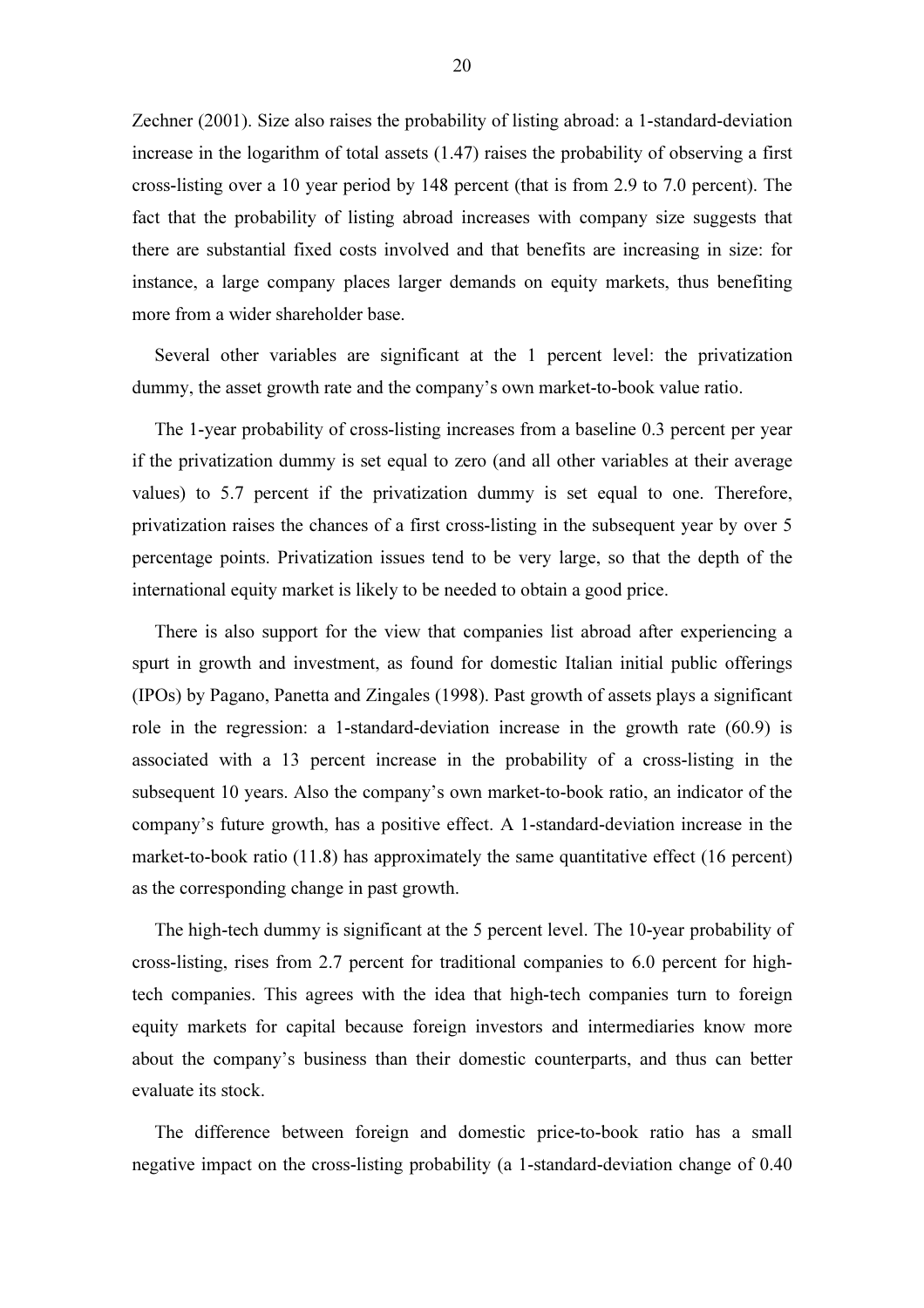Zechner (2001). Size also raises the probability of listing abroad: a 1-standard-deviation increase in the logarithm of total assets (1.47) raises the probability of observing a first cross-listing over a 10 year period by 148 percent (that is from 2.9 to 7.0 percent). The fact that the probability of listing abroad increases with company size suggests that there are substantial fixed costs involved and that benefits are increasing in size: for instance, a large company places larger demands on equity markets, thus benefiting more from a wider shareholder base.

Several other variables are significant at the 1 percent level: the privatization dummy, the asset growth rate and the company's own market-to-book value ratio.

The 1-year probability of cross-listing increases from a baseline 0.3 percent per year if the privatization dummy is set equal to zero (and all other variables at their average values) to 5.7 percent if the privatization dummy is set equal to one. Therefore, privatization raises the chances of a first cross-listing in the subsequent year by over 5 percentage points. Privatization issues tend to be very large, so that the depth of the international equity market is likely to be needed to obtain a good price.

There is also support for the view that companies list abroad after experiencing a spurt in growth and investment, as found for domestic Italian initial public offerings (IPOs) by Pagano, Panetta and Zingales (1998). Past growth of assets plays a significant role in the regression: a 1-standard-deviation increase in the growth rate (60.9) is associated with a 13 percent increase in the probability of a cross-listing in the subsequent 10 years. Also the company's own market-to-book ratio, an indicator of the company's future growth, has a positive effect. A 1-standard-deviation increase in the market-to-book ratio (11.8) has approximately the same quantitative effect (16 percent) as the corresponding change in past growth.

The high-tech dummy is significant at the 5 percent level. The 10-year probability of cross-listing, rises from 2.7 percent for traditional companies to 6.0 percent for hightech companies. This agrees with the idea that high-tech companies turn to foreign equity markets for capital because foreign investors and intermediaries know more about the company's business than their domestic counterparts, and thus can better evaluate its stock.

The difference between foreign and domestic price-to-book ratio has a small negative impact on the cross-listing probability (a 1-standard-deviation change of 0.40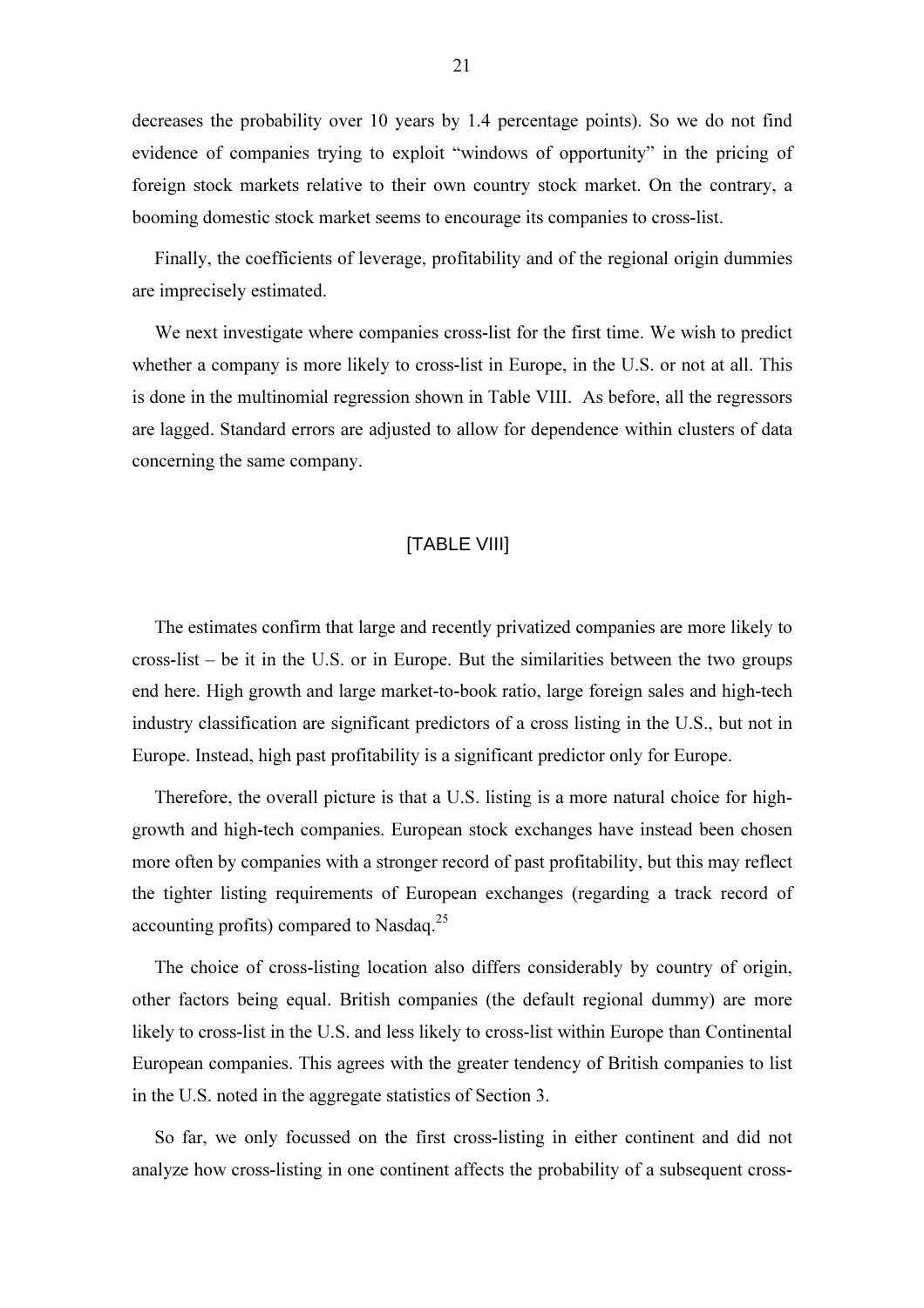decreases the probability over 10 years by 1.4 percentage points). So we do not find evidence of companies trying to exploit "windows of opportunity" in the pricing of foreign stock markets relative to their own country stock market. On the contrary, a booming domestic stock market seems to encourage its companies to cross-list.

Finally, the coefficients of leverage, profitability and of the regional origin dummies are imprecisely estimated.

We next investigate where companies cross-list for the first time. We wish to predict whether a company is more likely to cross-list in Europe, in the U.S. or not at all. This is done in the multinomial regression shown in Table VIII. As before, all the regressors are lagged. Standard errors are adjusted to allow for dependence within clusters of data concerning the same company.

### [TABLE VIII]

The estimates confirm that large and recently privatized companies are more likely to cross-list – be it in the U.S. or in Europe. But the similarities between the two groups end here. High growth and large market-to-book ratio, large foreign sales and high-tech industry classification are significant predictors of a cross listing in the U.S., but not in Europe. Instead, high past profitability is a significant predictor only for Europe.

Therefore, the overall picture is that a U.S. listing is a more natural choice for highgrowth and high-tech companies. European stock exchanges have instead been chosen more often by companies with a stronger record of past profitability, but this may reflect the tighter listing requirements of European exchanges (regarding a track record of accounting profits) compared to Nasdaq.<sup>25</sup>

The choice of cross-listing location also differs considerably by country of origin, other factors being equal. British companies (the default regional dummy) are more likely to cross-list in the U.S. and less likely to cross-list within Europe than Continental European companies. This agrees with the greater tendency of British companies to list in the U.S. noted in the aggregate statistics of Section 3.

So far, we only focussed on the first cross-listing in either continent and did not analyze how cross-listing in one continent affects the probability of a subsequent cross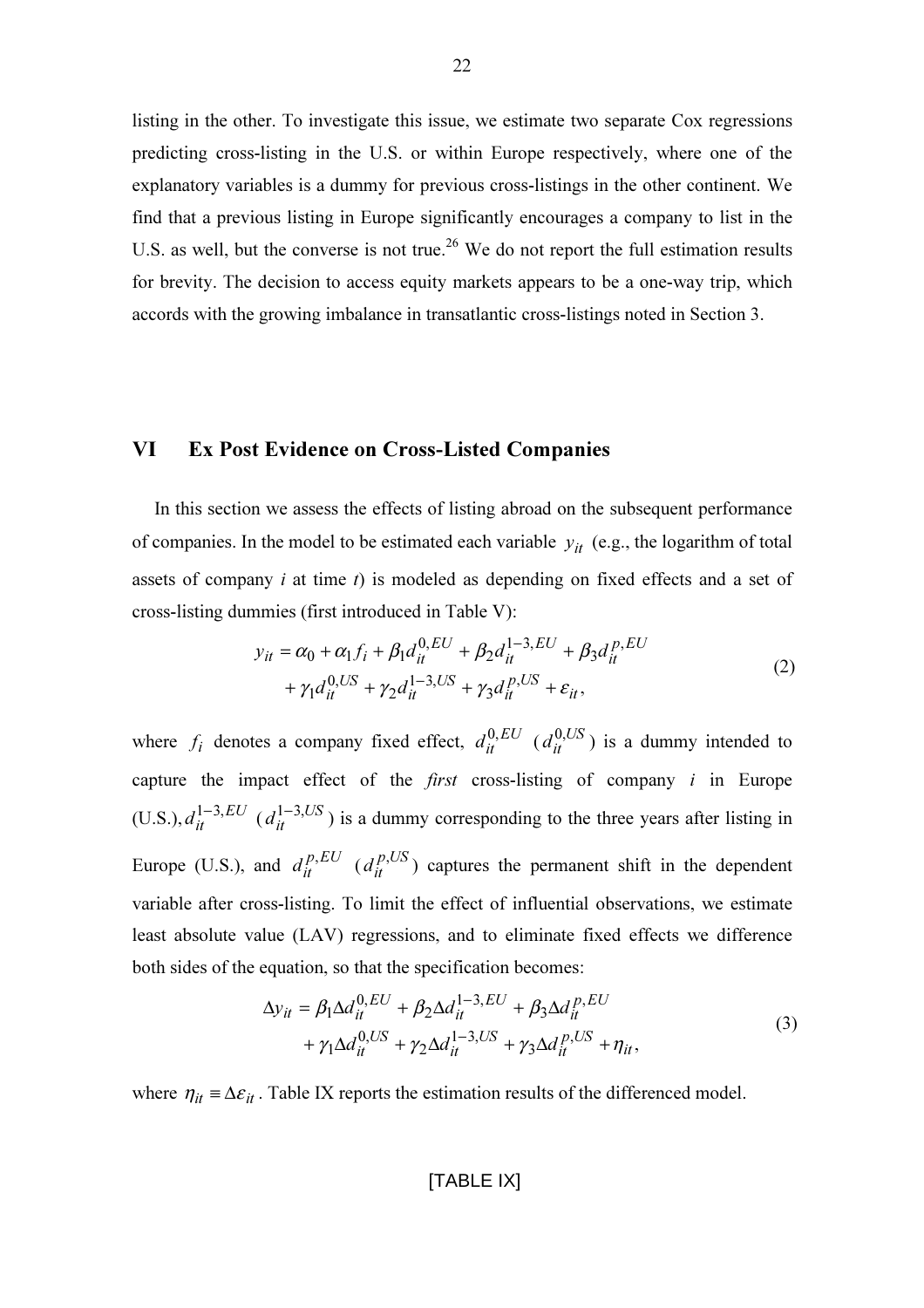listing in the other. To investigate this issue, we estimate two separate Cox regressions predicting cross-listing in the U.S. or within Europe respectively, where one of the explanatory variables is a dummy for previous cross-listings in the other continent. We find that a previous listing in Europe significantly encourages a company to list in the U.S. as well, but the converse is not true.<sup>26</sup> We do not report the full estimation results for brevity. The decision to access equity markets appears to be a one-way trip, which accords with the growing imbalance in transatlantic cross-listings noted in Section 3.

### VI Ex Post Evidence on Cross-Listed Companies

In this section we assess the effects of listing abroad on the subsequent performance of companies. In the model to be estimated each variable  $y_{it}$  (e.g., the logarithm of total assets of company  $i$  at time  $t$ ) is modeled as depending on fixed effects and a set of cross-listing dummies (first introduced in Table V):

$$
y_{it} = \alpha_0 + \alpha_1 f_i + \beta_1 d_{it}^{0, EU} + \beta_2 d_{it}^{1-3, EU} + \beta_3 d_{it}^{p, EU} + \gamma_1 d_{it}^{0, US} + \gamma_2 d_{it}^{1-3, US} + \gamma_3 d_{it}^{p, US} + \varepsilon_{it},
$$
\n(2)

where  $f_i$  denotes a company fixed effect,  $d_{it}^{0, EU}$  ( $d_{it}^{0, US}$ ) is a dummy intended to capture the impact effect of the *first* cross-listing of company  $i$  in Europe (U.S.),  $d_{it}^{1-3, EU}$  ( $d_{it}^{1-3, US}$ ) is a dummy corresponding to the three years after listing in Europe (U.S.), and  $d_{it}^{p, EU}$  ( $d_{it}^{p, US}$ ) captures the permanent shift in the dependent variable after cross-listing. To limit the effect of influential observations, we estimate least absolute value (LAV) regressions, and to eliminate fixed effects we difference both sides of the equation, so that the specification becomes:

$$
\Delta y_{it} = \beta_1 \Delta d_{it}^{0, EU} + \beta_2 \Delta d_{it}^{1-3, EU} + \beta_3 \Delta d_{it}^{p, EU} + \gamma_1 \Delta d_{it}^{0, US} + \gamma_2 \Delta d_{it}^{1-3, US} + \gamma_3 \Delta d_{it}^{p, US} + \eta_{it},
$$
\n(3)

where  $\eta_{it} \equiv \Delta \varepsilon_{it}$ . Table IX reports the estimation results of the differenced model.

# [TABLE IX]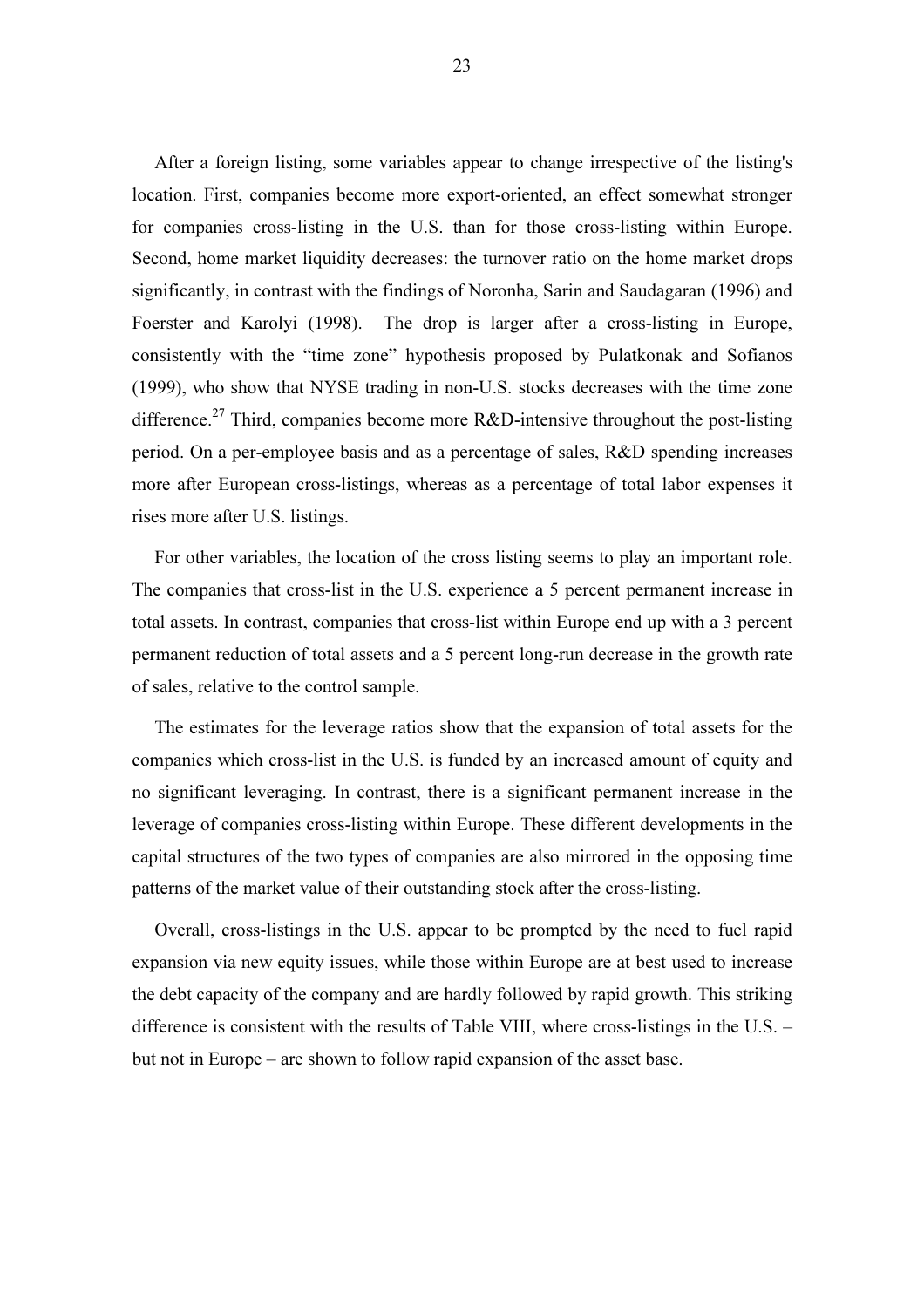After a foreign listing, some variables appear to change irrespective of the listing's location. First, companies become more export-oriented, an effect somewhat stronger for companies cross-listing in the U.S. than for those cross-listing within Europe. Second, home market liquidity decreases: the turnover ratio on the home market drops significantly, in contrast with the findings of Noronha, Sarin and Saudagaran (1996) and Foerster and Karolyi (1998). The drop is larger after a cross-listing in Europe, consistently with the "time zone" hypothesis proposed by Pulatkonak and Sofianos (1999), who show that NYSE trading in non-U.S. stocks decreases with the time zone difference.<sup>27</sup> Third, companies become more R&D-intensive throughout the post-listing period. On a per-employee basis and as a percentage of sales, R&D spending increases more after European cross-listings, whereas as a percentage of total labor expenses it rises more after U.S. listings.

For other variables, the location of the cross listing seems to play an important role. The companies that cross-list in the U.S. experience a 5 percent permanent increase in total assets. In contrast, companies that cross-list within Europe end up with a 3 percent permanent reduction of total assets and a 5 percent long-run decrease in the growth rate of sales, relative to the control sample.

The estimates for the leverage ratios show that the expansion of total assets for the companies which cross-list in the U.S. is funded by an increased amount of equity and no significant leveraging. In contrast, there is a significant permanent increase in the leverage of companies cross-listing within Europe. These different developments in the capital structures of the two types of companies are also mirrored in the opposing time patterns of the market value of their outstanding stock after the cross-listing.

Overall, cross-listings in the U.S. appear to be prompted by the need to fuel rapid expansion via new equity issues, while those within Europe are at best used to increase the debt capacity of the company and are hardly followed by rapid growth. This striking difference is consistent with the results of Table VIII, where cross-listings in the U.S. – but not in Europe – are shown to follow rapid expansion of the asset base.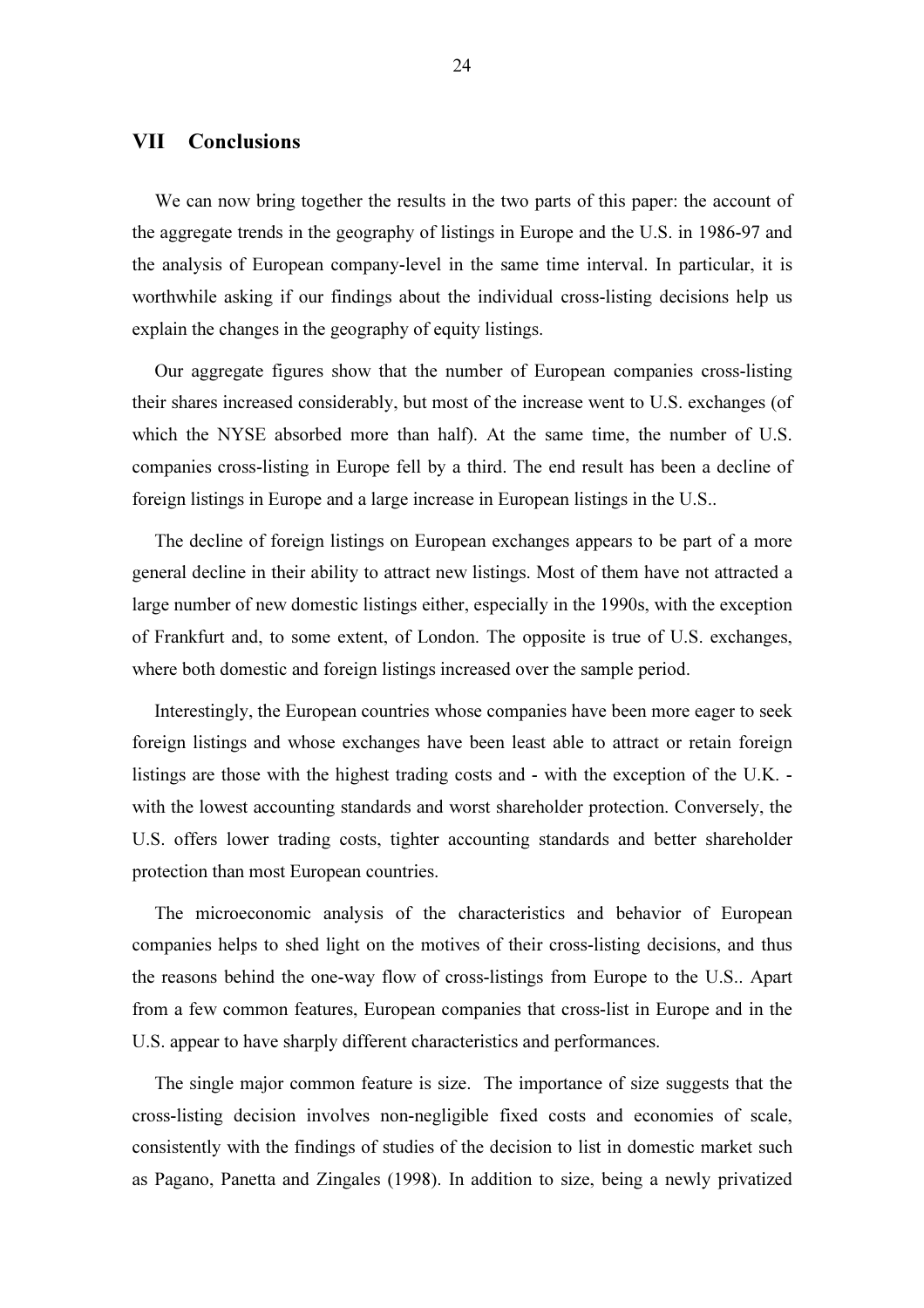### VII Conclusions

We can now bring together the results in the two parts of this paper: the account of the aggregate trends in the geography of listings in Europe and the U.S. in 1986-97 and the analysis of European company-level in the same time interval. In particular, it is worthwhile asking if our findings about the individual cross-listing decisions help us explain the changes in the geography of equity listings.

Our aggregate figures show that the number of European companies cross-listing their shares increased considerably, but most of the increase went to U.S. exchanges (of which the NYSE absorbed more than half). At the same time, the number of U.S. companies cross-listing in Europe fell by a third. The end result has been a decline of foreign listings in Europe and a large increase in European listings in the U.S..

The decline of foreign listings on European exchanges appears to be part of a more general decline in their ability to attract new listings. Most of them have not attracted a large number of new domestic listings either, especially in the 1990s, with the exception of Frankfurt and, to some extent, of London. The opposite is true of U.S. exchanges, where both domestic and foreign listings increased over the sample period.

Interestingly, the European countries whose companies have been more eager to seek foreign listings and whose exchanges have been least able to attract or retain foreign listings are those with the highest trading costs and - with the exception of the U.K. with the lowest accounting standards and worst shareholder protection. Conversely, the U.S. offers lower trading costs, tighter accounting standards and better shareholder protection than most European countries.

The microeconomic analysis of the characteristics and behavior of European companies helps to shed light on the motives of their cross-listing decisions, and thus the reasons behind the one-way flow of cross-listings from Europe to the U.S.. Apart from a few common features, European companies that cross-list in Europe and in the U.S. appear to have sharply different characteristics and performances.

The single major common feature is size. The importance of size suggests that the cross-listing decision involves non-negligible fixed costs and economies of scale, consistently with the findings of studies of the decision to list in domestic market such as Pagano, Panetta and Zingales (1998). In addition to size, being a newly privatized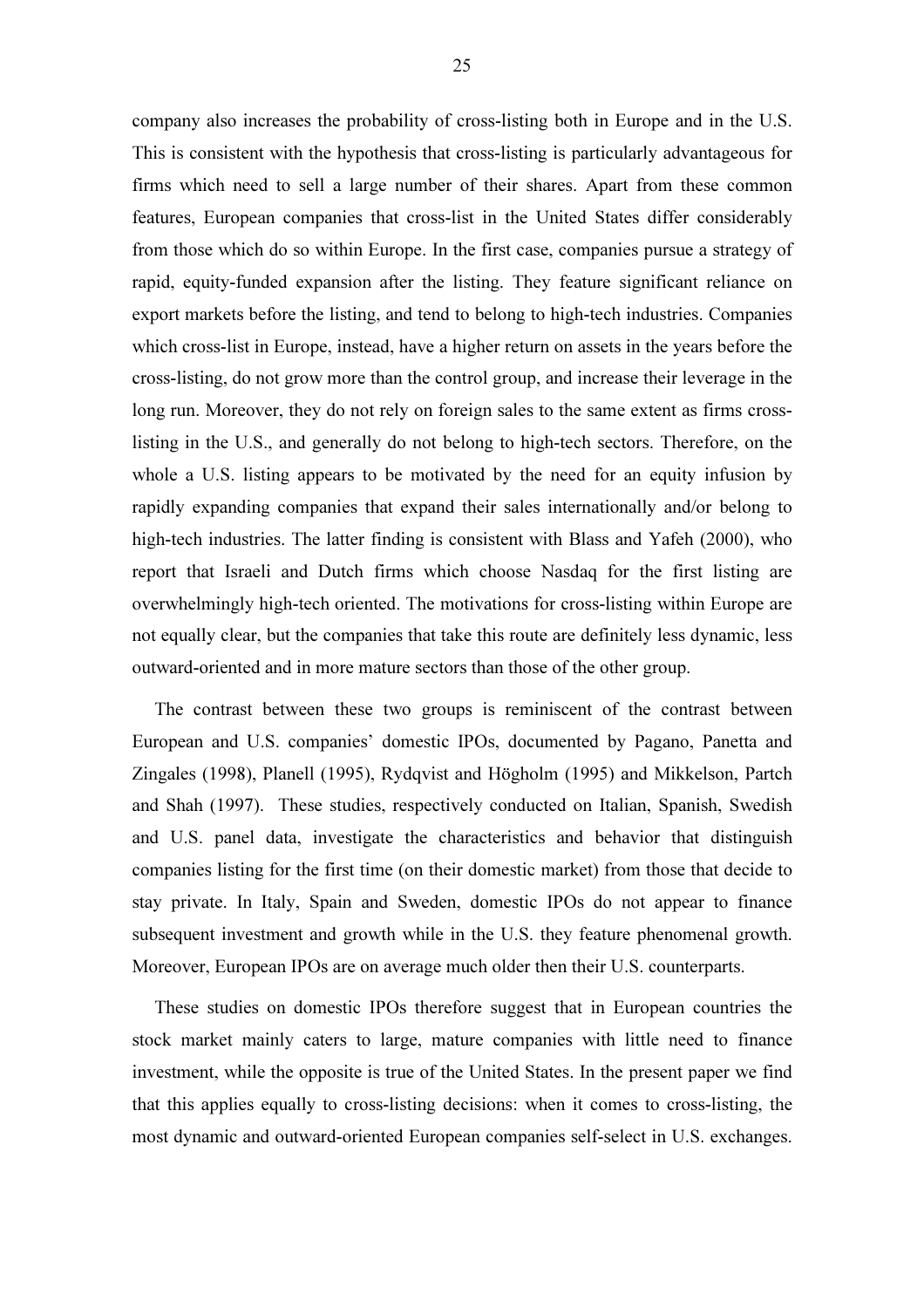company also increases the probability of cross-listing both in Europe and in the U.S. This is consistent with the hypothesis that cross-listing is particularly advantageous for firms which need to sell a large number of their shares. Apart from these common features, European companies that cross-list in the United States differ considerably from those which do so within Europe. In the first case, companies pursue a strategy of rapid, equity-funded expansion after the listing. They feature significant reliance on export markets before the listing, and tend to belong to high-tech industries. Companies which cross-list in Europe, instead, have a higher return on assets in the years before the cross-listing, do not grow more than the control group, and increase their leverage in the long run. Moreover, they do not rely on foreign sales to the same extent as firms crosslisting in the U.S., and generally do not belong to high-tech sectors. Therefore, on the whole a U.S. listing appears to be motivated by the need for an equity infusion by rapidly expanding companies that expand their sales internationally and/or belong to high-tech industries. The latter finding is consistent with Blass and Yafeh (2000), who report that Israeli and Dutch firms which choose Nasdaq for the first listing are overwhelmingly high-tech oriented. The motivations for cross-listing within Europe are not equally clear, but the companies that take this route are definitely less dynamic, less outward-oriented and in more mature sectors than those of the other group.

The contrast between these two groups is reminiscent of the contrast between European and U.S. companies' domestic IPOs, documented by Pagano, Panetta and Zingales (1998), Planell (1995), Rydqvist and Högholm (1995) and Mikkelson, Partch and Shah (1997). These studies, respectively conducted on Italian, Spanish, Swedish and U.S. panel data, investigate the characteristics and behavior that distinguish companies listing for the first time (on their domestic market) from those that decide to stay private. In Italy, Spain and Sweden, domestic IPOs do not appear to finance subsequent investment and growth while in the U.S. they feature phenomenal growth. Moreover, European IPOs are on average much older then their U.S. counterparts.

These studies on domestic IPOs therefore suggest that in European countries the stock market mainly caters to large, mature companies with little need to finance investment, while the opposite is true of the United States. In the present paper we find that this applies equally to cross-listing decisions: when it comes to cross-listing, the most dynamic and outward-oriented European companies self-select in U.S. exchanges.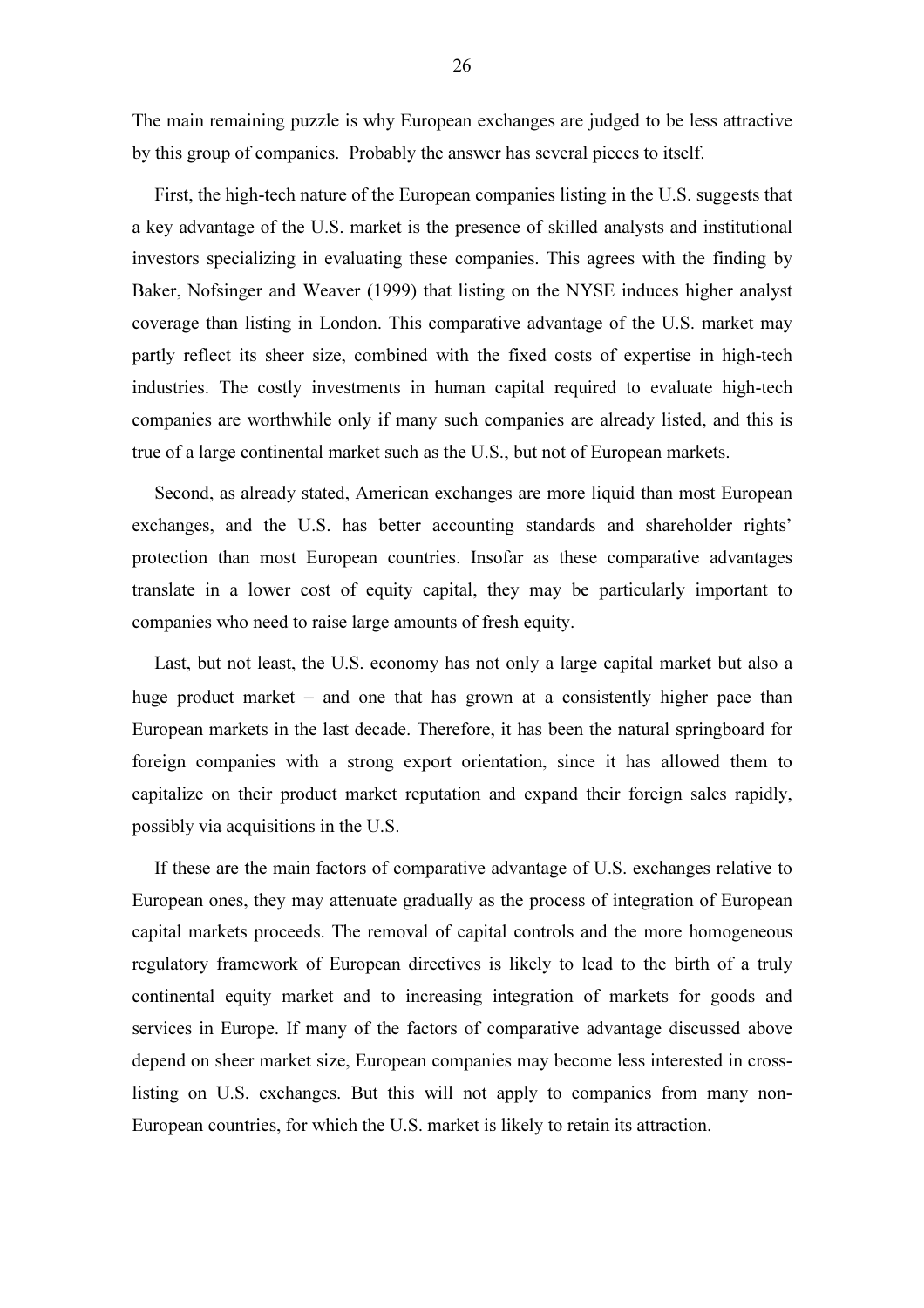The main remaining puzzle is why European exchanges are judged to be less attractive by this group of companies. Probably the answer has several pieces to itself.

First, the high-tech nature of the European companies listing in the U.S. suggests that a key advantage of the U.S. market is the presence of skilled analysts and institutional investors specializing in evaluating these companies. This agrees with the finding by Baker, Nofsinger and Weaver (1999) that listing on the NYSE induces higher analyst coverage than listing in London. This comparative advantage of the U.S. market may partly reflect its sheer size, combined with the fixed costs of expertise in high-tech industries. The costly investments in human capital required to evaluate high-tech companies are worthwhile only if many such companies are already listed, and this is true of a large continental market such as the U.S., but not of European markets.

Second, as already stated, American exchanges are more liquid than most European exchanges, and the U.S. has better accounting standards and shareholder rights' protection than most European countries. Insofar as these comparative advantages translate in a lower cost of equity capital, they may be particularly important to companies who need to raise large amounts of fresh equity.

Last, but not least, the U.S. economy has not only a large capital market but also a huge product market – and one that has grown at a consistently higher pace than European markets in the last decade. Therefore, it has been the natural springboard for foreign companies with a strong export orientation, since it has allowed them to capitalize on their product market reputation and expand their foreign sales rapidly, possibly via acquisitions in the U.S.

If these are the main factors of comparative advantage of U.S. exchanges relative to European ones, they may attenuate gradually as the process of integration of European capital markets proceeds. The removal of capital controls and the more homogeneous regulatory framework of European directives is likely to lead to the birth of a truly continental equity market and to increasing integration of markets for goods and services in Europe. If many of the factors of comparative advantage discussed above depend on sheer market size, European companies may become less interested in crosslisting on U.S. exchanges. But this will not apply to companies from many non-European countries, for which the U.S. market is likely to retain its attraction.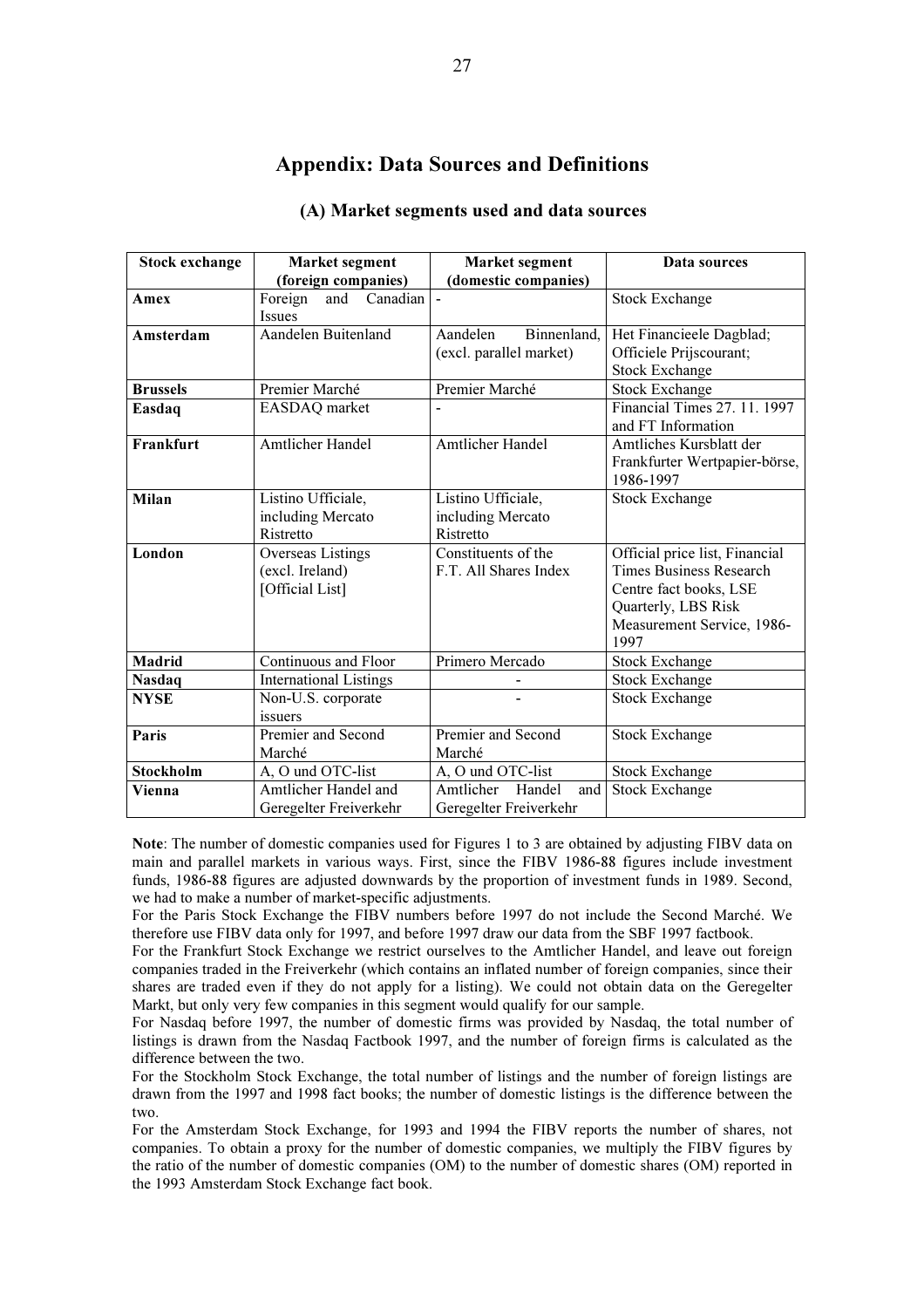# Appendix: Data Sources and Definitions

| <b>Stock exchange</b> | <b>Market segment</b>         | <b>Market segment</b>      | Data sources                   |
|-----------------------|-------------------------------|----------------------------|--------------------------------|
|                       | (foreign companies)           | (domestic companies)       |                                |
| Amex                  | and<br>Canadian<br>Foreign    | ا -                        | <b>Stock Exchange</b>          |
|                       | Issues                        |                            |                                |
| Amsterdam             | Aandelen Buitenland           | Aandelen<br>Binnenland.    | Het Financieele Dagblad;       |
|                       |                               | (excl. parallel market)    | Officiele Prijscourant;        |
|                       |                               |                            | <b>Stock Exchange</b>          |
| <b>Brussels</b>       | Premier Marché                | Premier Marché             | <b>Stock Exchange</b>          |
| Easdaq                | EASDAQ market                 |                            | Financial Times 27. 11. 1997   |
|                       |                               |                            | and FT Information             |
| Frankfurt             | <b>Amtlicher Handel</b>       | <b>Amtlicher Handel</b>    | Amtliches Kursblatt der        |
|                       |                               |                            | Frankfurter Wertpapier-börse,  |
|                       |                               |                            | 1986-1997                      |
| <b>Milan</b>          | Listino Ufficiale,            | Listino Ufficiale,         | <b>Stock Exchange</b>          |
|                       | including Mercato             | including Mercato          |                                |
|                       | Ristretto                     | Ristretto                  |                                |
| London                | Overseas Listings             | Constituents of the        | Official price list, Financial |
|                       | (excl. Ireland)               | F.T. All Shares Index      | <b>Times Business Research</b> |
|                       | [Official List]               |                            | Centre fact books, LSE         |
|                       |                               |                            | Quarterly, LBS Risk            |
|                       |                               |                            | Measurement Service, 1986-     |
|                       |                               |                            | 1997                           |
| <b>Madrid</b>         | Continuous and Floor          | Primero Mercado            | <b>Stock Exchange</b>          |
| <b>Nasdaq</b>         | <b>International Listings</b> |                            | <b>Stock Exchange</b>          |
| <b>NYSE</b>           | Non-U.S. corporate            |                            | <b>Stock Exchange</b>          |
|                       | issuers                       |                            |                                |
| Paris                 | Premier and Second            | Premier and Second         | <b>Stock Exchange</b>          |
|                       | Marché                        | Marché                     |                                |
| Stockholm             | A, O und OTC-list             | A, O und OTC-list          | <b>Stock Exchange</b>          |
| Vienna                | Amtlicher Handel and          | Amtlicher<br>Handel<br>and | <b>Stock Exchange</b>          |
|                       | Geregelter Freiverkehr        | Geregelter Freiverkehr     |                                |

### (A) Market segments used and data sources

Note: The number of domestic companies used for Figures 1 to 3 are obtained by adjusting FIBV data on main and parallel markets in various ways. First, since the FIBV 1986-88 figures include investment funds, 1986-88 figures are adjusted downwards by the proportion of investment funds in 1989. Second, we had to make a number of market-specific adjustments.

For the Paris Stock Exchange the FIBV numbers before 1997 do not include the Second Marché. We therefore use FIBV data only for 1997, and before 1997 draw our data from the SBF 1997 factbook.

For the Frankfurt Stock Exchange we restrict ourselves to the Amtlicher Handel, and leave out foreign companies traded in the Freiverkehr (which contains an inflated number of foreign companies, since their shares are traded even if they do not apply for a listing). We could not obtain data on the Geregelter Markt, but only very few companies in this segment would qualify for our sample.

For Nasdaq before 1997, the number of domestic firms was provided by Nasdaq, the total number of listings is drawn from the Nasdaq Factbook 1997, and the number of foreign firms is calculated as the difference between the two.

For the Stockholm Stock Exchange, the total number of listings and the number of foreign listings are drawn from the 1997 and 1998 fact books; the number of domestic listings is the difference between the two.

For the Amsterdam Stock Exchange, for 1993 and 1994 the FIBV reports the number of shares, not companies. To obtain a proxy for the number of domestic companies, we multiply the FIBV figures by the ratio of the number of domestic companies (OM) to the number of domestic shares (OM) reported in the 1993 Amsterdam Stock Exchange fact book.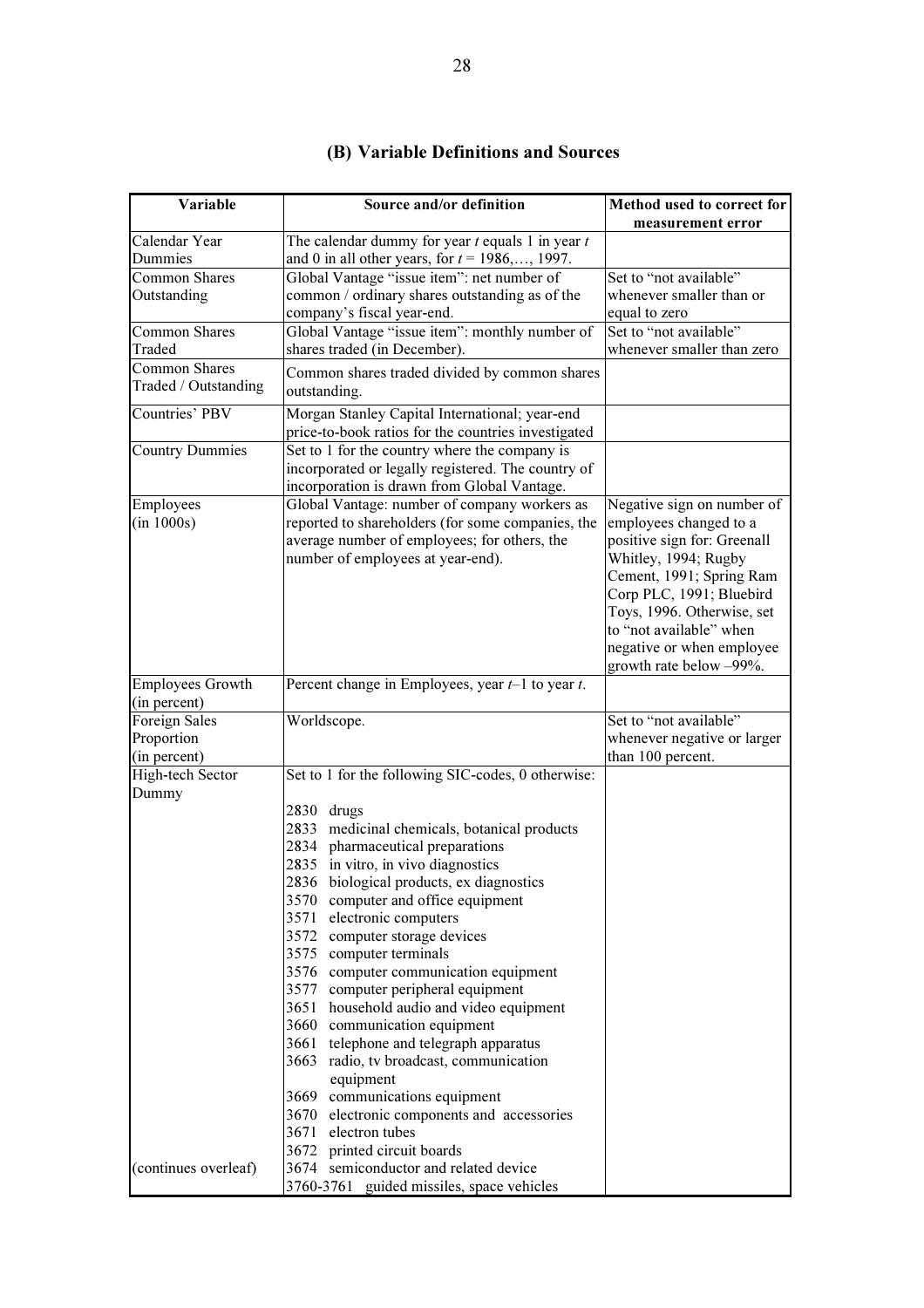# (B) Variable Definitions and Sources

| Variable                         | Source and/or definition                                                                                  | Method used to correct for  |
|----------------------------------|-----------------------------------------------------------------------------------------------------------|-----------------------------|
|                                  |                                                                                                           | measurement error           |
| Calendar Year<br>Dummies         | The calendar dummy for year $t$ equals 1 in year $t$<br>and 0 in all other years, for $t = 1986,, 1997$ . |                             |
| <b>Common Shares</b>             | Global Vantage "issue item": net number of                                                                | Set to "not available"      |
| Outstanding                      | common / ordinary shares outstanding as of the                                                            | whenever smaller than or    |
|                                  | company's fiscal year-end.                                                                                | equal to zero               |
| Common Shares                    | Global Vantage "issue item": monthly number of                                                            | Set to "not available"      |
| Traded                           | shares traded (in December).                                                                              | whenever smaller than zero  |
| <b>Common Shares</b>             | Common shares traded divided by common shares                                                             |                             |
| Traded / Outstanding             | outstanding.                                                                                              |                             |
| Countries' PBV                   | Morgan Stanley Capital International; year-end                                                            |                             |
|                                  | price-to-book ratios for the countries investigated                                                       |                             |
| <b>Country Dummies</b>           | Set to 1 for the country where the company is                                                             |                             |
|                                  | incorporated or legally registered. The country of<br>incorporation is drawn from Global Vantage.         |                             |
| Employees                        | Global Vantage: number of company workers as                                                              | Negative sign on number of  |
| (in 1000s)                       | reported to shareholders (for some companies, the                                                         | employees changed to a      |
|                                  | average number of employees; for others, the                                                              | positive sign for: Greenall |
|                                  | number of employees at year-end).                                                                         | Whitley, 1994; Rugby        |
|                                  |                                                                                                           | Cement, 1991; Spring Ram    |
|                                  |                                                                                                           | Corp PLC, 1991; Bluebird    |
|                                  |                                                                                                           | Toys, 1996. Otherwise, set  |
|                                  |                                                                                                           | to "not available" when     |
|                                  |                                                                                                           | negative or when employee   |
|                                  |                                                                                                           | growth rate below -99%.     |
| <b>Employees Growth</b>          | Percent change in Employees, year $t-1$ to year $t$ .                                                     |                             |
| (in percent)                     |                                                                                                           |                             |
| Foreign Sales                    | Worldscope.                                                                                               | Set to "not available"      |
| Proportion                       |                                                                                                           | whenever negative or larger |
| (in percent)<br>High-tech Sector | Set to 1 for the following SIC-codes, 0 otherwise:                                                        | than 100 percent.           |
| Dummy                            |                                                                                                           |                             |
|                                  | 2830 drugs                                                                                                |                             |
|                                  | 2833 medicinal chemicals, botanical products                                                              |                             |
|                                  | 2834 pharmaceutical preparations                                                                          |                             |
|                                  | 2835 in vitro, in vivo diagnostics                                                                        |                             |
|                                  | 2836 biological products, ex diagnostics                                                                  |                             |
|                                  | 3570 computer and office equipment                                                                        |                             |
|                                  | 3571 electronic computers                                                                                 |                             |
|                                  | 3572 computer storage devices                                                                             |                             |
|                                  | 3575 computer terminals                                                                                   |                             |
|                                  | 3576 computer communication equipment                                                                     |                             |
|                                  | 3577 computer peripheral equipment                                                                        |                             |
|                                  | 3651 household audio and video equipment                                                                  |                             |
|                                  | 3660 communication equipment                                                                              |                             |
|                                  | 3661 telephone and telegraph apparatus<br>3663 radio, tv broadcast, communication                         |                             |
|                                  | equipment                                                                                                 |                             |
|                                  | 3669 communications equipment                                                                             |                             |
|                                  | 3670 electronic components and accessories                                                                |                             |
|                                  | 3671 electron tubes                                                                                       |                             |
|                                  | 3672 printed circuit boards                                                                               |                             |
| (continues overleaf)             | 3674 semiconductor and related device                                                                     |                             |
|                                  | 3760-3761 guided missiles, space vehicles                                                                 |                             |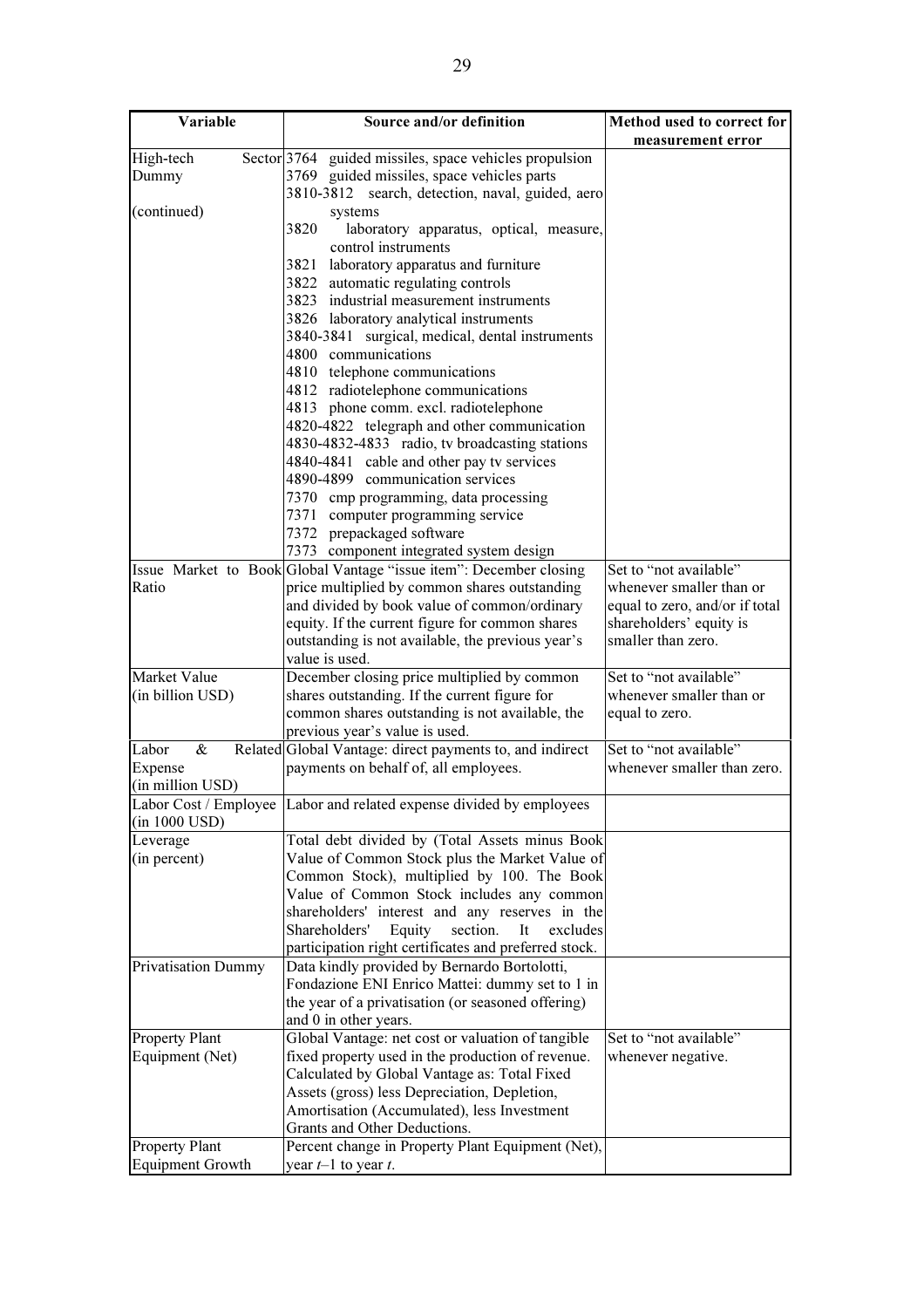| Variable                   | Source and/or definition                                             | Method used to correct for     |  |  |
|----------------------------|----------------------------------------------------------------------|--------------------------------|--|--|
|                            |                                                                      | measurement error              |  |  |
| High-tech                  | Sector 3764 guided missiles, space vehicles propulsion               |                                |  |  |
| Dummy                      | 3769 guided missiles, space vehicles parts                           |                                |  |  |
|                            | 3810-3812 search, detection, naval, guided, aero                     |                                |  |  |
| (continued)                | systems                                                              |                                |  |  |
|                            | 3820<br>laboratory apparatus, optical, measure,                      |                                |  |  |
|                            | control instruments                                                  |                                |  |  |
|                            | 3821 laboratory apparatus and furniture                              |                                |  |  |
|                            | 3822 automatic regulating controls                                   |                                |  |  |
|                            | 3823 industrial measurement instruments                              |                                |  |  |
|                            | 3826 laboratory analytical instruments                               |                                |  |  |
|                            | 3840-3841 surgical, medical, dental instruments                      |                                |  |  |
|                            | 4800 communications                                                  |                                |  |  |
|                            | 4810 telephone communications                                        |                                |  |  |
|                            | 4812 radiotelephone communications                                   |                                |  |  |
|                            | 4813 phone comm. excl. radiotelephone                                |                                |  |  |
|                            | 4820-4822 telegraph and other communication                          |                                |  |  |
|                            | 4830-4832-4833 radio, tv broadcasting stations                       |                                |  |  |
|                            | 4840-4841 cable and other pay tv services                            |                                |  |  |
|                            | 4890-4899 communication services                                     |                                |  |  |
|                            | 7370 cmp programming, data processing                                |                                |  |  |
|                            | 7371 computer programming service                                    |                                |  |  |
|                            | 7372 prepackaged software                                            |                                |  |  |
|                            | 7373 component integrated system design                              |                                |  |  |
|                            | Issue Market to Book Global Vantage "issue item": December closing   | Set to "not available"         |  |  |
| Ratio                      | price multiplied by common shares outstanding                        | whenever smaller than or       |  |  |
|                            | and divided by book value of common/ordinary                         | equal to zero, and/or if total |  |  |
|                            | equity. If the current figure for common shares                      | shareholders' equity is        |  |  |
|                            | outstanding is not available, the previous year's                    | smaller than zero.             |  |  |
|                            | value is used.                                                       |                                |  |  |
| Market Value               | December closing price multiplied by common                          | Set to "not available"         |  |  |
| (in billion USD)           | shares outstanding. If the current figure for                        | whenever smaller than or       |  |  |
|                            | common shares outstanding is not available, the                      | equal to zero.                 |  |  |
|                            | previous year's value is used.                                       |                                |  |  |
| &<br>Labor                 | Related Global Vantage: direct payments to, and indirect             | Set to "not available"         |  |  |
| Expense                    | payments on behalf of, all employees.                                | whenever smaller than zero.    |  |  |
| (in million USD)           |                                                                      |                                |  |  |
|                            | Labor Cost / Employee Labor and related expense divided by employees |                                |  |  |
| (in 1000 USD)              |                                                                      |                                |  |  |
| Leverage                   | Total debt divided by (Total Assets minus Book                       |                                |  |  |
| (in percent)               | Value of Common Stock plus the Market Value of                       |                                |  |  |
|                            | Common Stock), multiplied by 100. The Book                           |                                |  |  |
|                            | Value of Common Stock includes any common                            |                                |  |  |
|                            | shareholders' interest and any reserves in the                       |                                |  |  |
|                            | Shareholders'<br>Equity<br>section.<br>It<br>excludes                |                                |  |  |
|                            | participation right certificates and preferred stock.                |                                |  |  |
| <b>Privatisation Dummy</b> | Data kindly provided by Bernardo Bortolotti,                         |                                |  |  |
|                            | Fondazione ENI Enrico Mattei: dummy set to 1 in                      |                                |  |  |
|                            | the year of a privatisation (or seasoned offering)                   |                                |  |  |
|                            | and 0 in other years.                                                |                                |  |  |
| <b>Property Plant</b>      | Global Vantage: net cost or valuation of tangible                    | Set to "not available"         |  |  |
| Equipment (Net)            | fixed property used in the production of revenue.                    | whenever negative.             |  |  |
|                            | Calculated by Global Vantage as: Total Fixed                         |                                |  |  |
|                            | Assets (gross) less Depreciation, Depletion,                         |                                |  |  |
|                            | Amortisation (Accumulated), less Investment                          |                                |  |  |
|                            | Grants and Other Deductions.                                         |                                |  |  |
| <b>Property Plant</b>      | Percent change in Property Plant Equipment (Net),                    |                                |  |  |
| <b>Equipment Growth</b>    | year $t-1$ to year t.                                                |                                |  |  |
|                            |                                                                      |                                |  |  |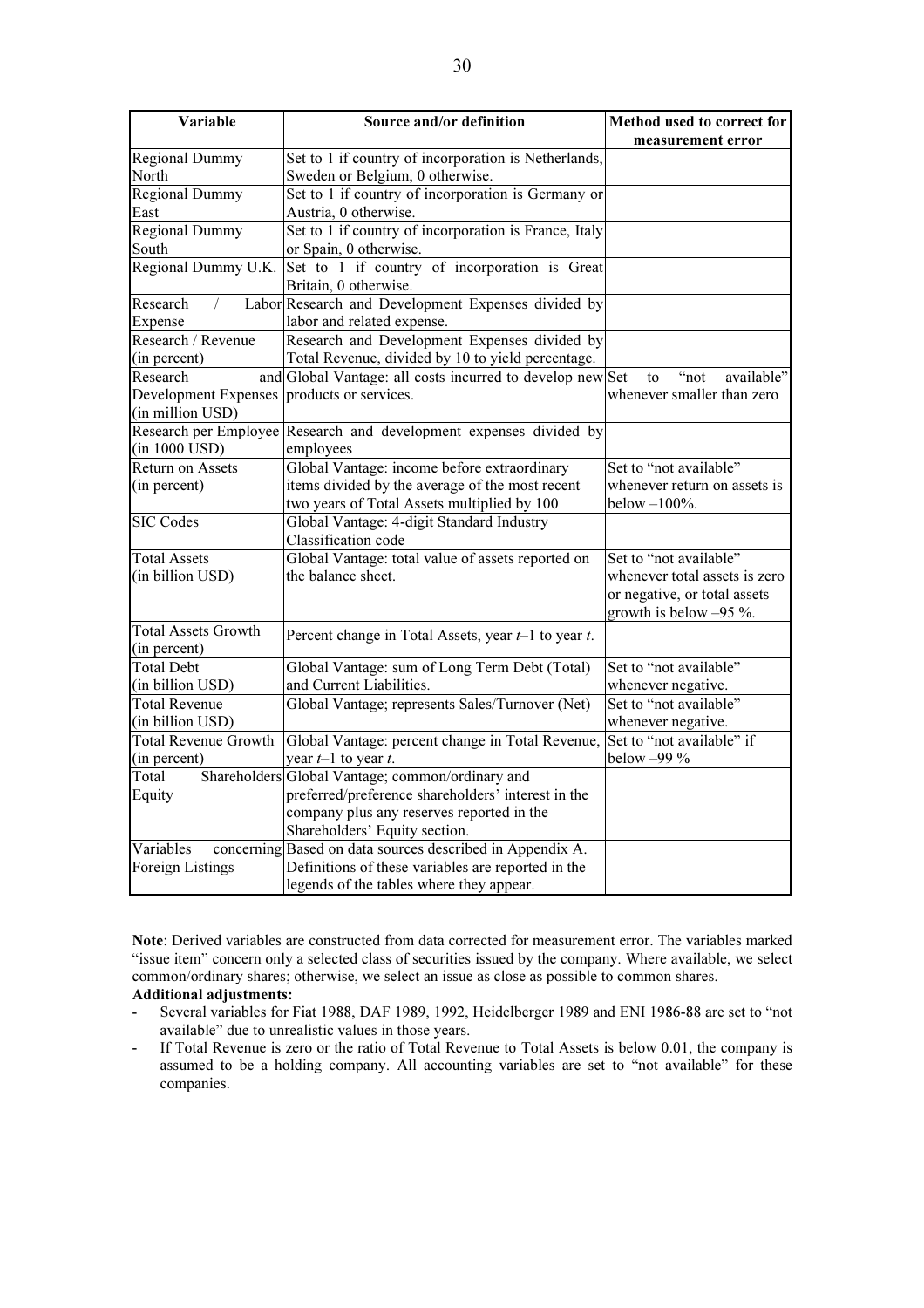| Variable                                   | Source and/or definition                                           | Method used to correct for    |
|--------------------------------------------|--------------------------------------------------------------------|-------------------------------|
|                                            |                                                                    | measurement error             |
| Regional Dummy                             | Set to 1 if country of incorporation is Netherlands,               |                               |
| North                                      | Sweden or Belgium, 0 otherwise.                                    |                               |
| <b>Regional Dummy</b>                      | Set to 1 if country of incorporation is Germany or                 |                               |
| East                                       | Austria, 0 otherwise.                                              |                               |
| <b>Regional Dummy</b>                      | Set to 1 if country of incorporation is France, Italy              |                               |
| South                                      | or Spain, 0 otherwise.                                             |                               |
| Regional Dummy U.K.                        | Set to 1 if country of incorporation is Great                      |                               |
|                                            | Britain, 0 otherwise.                                              |                               |
| Research                                   | Labor Research and Development Expenses divided by                 |                               |
| Expense                                    | labor and related expense.                                         |                               |
| Research / Revenue                         | Research and Development Expenses divided by                       |                               |
| (in percent)                               | Total Revenue, divided by 10 to yield percentage.                  |                               |
| Research                                   | and Global Vantage: all costs incurred to develop new Set          | available"<br>"not<br>to      |
| Development Expenses products or services. |                                                                    | whenever smaller than zero    |
| (in million USD)                           |                                                                    |                               |
|                                            | Research per Employee Research and development expenses divided by |                               |
| (in 1000 USD)                              | employees                                                          |                               |
| <b>Return on Assets</b>                    | Global Vantage: income before extraordinary                        | Set to "not available"        |
| (in percent)                               | items divided by the average of the most recent                    | whenever return on assets is  |
|                                            | two years of Total Assets multiplied by 100                        | below $-100%$ .               |
| <b>SIC Codes</b>                           | Global Vantage: 4-digit Standard Industry                          |                               |
|                                            | Classification code                                                |                               |
| <b>Total Assets</b>                        | Global Vantage: total value of assets reported on                  | Set to "not available"        |
| (in billion USD)                           | the balance sheet.                                                 | whenever total assets is zero |
|                                            |                                                                    | or negative, or total assets  |
|                                            |                                                                    | growth is below $-95$ %.      |
| <b>Total Assets Growth</b>                 | Percent change in Total Assets, year $t-1$ to year $t$ .           |                               |
| (in percent)                               |                                                                    |                               |
| <b>Total Debt</b>                          | Global Vantage: sum of Long Term Debt (Total)                      | Set to "not available"        |
| (in billion USD)                           | and Current Liabilities.                                           | whenever negative.            |
| <b>Total Revenue</b>                       | Global Vantage; represents Sales/Turnover (Net)                    | Set to "not available"        |
| (in billion USD)                           |                                                                    | whenever negative.            |
| <b>Total Revenue Growth</b>                | Global Vantage: percent change in Total Revenue,                   | Set to "not available" if     |
| (in percent)                               | year $t-1$ to year t.                                              | below $-99\%$                 |
| Total                                      | Shareholders Global Vantage; common/ordinary and                   |                               |
| Equity                                     | preferred/preference shareholders' interest in the                 |                               |
|                                            | company plus any reserves reported in the                          |                               |
|                                            | Shareholders' Equity section.                                      |                               |
| Variables                                  | concerning Based on data sources described in Appendix A.          |                               |
| <b>Foreign Listings</b>                    | Definitions of these variables are reported in the                 |                               |
|                                            | legends of the tables where they appear.                           |                               |

Note: Derived variables are constructed from data corrected for measurement error. The variables marked "issue item" concern only a selected class of securities issued by the company. Where available, we select common/ordinary shares; otherwise, we select an issue as close as possible to common shares.

### Additional adjustments:

- Several variables for Fiat 1988, DAF 1989, 1992, Heidelberger 1989 and ENI 1986-88 are set to "not available" due to unrealistic values in those years.
- If Total Revenue is zero or the ratio of Total Revenue to Total Assets is below 0.01, the company is assumed to be a holding company. All accounting variables are set to "not available" for these companies.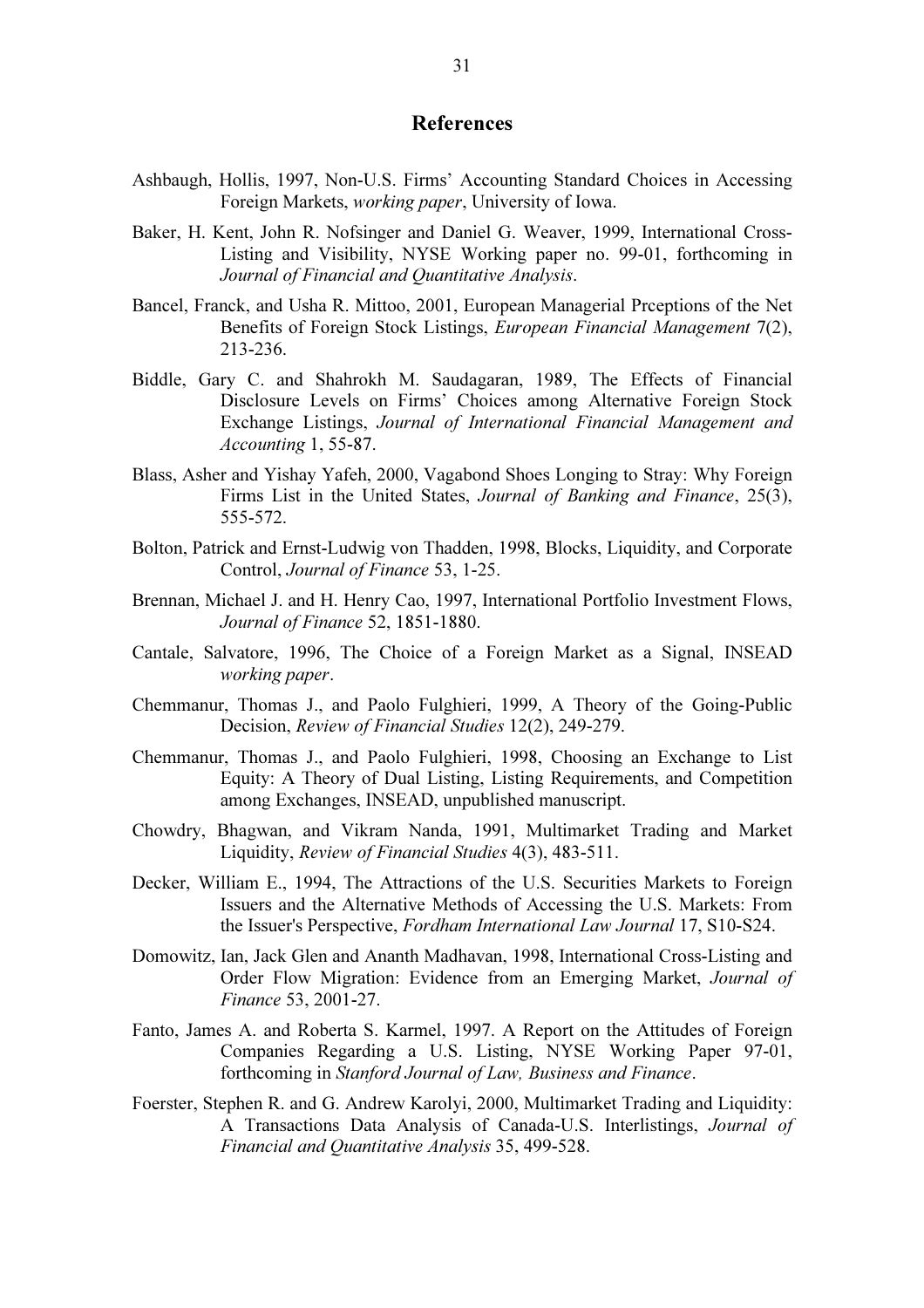### References

- Ashbaugh, Hollis, 1997, Non-U.S. Firms' Accounting Standard Choices in Accessing Foreign Markets, working paper, University of Iowa.
- Baker, H. Kent, John R. Nofsinger and Daniel G. Weaver, 1999, International Cross-Listing and Visibility, NYSE Working paper no. 99-01, forthcoming in Journal of Financial and Quantitative Analysis.
- Bancel, Franck, and Usha R. Mittoo, 2001, European Managerial Prceptions of the Net Benefits of Foreign Stock Listings, European Financial Management 7(2), 213-236.
- Biddle, Gary C. and Shahrokh M. Saudagaran, 1989, The Effects of Financial Disclosure Levels on Firms' Choices among Alternative Foreign Stock Exchange Listings, Journal of International Financial Management and Accounting 1, 55-87.
- Blass, Asher and Yishay Yafeh, 2000, Vagabond Shoes Longing to Stray: Why Foreign Firms List in the United States, Journal of Banking and Finance, 25(3), 555-572.
- Bolton, Patrick and Ernst-Ludwig von Thadden, 1998, Blocks, Liquidity, and Corporate Control, Journal of Finance 53, 1-25.
- Brennan, Michael J. and H. Henry Cao, 1997, International Portfolio Investment Flows, Journal of Finance 52, 1851-1880.
- Cantale, Salvatore, 1996, The Choice of a Foreign Market as a Signal, INSEAD working paper.
- Chemmanur, Thomas J., and Paolo Fulghieri, 1999, A Theory of the Going-Public Decision, Review of Financial Studies 12(2), 249-279.
- Chemmanur, Thomas J., and Paolo Fulghieri, 1998, Choosing an Exchange to List Equity: A Theory of Dual Listing, Listing Requirements, and Competition among Exchanges, INSEAD, unpublished manuscript.
- Chowdry, Bhagwan, and Vikram Nanda, 1991, Multimarket Trading and Market Liquidity, Review of Financial Studies 4(3), 483-511.
- Decker, William E., 1994, The Attractions of the U.S. Securities Markets to Foreign Issuers and the Alternative Methods of Accessing the U.S. Markets: From the Issuer's Perspective, Fordham International Law Journal 17, S10-S24.
- Domowitz, Ian, Jack Glen and Ananth Madhavan, 1998, International Cross-Listing and Order Flow Migration: Evidence from an Emerging Market, Journal of Finance 53, 2001-27.
- Fanto, James A. and Roberta S. Karmel, 1997. A Report on the Attitudes of Foreign Companies Regarding a U.S. Listing, NYSE Working Paper 97-01, forthcoming in Stanford Journal of Law, Business and Finance.
- Foerster, Stephen R. and G. Andrew Karolyi, 2000, Multimarket Trading and Liquidity: A Transactions Data Analysis of Canada-U.S. Interlistings, Journal of Financial and Quantitative Analysis 35, 499-528.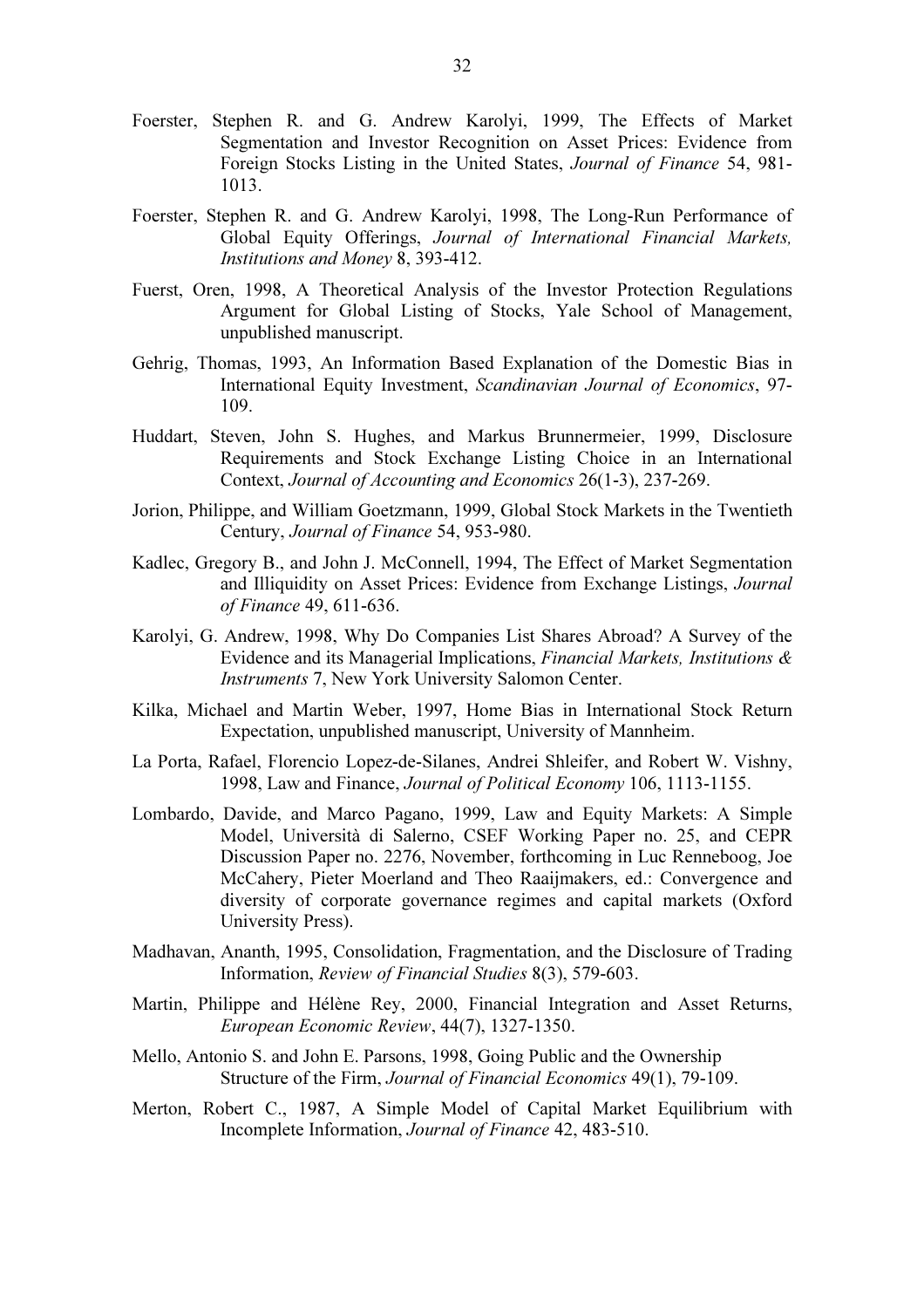- Foerster, Stephen R. and G. Andrew Karolyi, 1999, The Effects of Market Segmentation and Investor Recognition on Asset Prices: Evidence from Foreign Stocks Listing in the United States, Journal of Finance 54, 981- 1013.
- Foerster, Stephen R. and G. Andrew Karolyi, 1998, The Long-Run Performance of Global Equity Offerings, Journal of International Financial Markets, Institutions and Money 8, 393-412.
- Fuerst, Oren, 1998, A Theoretical Analysis of the Investor Protection Regulations Argument for Global Listing of Stocks, Yale School of Management, unpublished manuscript.
- Gehrig, Thomas, 1993, An Information Based Explanation of the Domestic Bias in International Equity Investment, Scandinavian Journal of Economics, 97- 109.
- Huddart, Steven, John S. Hughes, and Markus Brunnermeier, 1999, Disclosure Requirements and Stock Exchange Listing Choice in an International Context, Journal of Accounting and Economics 26(1-3), 237-269.
- Jorion, Philippe, and William Goetzmann, 1999, Global Stock Markets in the Twentieth Century, Journal of Finance 54, 953-980.
- Kadlec, Gregory B., and John J. McConnell, 1994, The Effect of Market Segmentation and Illiquidity on Asset Prices: Evidence from Exchange Listings, Journal of Finance 49, 611-636.
- Karolyi, G. Andrew, 1998, Why Do Companies List Shares Abroad? A Survey of the Evidence and its Managerial Implications, Financial Markets, Institutions & Instruments 7, New York University Salomon Center.
- Kilka, Michael and Martin Weber, 1997, Home Bias in International Stock Return Expectation, unpublished manuscript, University of Mannheim.
- La Porta, Rafael, Florencio Lopez-de-Silanes, Andrei Shleifer, and Robert W. Vishny, 1998, Law and Finance, Journal of Political Economy 106, 1113-1155.
- Lombardo, Davide, and Marco Pagano, 1999, Law and Equity Markets: A Simple Model, Università di Salerno, CSEF Working Paper no. 25, and CEPR Discussion Paper no. 2276, November, forthcoming in Luc Renneboog, Joe McCahery, Pieter Moerland and Theo Raaijmakers, ed.: Convergence and diversity of corporate governance regimes and capital markets (Oxford University Press).
- Madhavan, Ananth, 1995, Consolidation, Fragmentation, and the Disclosure of Trading Information, Review of Financial Studies 8(3), 579-603.
- Martin, Philippe and Hélène Rey, 2000, Financial Integration and Asset Returns, European Economic Review, 44(7), 1327-1350.
- Mello, Antonio S. and John E. Parsons, 1998, Going Public and the Ownership Structure of the Firm, Journal of Financial Economics 49(1), 79-109.
- Merton, Robert C., 1987, A Simple Model of Capital Market Equilibrium with Incomplete Information, Journal of Finance 42, 483-510.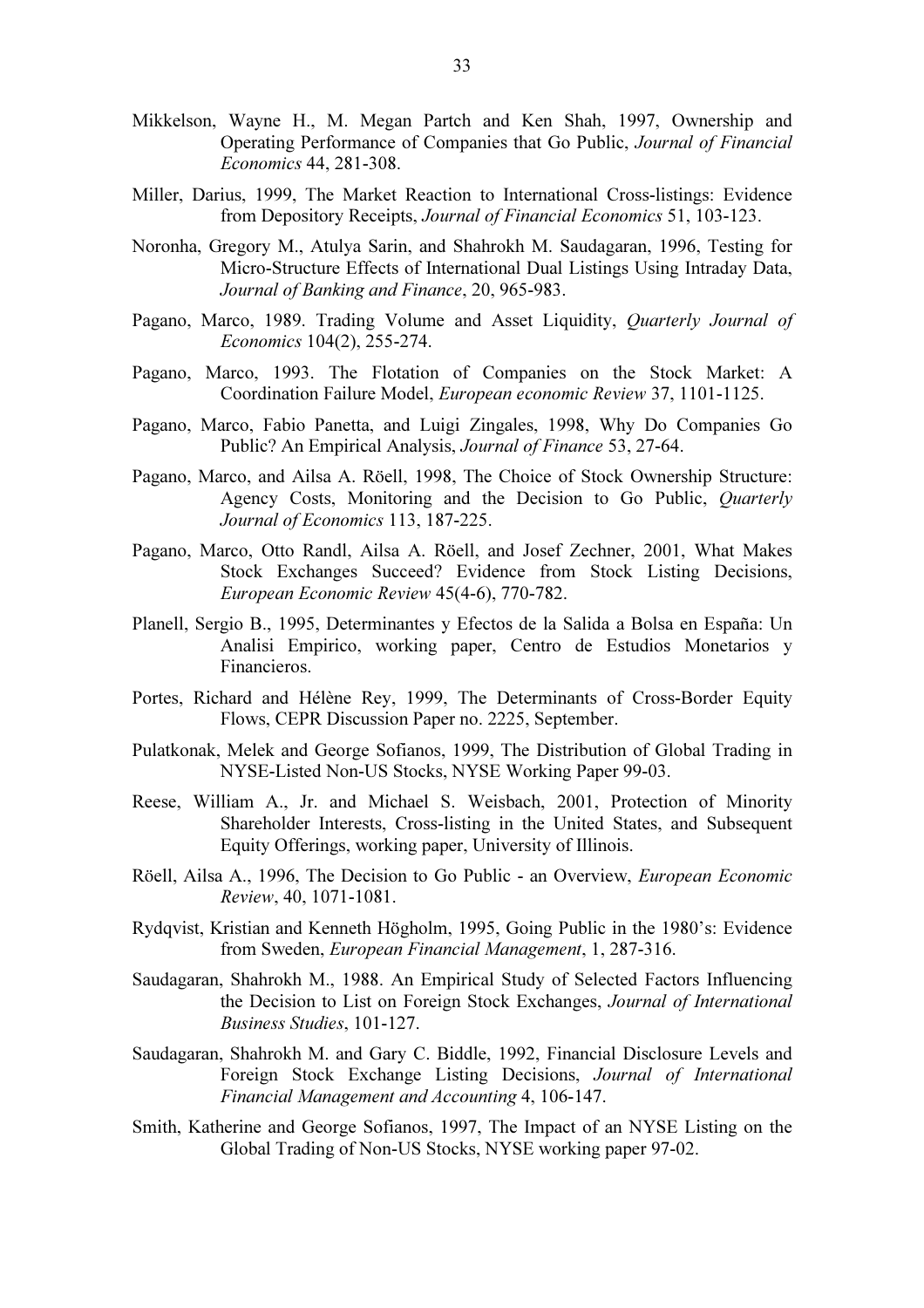- Mikkelson, Wayne H., M. Megan Partch and Ken Shah, 1997, Ownership and Operating Performance of Companies that Go Public, Journal of Financial Economics 44, 281-308.
- Miller, Darius, 1999, The Market Reaction to International Cross-listings: Evidence from Depository Receipts, Journal of Financial Economics 51, 103-123.
- Noronha, Gregory M., Atulya Sarin, and Shahrokh M. Saudagaran, 1996, Testing for Micro-Structure Effects of International Dual Listings Using Intraday Data, Journal of Banking and Finance, 20, 965-983.
- Pagano, Marco, 1989. Trading Volume and Asset Liquidity, Quarterly Journal of Economics 104(2), 255-274.
- Pagano, Marco, 1993. The Flotation of Companies on the Stock Market: A Coordination Failure Model, European economic Review 37, 1101-1125.
- Pagano, Marco, Fabio Panetta, and Luigi Zingales, 1998, Why Do Companies Go Public? An Empirical Analysis, Journal of Finance 53, 27-64.
- Pagano, Marco, and Ailsa A. Röell, 1998, The Choice of Stock Ownership Structure: Agency Costs, Monitoring and the Decision to Go Public, Quarterly Journal of Economics 113, 187-225.
- Pagano, Marco, Otto Randl, Ailsa A. Röell, and Josef Zechner, 2001, What Makes Stock Exchanges Succeed? Evidence from Stock Listing Decisions, European Economic Review 45(4-6), 770-782.
- Planell, Sergio B., 1995, Determinantes y Efectos de la Salida a Bolsa en España: Un Analisi Empirico, working paper, Centro de Estudios Monetarios y Financieros.
- Portes, Richard and Hélène Rey, 1999, The Determinants of Cross-Border Equity Flows, CEPR Discussion Paper no. 2225, September.
- Pulatkonak, Melek and George Sofianos, 1999, The Distribution of Global Trading in NYSE-Listed Non-US Stocks, NYSE Working Paper 99-03.
- Reese, William A., Jr. and Michael S. Weisbach, 2001, Protection of Minority Shareholder Interests, Cross-listing in the United States, and Subsequent Equity Offerings, working paper, University of Illinois.
- Röell, Ailsa A., 1996, The Decision to Go Public an Overview, European Economic Review, 40, 1071-1081.
- Rydqvist, Kristian and Kenneth Högholm, 1995, Going Public in the 1980's: Evidence from Sweden, European Financial Management, 1, 287-316.
- Saudagaran, Shahrokh M., 1988. An Empirical Study of Selected Factors Influencing the Decision to List on Foreign Stock Exchanges, Journal of International Business Studies, 101-127.
- Saudagaran, Shahrokh M. and Gary C. Biddle, 1992, Financial Disclosure Levels and Foreign Stock Exchange Listing Decisions, Journal of International Financial Management and Accounting 4, 106-147.
- Smith, Katherine and George Sofianos, 1997, The Impact of an NYSE Listing on the Global Trading of Non-US Stocks, NYSE working paper 97-02.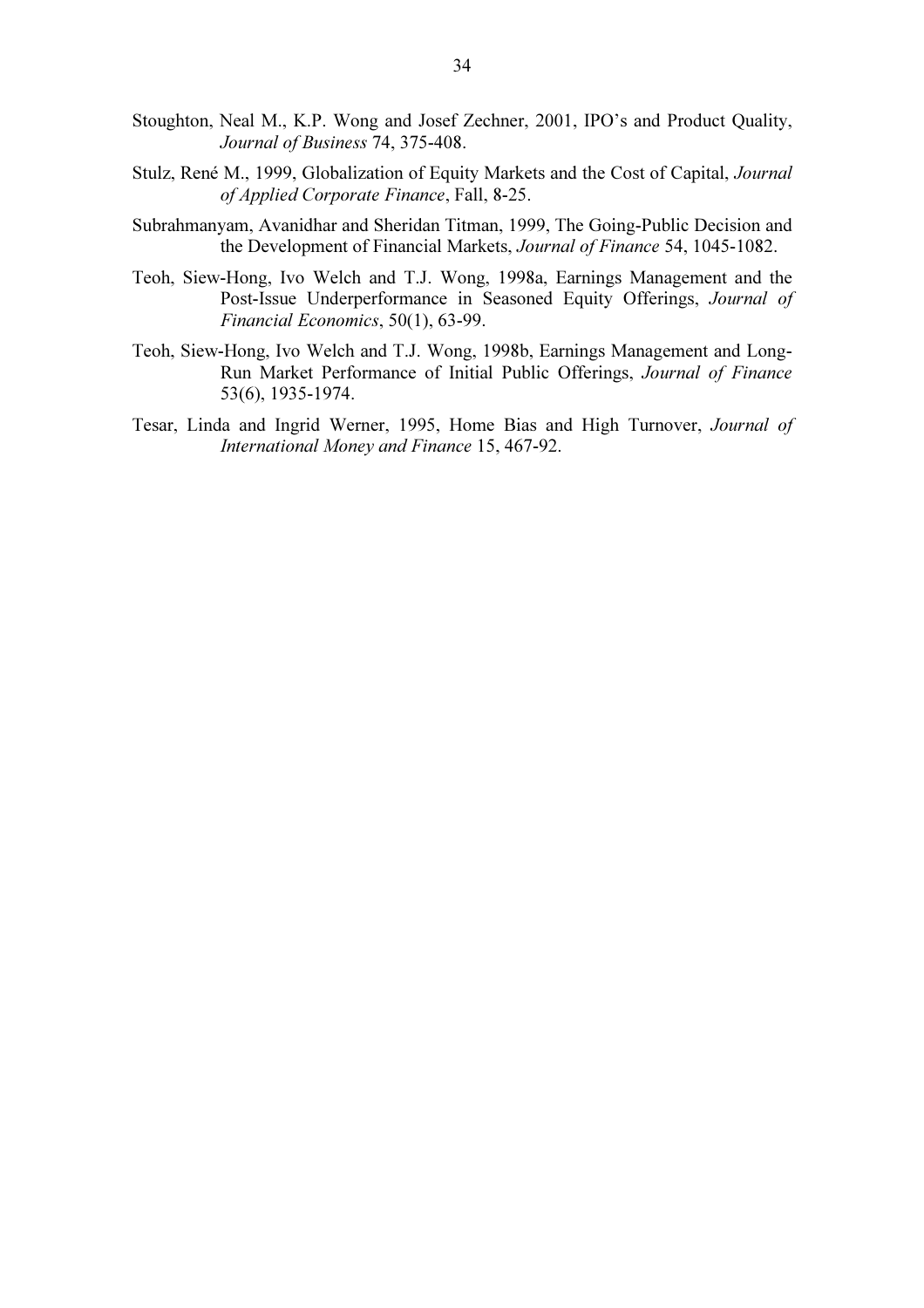- Stoughton, Neal M., K.P. Wong and Josef Zechner, 2001, IPO's and Product Quality, Journal of Business 74, 375-408.
- Stulz, René M., 1999, Globalization of Equity Markets and the Cost of Capital, Journal of Applied Corporate Finance, Fall, 8-25.
- Subrahmanyam, Avanidhar and Sheridan Titman, 1999, The Going-Public Decision and the Development of Financial Markets, Journal of Finance 54, 1045-1082.
- Teoh, Siew-Hong, Ivo Welch and T.J. Wong, 1998a, Earnings Management and the Post-Issue Underperformance in Seasoned Equity Offerings, Journal of Financial Economics, 50(1), 63-99.
- Teoh, Siew-Hong, Ivo Welch and T.J. Wong, 1998b, Earnings Management and Long-Run Market Performance of Initial Public Offerings, Journal of Finance 53(6), 1935-1974.
- Tesar, Linda and Ingrid Werner, 1995, Home Bias and High Turnover, Journal of International Money and Finance 15, 467-92.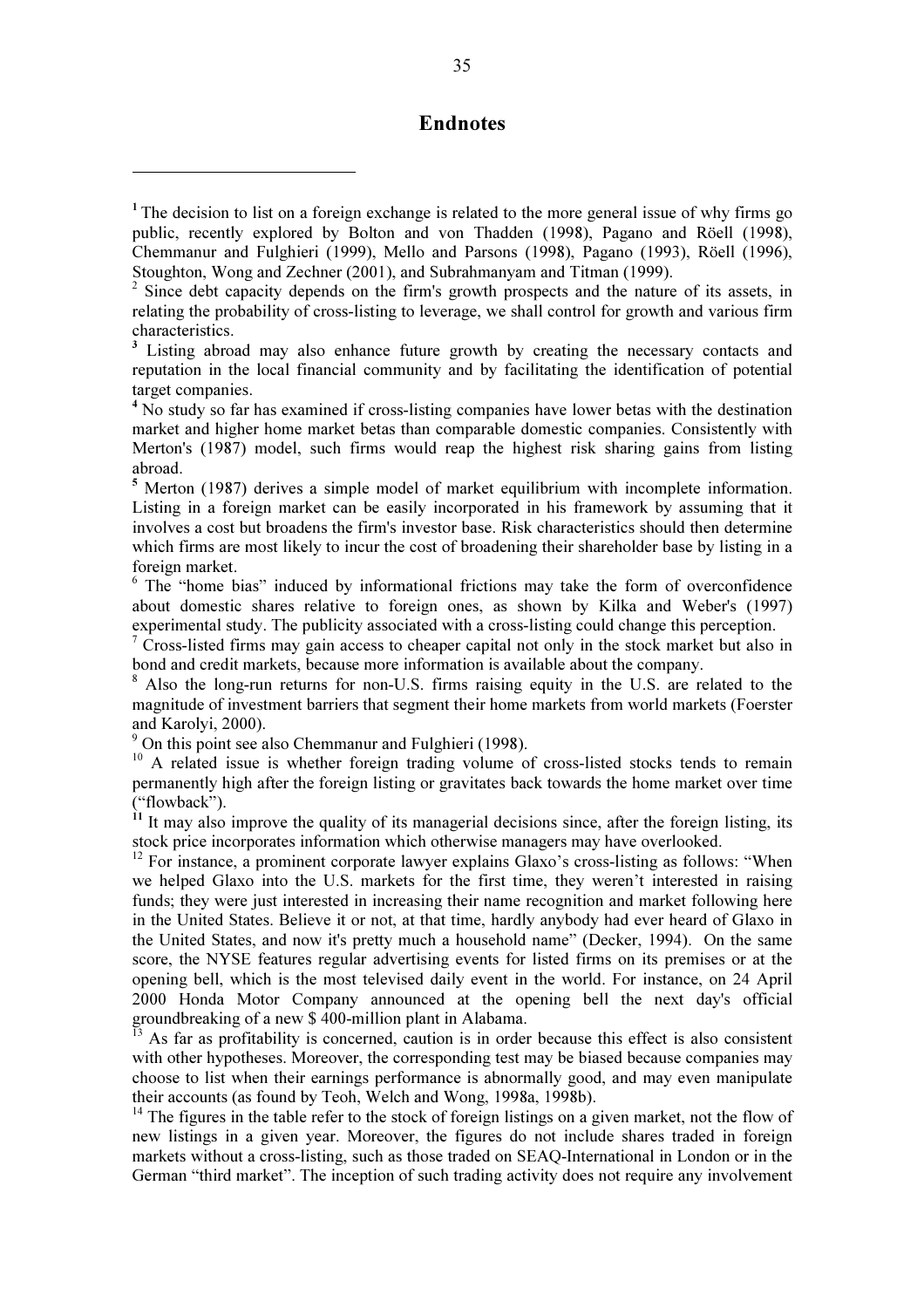# Endnotes

 $\overline{a}$ 

<sup>&</sup>lt;sup>1</sup> The decision to list on a foreign exchange is related to the more general issue of why firms go public, recently explored by Bolton and von Thadden (1998), Pagano and Röell (1998), Chemmanur and Fulghieri (1999), Mello and Parsons (1998), Pagano (1993), Röell (1996), Stoughton, Wong and Zechner (2001), and Subrahmanyam and Titman (1999).

<sup>2</sup> Since debt capacity depends on the firm's growth prospects and the nature of its assets, in relating the probability of cross-listing to leverage, we shall control for growth and various firm characteristics.

<sup>&</sup>lt;sup>3</sup> Listing abroad may also enhance future growth by creating the necessary contacts and reputation in the local financial community and by facilitating the identification of potential target companies.

<sup>&</sup>lt;sup>4</sup> No study so far has examined if cross-listing companies have lower betas with the destination market and higher home market betas than comparable domestic companies. Consistently with Merton's (1987) model, such firms would reap the highest risk sharing gains from listing abroad.

<sup>&</sup>lt;sup>5</sup> Merton (1987) derives a simple model of market equilibrium with incomplete information. Listing in a foreign market can be easily incorporated in his framework by assuming that it involves a cost but broadens the firm's investor base. Risk characteristics should then determine which firms are most likely to incur the cost of broadening their shareholder base by listing in a foreign market.

<sup>&</sup>lt;sup>6</sup> The "home bias" induced by informational frictions may take the form of overconfidence about domestic shares relative to foreign ones, as shown by Kilka and Weber's (1997) experimental study. The publicity associated with a cross-listing could change this perception.

 $\overrightarrow{C}$  Cross-listed firms may gain access to cheaper capital not only in the stock market but also in bond and credit markets, because more information is available about the company.

<sup>&</sup>lt;sup>8</sup> Also the long-run returns for non-U.S. firms raising equity in the U.S. are related to the magnitude of investment barriers that segment their home markets from world markets (Foerster and Karolyi, 2000).

<sup>&</sup>lt;sup>9</sup> On this point see also Chemmanur and Fulghieri (1998).

 $10$  A related issue is whether foreign trading volume of cross-listed stocks tends to remain permanently high after the foreign listing or gravitates back towards the home market over time ("flowback").

 $\hat{I}$ <sup>1</sup> It may also improve the quality of its managerial decisions since, after the foreign listing, its stock price incorporates information which otherwise managers may have overlooked.

 $12$  For instance, a prominent corporate lawyer explains Glaxo's cross-listing as follows: "When we helped Glaxo into the U.S. markets for the first time, they weren't interested in raising funds; they were just interested in increasing their name recognition and market following here in the United States. Believe it or not, at that time, hardly anybody had ever heard of Glaxo in the United States, and now it's pretty much a household name" (Decker, 1994). On the same score, the NYSE features regular advertising events for listed firms on its premises or at the opening bell, which is the most televised daily event in the world. For instance, on 24 April 2000 Honda Motor Company announced at the opening bell the next day's official groundbreaking of a new \$ 400-million plant in Alabama.

 $\overline{13}$  As far as profitability is concerned, caution is in order because this effect is also consistent with other hypotheses. Moreover, the corresponding test may be biased because companies may choose to list when their earnings performance is abnormally good, and may even manipulate their accounts (as found by Teoh, Welch and Wong, 1998a, 1998b).

 $14$  The figures in the table refer to the stock of foreign listings on a given market, not the flow of new listings in a given year. Moreover, the figures do not include shares traded in foreign markets without a cross-listing, such as those traded on SEAQ-International in London or in the German "third market". The inception of such trading activity does not require any involvement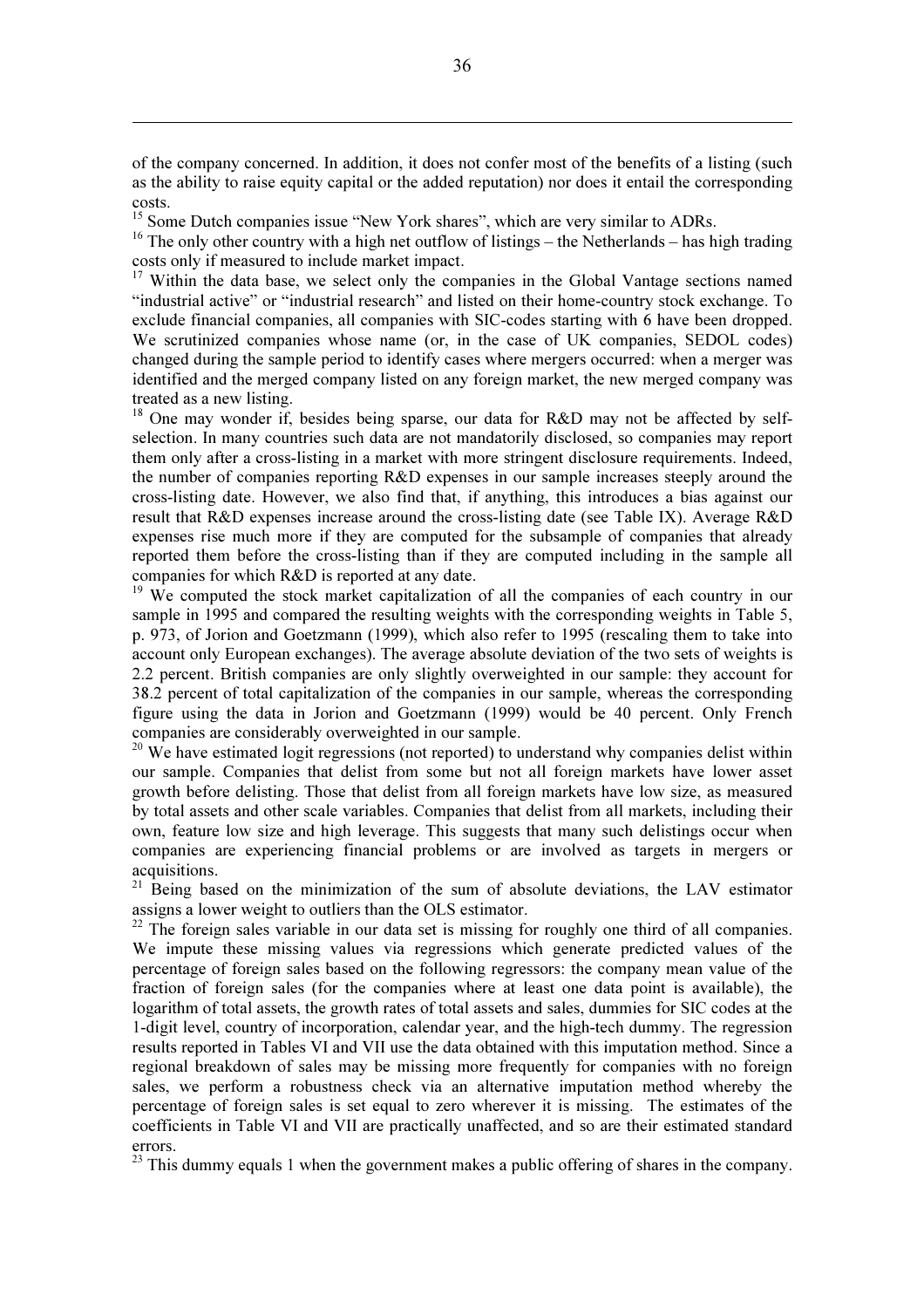of the company concerned. In addition, it does not confer most of the benefits of a listing (such as the ability to raise equity capital or the added reputation) nor does it entail the corresponding costs.

<sup>15</sup> Some Dutch companies issue "New York shares", which are very similar to ADRs.

 $\overline{a}$ 

<sup>16</sup> The only other country with a high net outflow of listings – the Netherlands – has high trading costs only if measured to include market impact.

 $17$  Within the data base, we select only the companies in the Global Vantage sections named "industrial active" or "industrial research" and listed on their home-country stock exchange. To exclude financial companies, all companies with SIC-codes starting with 6 have been dropped. We scrutinized companies whose name (or, in the case of UK companies, SEDOL codes) changed during the sample period to identify cases where mergers occurred: when a merger was identified and the merged company listed on any foreign market, the new merged company was treated as a new listing.

 $18$  One may wonder if, besides being sparse, our data for R&D may not be affected by selfselection. In many countries such data are not mandatorily disclosed, so companies may report them only after a cross-listing in a market with more stringent disclosure requirements. Indeed, the number of companies reporting R&D expenses in our sample increases steeply around the cross-listing date. However, we also find that, if anything, this introduces a bias against our result that R&D expenses increase around the cross-listing date (see Table IX). Average R&D expenses rise much more if they are computed for the subsample of companies that already reported them before the cross-listing than if they are computed including in the sample all companies for which R&D is reported at any date.

 $19$  We computed the stock market capitalization of all the companies of each country in our sample in 1995 and compared the resulting weights with the corresponding weights in Table 5, p. 973, of Jorion and Goetzmann (1999), which also refer to 1995 (rescaling them to take into account only European exchanges). The average absolute deviation of the two sets of weights is 2.2 percent. British companies are only slightly overweighted in our sample: they account for 38.2 percent of total capitalization of the companies in our sample, whereas the corresponding figure using the data in Jorion and Goetzmann (1999) would be 40 percent. Only French companies are considerably overweighted in our sample.

 $20$  We have estimated logit regressions (not reported) to understand why companies delist within our sample. Companies that delist from some but not all foreign markets have lower asset growth before delisting. Those that delist from all foreign markets have low size, as measured by total assets and other scale variables. Companies that delist from all markets, including their own, feature low size and high leverage. This suggests that many such delistings occur when companies are experiencing financial problems or are involved as targets in mergers or acquisitions.

 $21$  Being based on the minimization of the sum of absolute deviations, the LAV estimator assigns a lower weight to outliers than the OLS estimator.

 $22$  The foreign sales variable in our data set is missing for roughly one third of all companies. We impute these missing values via regressions which generate predicted values of the percentage of foreign sales based on the following regressors: the company mean value of the fraction of foreign sales (for the companies where at least one data point is available), the logarithm of total assets, the growth rates of total assets and sales, dummies for SIC codes at the 1-digit level, country of incorporation, calendar year, and the high-tech dummy. The regression results reported in Tables VI and VII use the data obtained with this imputation method. Since a regional breakdown of sales may be missing more frequently for companies with no foreign sales, we perform a robustness check via an alternative imputation method whereby the percentage of foreign sales is set equal to zero wherever it is missing. The estimates of the coefficients in Table VI and VII are practically unaffected, and so are their estimated standard errors.

 $23$  This dummy equals 1 when the government makes a public offering of shares in the company.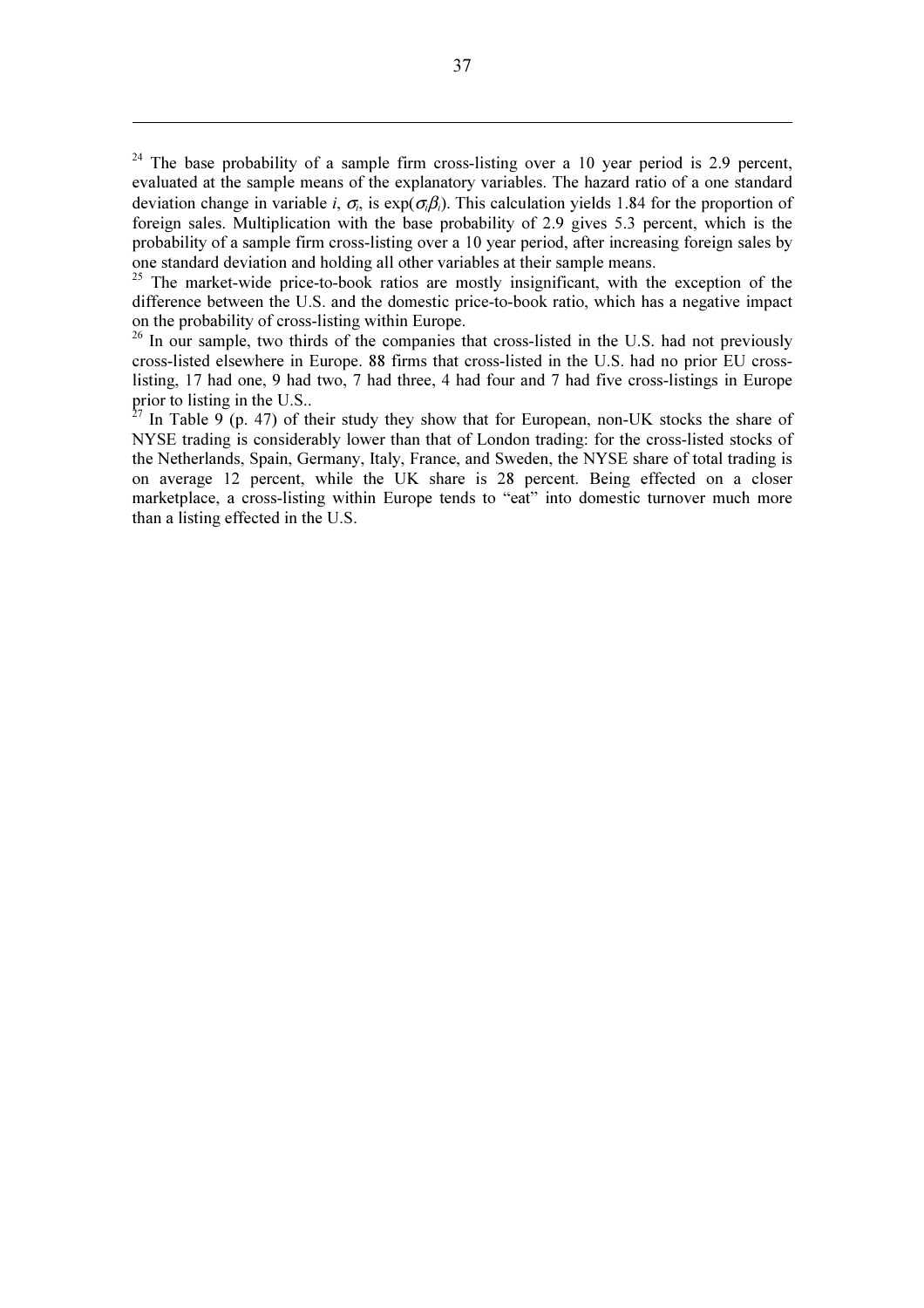<sup>24</sup> The base probability of a sample firm cross-listing over a 10 year period is 2.9 percent, evaluated at the sample means of the explanatory variables. The hazard ratio of a one standard deviation change in variable i,  $\sigma_i$ , is exp( $\sigma_i\beta_i$ ). This calculation yields 1.84 for the proportion of foreign sales. Multiplication with the base probability of 2.9 gives 5.3 percent, which is the probability of a sample firm cross-listing over a 10 year period, after increasing foreign sales by one standard deviation and holding all other variables at their sample means.

 $25$  The market-wide price-to-book ratios are mostly insignificant, with the exception of the difference between the U.S. and the domestic price-to-book ratio, which has a negative impact on the probability of cross-listing within Europe.

 $26$  In our sample, two thirds of the companies that cross-listed in the U.S. had not previously cross-listed elsewhere in Europe. 88 firms that cross-listed in the U.S. had no prior EU crosslisting, 17 had one, 9 had two, 7 had three, 4 had four and 7 had five cross-listings in Europe prior to listing in the U.S..

<sup>27</sup> In Table 9 (p. 47) of their study they show that for European, non-UK stocks the share of NYSE trading is considerably lower than that of London trading: for the cross-listed stocks of the Netherlands, Spain, Germany, Italy, France, and Sweden, the NYSE share of total trading is on average 12 percent, while the UK share is 28 percent. Being effected on a closer marketplace, a cross-listing within Europe tends to "eat" into domestic turnover much more than a listing effected in the U.S.

 $\overline{a}$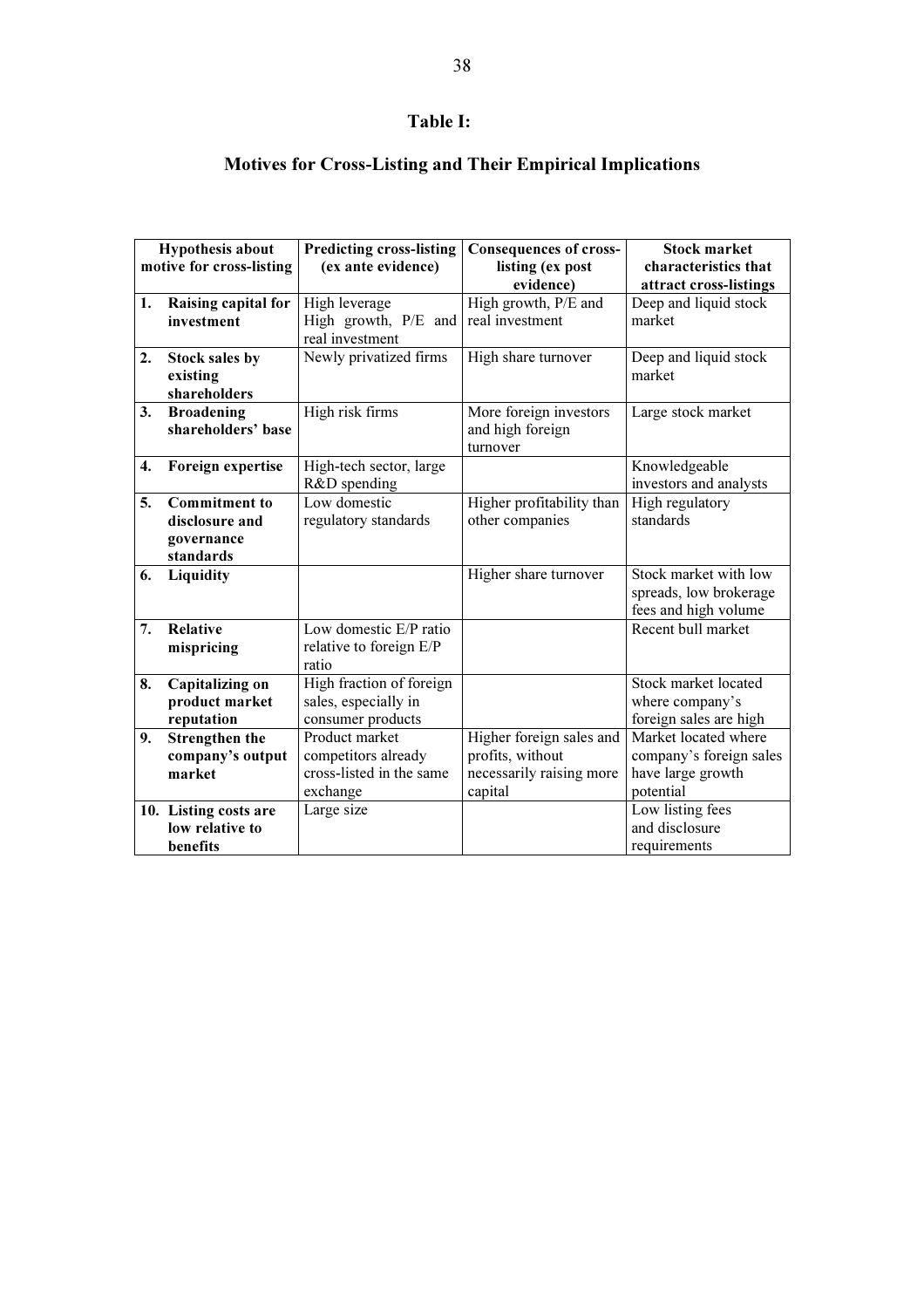# Table I:

# Motives for Cross-Listing and Their Empirical Implications

|    | <b>Hypothesis about</b>  | <b>Predicting cross-listing</b> | <b>Consequences of cross-</b> | <b>Stock market</b>     |
|----|--------------------------|---------------------------------|-------------------------------|-------------------------|
|    | motive for cross-listing | (ex ante evidence)              | listing (ex post              | characteristics that    |
|    |                          |                                 | evidence)                     | attract cross-listings  |
| 1. | Raising capital for      | High leverage                   | High growth, P/E and          | Deep and liquid stock   |
|    | investment               | High growth, P/E and            | real investment               | market                  |
|    |                          | real investment                 |                               |                         |
| 2. | <b>Stock sales by</b>    | Newly privatized firms          | High share turnover           | Deep and liquid stock   |
|    | existing                 |                                 |                               | market                  |
|    | shareholders             |                                 |                               |                         |
| 3. | <b>Broadening</b>        | High risk firms                 | More foreign investors        | Large stock market      |
|    | shareholders' base       |                                 | and high foreign              |                         |
|    |                          |                                 | turnover                      |                         |
| 4. | Foreign expertise        | High-tech sector, large         |                               | Knowledgeable           |
|    |                          | R&D spending                    |                               | investors and analysts  |
| 5. | <b>Commitment</b> to     | Low domestic                    | Higher profitability than     | High regulatory         |
|    | disclosure and           | regulatory standards            | other companies               | standards               |
|    | governance               |                                 |                               |                         |
|    | standards                |                                 |                               |                         |
| 6. | Liquidity                |                                 | Higher share turnover         | Stock market with low   |
|    |                          |                                 |                               | spreads, low brokerage  |
|    |                          |                                 |                               | fees and high volume    |
| 7. | <b>Relative</b>          | Low domestic E/P ratio          |                               | Recent bull market      |
|    | mispricing               | relative to foreign E/P         |                               |                         |
|    |                          | ratio                           |                               |                         |
| 8. | <b>Capitalizing on</b>   | High fraction of foreign        |                               | Stock market located    |
|    | product market           | sales, especially in            |                               | where company's         |
|    | reputation               | consumer products               |                               | foreign sales are high  |
| 9. | <b>Strengthen the</b>    | Product market                  | Higher foreign sales and      | Market located where    |
|    | company's output         | competitors already             | profits, without              | company's foreign sales |
|    | market                   | cross-listed in the same        | necessarily raising more      | have large growth       |
|    |                          | exchange                        | capital                       | potential               |
|    | 10. Listing costs are    | Large size                      |                               | Low listing fees        |
|    | low relative to          |                                 |                               | and disclosure          |
|    | benefits                 |                                 |                               | requirements            |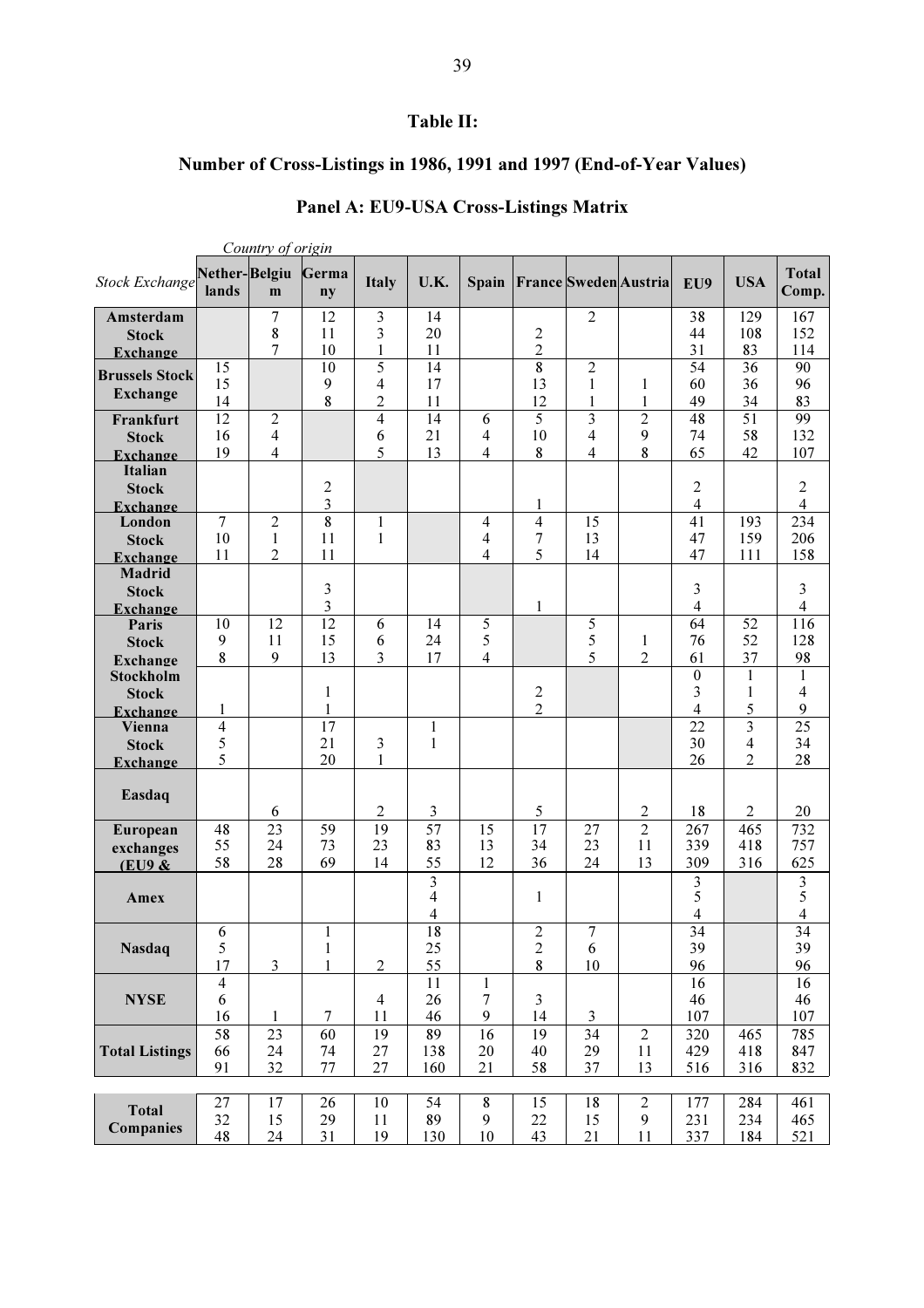# Table II:

# Number of Cross-Listings in 1986, 1991 and 1997 (End-of-Year Values)

|                                 |                          | Country of origin   |                                   |                         |                                   |                     |                                  |                       |                |                                       |                         |                                                |
|---------------------------------|--------------------------|---------------------|-----------------------------------|-------------------------|-----------------------------------|---------------------|----------------------------------|-----------------------|----------------|---------------------------------------|-------------------------|------------------------------------------------|
| <b>Stock Exchange</b>           | Nether-Belgiu<br>lands   | $\mathbf{m}$        | Germa<br>ny                       | <b>Italy</b>            | U.K.                              | Spain               |                                  | France Sweden Austria |                | EU9                                   | <b>USA</b>              | <b>Total</b><br>Comp.                          |
| Amsterdam                       |                          | $\overline{7}$      | 12                                | $\overline{\mathbf{3}}$ | 14                                |                     |                                  | $\overline{c}$        |                | 38                                    | 129                     | 167                                            |
| <b>Stock</b>                    |                          | 8                   | 11                                | 3                       | 20                                |                     | $\overline{c}$                   |                       |                | 44                                    | 108                     | 152                                            |
| Exchange                        |                          | 7                   | 10                                | 1                       | 11                                |                     | $\overline{c}$                   |                       |                | 31                                    | 83                      | 114                                            |
| <b>Brussels Stock</b>           | 15<br>15                 |                     | 10<br>9                           | 5<br>$\overline{4}$     | 14<br>17                          |                     | 8<br>13                          | $\sqrt{2}$<br>1       |                | 54<br>60                              | 36<br>36                | 90<br>96                                       |
| <b>Exchange</b>                 | 14                       |                     | 8                                 | $\overline{c}$          | 11                                |                     | 12                               | 1                     | 1<br>1         | 49                                    | 34                      | 83                                             |
| Frankfurt                       | 12                       | 2                   |                                   | $\overline{4}$          | 14                                | 6                   | 5                                | 3                     | $\overline{2}$ | 48                                    | 51                      | 99                                             |
| <b>Stock</b>                    | 16                       | 4                   |                                   | 6                       | 21                                | $\overline{4}$      | 10                               | $\overline{4}$        | 9              | 74                                    | 58                      | 132                                            |
| <b>Exchange</b>                 | 19                       | 4                   |                                   | 5                       | 13                                | $\overline{4}$      | 8                                | $\overline{4}$        | 8              | 65                                    | 42                      | 107                                            |
| <b>Italian</b>                  |                          |                     |                                   |                         |                                   |                     |                                  |                       |                |                                       |                         |                                                |
| <b>Stock</b>                    |                          |                     | $\overline{c}$                    |                         |                                   |                     |                                  |                       |                | 2                                     |                         | $\overline{2}$                                 |
| <b>Exchange</b>                 |                          |                     | $\overline{\mathbf{3}}$           |                         |                                   |                     | 1                                |                       |                | $\overline{4}$                        |                         | $\overline{4}$                                 |
| London                          | $\overline{7}$<br>10     | $\overline{c}$<br>1 | $\overline{\boldsymbol{8}}$<br>11 | 1<br>$\mathbf{1}$       |                                   | $\overline{4}$<br>4 | 4<br>7                           | 15<br>13              |                | 41<br>47                              | 193<br>159              | 234<br>206                                     |
| <b>Stock</b><br><b>Exchange</b> | 11                       | $\overline{c}$      | 11                                |                         |                                   | 4                   | 5                                | 14                    |                | 47                                    | 111                     | 158                                            |
| <b>Madrid</b>                   |                          |                     |                                   |                         |                                   |                     |                                  |                       |                |                                       |                         |                                                |
| <b>Stock</b>                    |                          |                     | 3                                 |                         |                                   |                     |                                  |                       |                | 3                                     |                         | 3                                              |
| <b>Exchange</b>                 |                          |                     | $\overline{\mathbf{3}}$           |                         |                                   |                     | 1                                |                       |                | $\overline{4}$                        |                         | $\overline{4}$                                 |
| Paris                           | 10                       | 12                  | 12                                | 6                       | 14                                | 5                   |                                  | $\sqrt{5}$            |                | 64                                    | 52                      | 116                                            |
| <b>Stock</b>                    | 9                        | 11                  | 15                                | 6                       | 24                                | 5                   |                                  | 5                     | 1              | 76                                    | 52                      | 128                                            |
| Exchange                        | 8                        | 9                   | 13                                | 3                       | 17                                | 4                   |                                  | 5                     | $\overline{2}$ | 61                                    | 37                      | 98                                             |
| Stockholm                       |                          |                     |                                   |                         |                                   |                     |                                  |                       |                | $\boldsymbol{0}$                      | 1                       | $\mathbf{1}$                                   |
| <b>Stock</b>                    | 1                        |                     | $\mathbf{1}$<br>$\mathbf{1}$      |                         |                                   |                     | $\overline{c}$<br>$\overline{2}$ |                       |                | 3<br>$\overline{4}$                   | 1<br>5                  | $\overline{4}$<br>9                            |
| Exchange<br>Vienna              | $\overline{\mathcal{L}}$ |                     | 17                                |                         | $\mathbf{1}$                      |                     |                                  |                       |                | 22                                    | $\overline{\mathbf{3}}$ | 25                                             |
| <b>Stock</b>                    | 5                        |                     | 21                                | 3                       | 1                                 |                     |                                  |                       |                | 30                                    | $\overline{4}$          | 34                                             |
| Exchange                        | 5                        |                     | 20                                | 1                       |                                   |                     |                                  |                       |                | 26                                    | $\overline{2}$          | 28                                             |
| Easdaq                          |                          | 6                   |                                   | $\sqrt{2}$              | $\overline{3}$                    |                     | 5                                |                       | $\overline{2}$ | 18                                    | $\overline{c}$          | 20                                             |
| European                        | 48                       | 23                  | 59                                | 19                      | $\overline{57}$                   | 15                  | $\overline{17}$                  | 27                    | $\overline{2}$ | 267                                   | 465                     | 732                                            |
| exchanges                       | 55                       | 24                  | 73                                | 23                      | 83                                | 13                  | 34                               | 23                    | 11             | 339                                   | 418                     | 757                                            |
| (EU9 &                          | 58                       | 28                  | 69                                | 14                      | 55                                | 12                  | 36                               | 24                    | 13             | 309                                   | 316                     | 625                                            |
| Amex                            |                          |                     |                                   |                         | $\overline{\mathbf{3}}$<br>4<br>4 |                     | 1                                |                       |                | $\mathfrak{Z}$<br>5<br>$\overline{4}$ |                         | $\mathfrak{Z}$<br>5<br>$\overline{\mathbf{4}}$ |
|                                 | 6                        |                     | $\,$ 1 $\,$                       |                         | 18                                |                     | $\overline{c}$                   | $\sqrt{ }$            |                | $\overline{34}$                       |                         | 34                                             |
| <b>Nasdaq</b>                   | 5                        |                     | 1                                 |                         | 25                                |                     | $\overline{2}$                   | 6                     |                | 39                                    |                         | 39                                             |
|                                 | 17                       | $\mathfrak{Z}$      | 1                                 | $\overline{2}$          | 55                                |                     | 8                                | 10                    |                | 96                                    |                         | 96                                             |
| <b>NYSE</b>                     | $\overline{4}$<br>6      |                     |                                   | 4                       | 11<br>26                          | $\mathbf{1}$<br>7   | 3                                |                       |                | 16<br>46                              |                         | 16<br>46                                       |
|                                 | 16                       | 1                   | $\tau$                            | 11                      | 46                                | 9                   | 14                               | $\mathfrak{Z}$        |                | 107                                   |                         | 107                                            |
|                                 | 58                       | 23                  | 60                                | 19                      | 89                                | 16                  | 19                               | 34                    | $\sqrt{2}$     | 320                                   | 465                     | 785                                            |
| <b>Total Listings</b>           | 66                       | 24                  | 74                                | 27                      | 138                               | 20                  | 40                               | 29                    | 11             | 429                                   | 418                     | 847                                            |
|                                 | 91                       | 32                  | $77 \,$                           | $27\,$                  | 160                               | 21                  | 58                               | 37                    | 13             | 516                                   | 316                     | 832                                            |
|                                 |                          |                     |                                   |                         |                                   |                     |                                  |                       |                |                                       |                         |                                                |
| <b>Total</b>                    | $27\,$                   | 17                  | 26                                | 10                      | 54                                | $\bf 8$             | 15                               | 18                    | $\overline{c}$ | 177                                   | 284                     | 461                                            |
| Companies                       | 32                       | 15                  | 29                                | 11                      | 89                                | 9                   | 22                               | 15                    | 9              | 231                                   | 234                     | 465                                            |
|                                 | 48                       | 24                  | 31                                | 19                      | 130                               | 10                  | 43                               | 21                    | 11             | 337                                   | 184                     | 521                                            |

# Panel A: EU9-USA Cross-Listings Matrix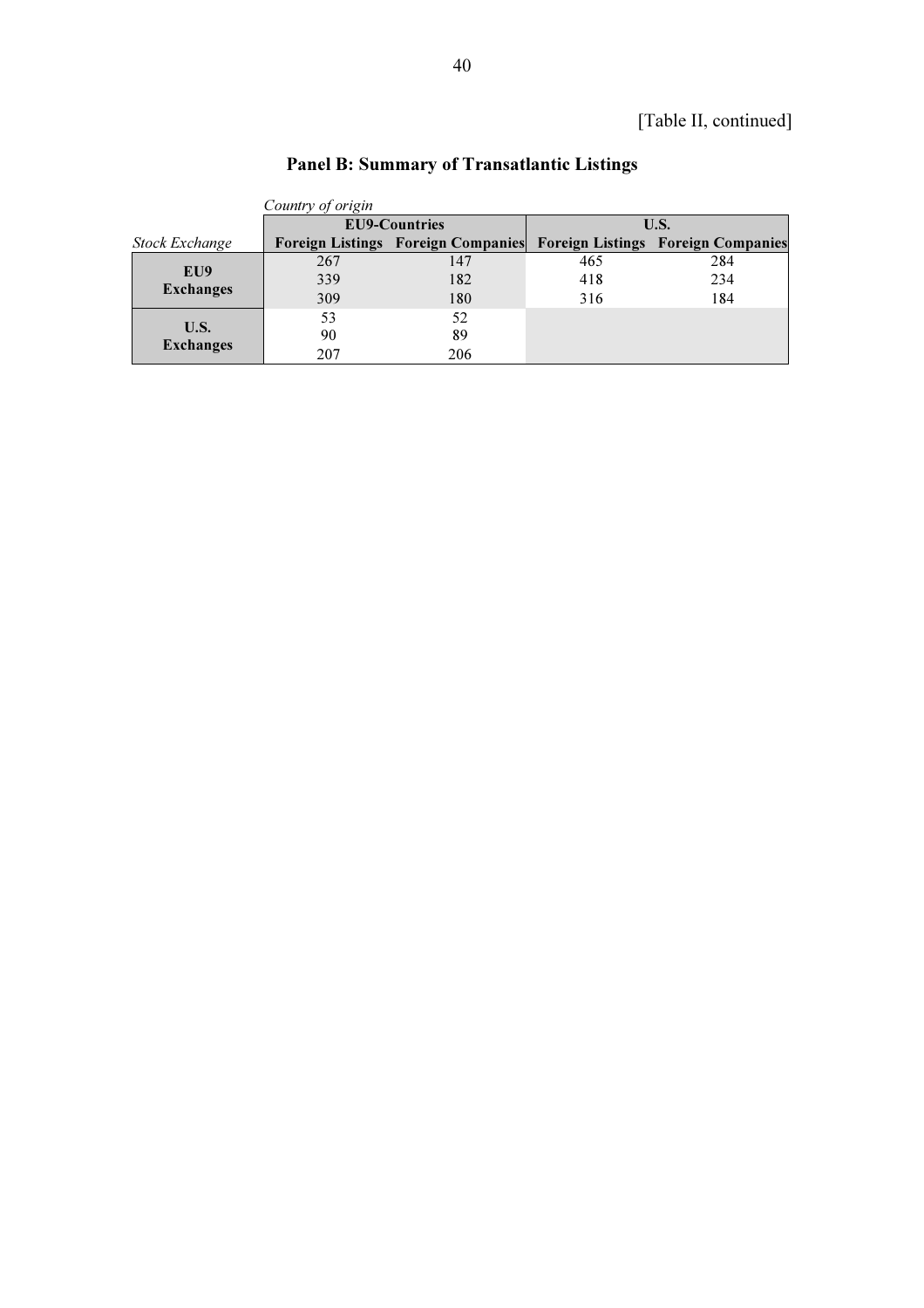# [Table II, continued]

|                       | Country of origin |                                                                              |     |      |
|-----------------------|-------------------|------------------------------------------------------------------------------|-----|------|
|                       |                   | <b>EU9-Countries</b>                                                         |     | U.S. |
| <b>Stock Exchange</b> |                   | <b>Foreign Listings Foreign Companies Foreign Listings Foreign Companies</b> |     |      |
|                       | 267               | 147                                                                          | 465 | 284  |
| EU9                   | 339               | 182                                                                          | 418 | 234  |
| <b>Exchanges</b>      | 309               | 180                                                                          | 316 | 184  |
|                       | 53                | 52                                                                           |     |      |
| <b>U.S.</b>           | 90                | 89                                                                           |     |      |
| <b>Exchanges</b>      | 207               | 206                                                                          |     |      |

# Panel B: Summary of Transatlantic Listings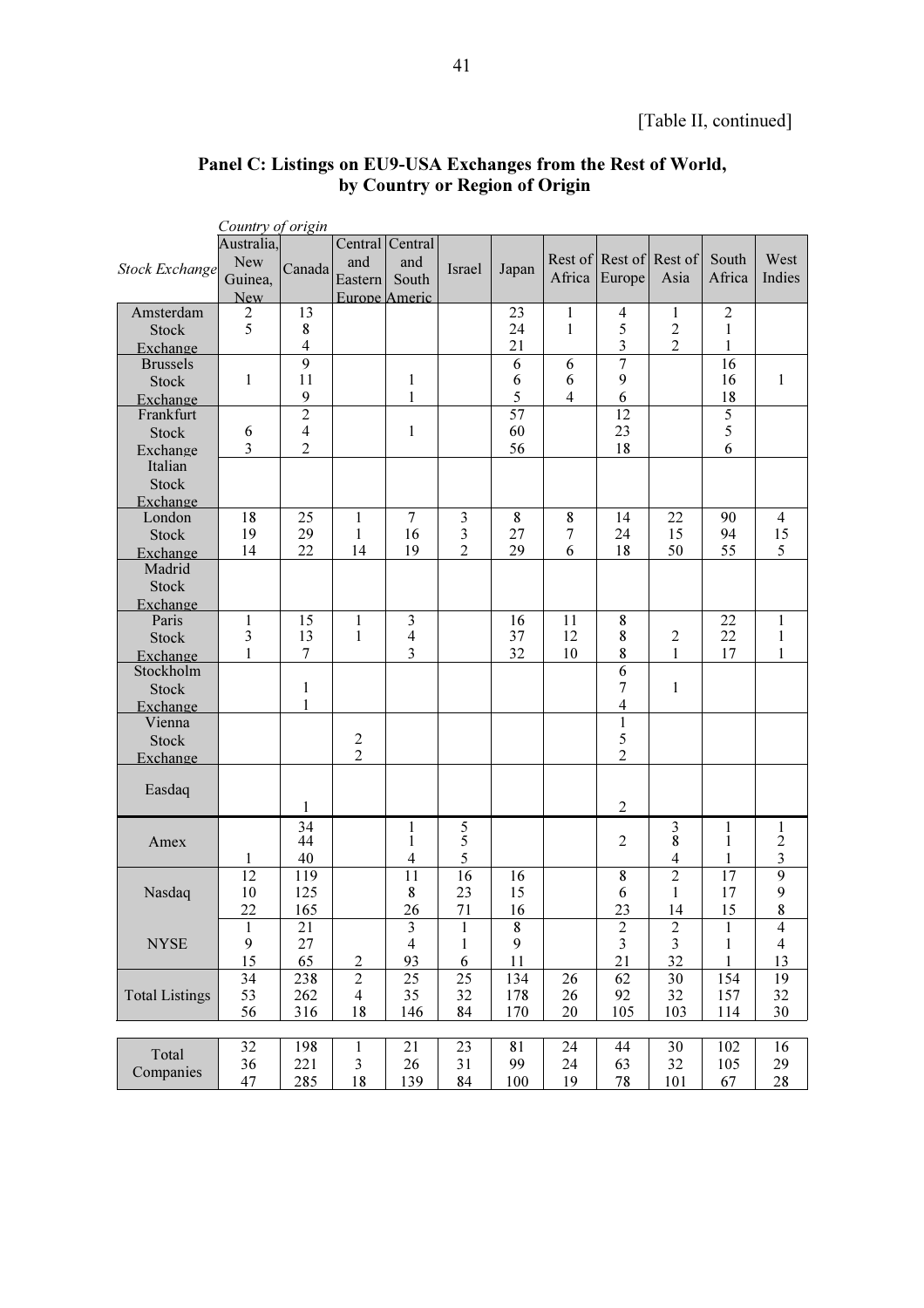# [Table II, continued]

|                           | Country of origin |                |                |                     |                |          |          |                         |                     |                |                |
|---------------------------|-------------------|----------------|----------------|---------------------|----------------|----------|----------|-------------------------|---------------------|----------------|----------------|
|                           | Australia,        |                |                | Central Central     |                |          |          |                         |                     |                |                |
|                           | <b>New</b>        | Canada         | and            | and                 | Israel         |          |          | Rest of Rest of Rest of |                     | South          | West           |
| <b>Stock Exchange</b>     | Guinea,           |                | Eastern        | South               |                | Japan    | Africa   | Europe                  | Asia                | Africa         | Indies         |
|                           | <b>New</b>        |                | Europe Americ  |                     |                |          |          |                         |                     |                |                |
| Amsterdam                 | $\overline{c}$    | 13             |                |                     |                | 23       | 1        | $\overline{4}$          | 1                   | $\overline{c}$ |                |
| <b>Stock</b>              | 5                 | 8              |                |                     |                | 24       | 1        | 5                       | $\overline{2}$      | 1              |                |
| Exchange                  |                   | $\overline{4}$ |                |                     |                | 21       |          | 3                       | $\overline{2}$      | 1              |                |
| <b>Brussels</b>           |                   | 9              |                |                     |                | 6        | 6        | 7                       |                     | 16             |                |
| <b>Stock</b>              | 1                 | 11             |                | 1                   |                | 6        | 6        | 9                       |                     | 16             | $\mathbf{1}$   |
| Exchange                  |                   | 9              |                | 1                   |                | 5        | 4        | 6                       |                     | 18             |                |
| Frankfurt                 |                   | $\sqrt{2}$     |                |                     |                | 57       |          | 12                      |                     | 5              |                |
| <b>Stock</b>              | 6                 | $\overline{4}$ |                | 1                   |                | 60       |          | 23                      |                     | 5              |                |
| Exchange                  | 3                 | $\overline{2}$ |                |                     |                | 56       |          | 18                      |                     | 6              |                |
| Italian                   |                   |                |                |                     |                |          |          |                         |                     |                |                |
| <b>Stock</b>              |                   |                |                |                     |                |          |          |                         |                     |                |                |
| Exchange                  |                   |                |                |                     |                |          |          |                         |                     |                |                |
| London                    | 18                | 25             | 1              | 7                   | 3              | 8        | 8        | 14                      | 22                  | 90             | $\overline{4}$ |
| <b>Stock</b>              | 19                | 29             | 1              | 16                  | 3              | 27       | 7        | 24                      | 15                  | 94             | 15             |
| Exchange                  | 14                | 22             | 14             | 19                  | $\overline{2}$ | 29       | 6        | 18                      | 50                  | 55             | 5              |
| Madrid                    |                   |                |                |                     |                |          |          |                         |                     |                |                |
| <b>Stock</b>              |                   |                |                |                     |                |          |          |                         |                     |                |                |
| Exchange                  |                   |                |                |                     |                |          |          |                         |                     |                |                |
| Paris                     | 1                 | 15             | 1              | 3<br>$\overline{4}$ |                | 16       | 11<br>12 | 8                       |                     | 22             | 1              |
| <b>Stock</b>              | 3<br>1            | 13             | 1              | 3                   |                | 37<br>32 | 10       | 8<br>8                  | $\overline{c}$<br>1 | 22<br>17       | 1<br>1         |
| Exchange                  |                   | 7              |                |                     |                |          |          | 6                       |                     |                |                |
| Stockholm<br><b>Stock</b> |                   | 1              |                |                     |                |          |          | 7                       | 1                   |                |                |
|                           |                   | 1              |                |                     |                |          |          | $\overline{4}$          |                     |                |                |
| Exchange<br>Vienna        |                   |                |                |                     |                |          |          | 1                       |                     |                |                |
| <b>Stock</b>              |                   |                | $\overline{c}$ |                     |                |          |          | 5                       |                     |                |                |
| Exchange                  |                   |                | $\overline{2}$ |                     |                |          |          | $\overline{2}$          |                     |                |                |
|                           |                   |                |                |                     |                |          |          |                         |                     |                |                |
| Easdaq                    |                   |                |                |                     |                |          |          |                         |                     |                |                |
|                           |                   | 1              |                |                     |                |          |          | $\overline{2}$          |                     |                |                |
|                           |                   | 34             |                | 1                   | 5              |          |          |                         | 3                   | 1              | 1              |
| Amex                      |                   | 44             |                | 1                   | 5              |          |          | $\overline{2}$          | 8                   | 1              | $\overline{c}$ |
|                           | 1                 | 40             |                | $\overline{4}$      | 5              |          |          |                         | $\overline{4}$      | 1              | $\overline{3}$ |
|                           | 12                | 119            |                | 11                  | 16             | 16       |          | 8                       | $\overline{2}$      | 17             | 9              |
| Nasdaq                    | 10                | 125            |                | $\bf 8$             | 23             | 15       |          | 6                       | 1                   | 17             | 9              |
|                           | 22                | 165            |                | 26                  | 71             | 16       |          | 23                      | 14                  | 15             | 8              |
|                           | 1                 | 21             |                | $\mathfrak{Z}$      | 1              | 8        |          | $\overline{2}$          | $\boldsymbol{2}$    | 1              | 4              |
| <b>NYSE</b>               | 9                 | 27             |                | $\overline{4}$      | 1              | 9        |          | $\overline{3}$          | $\overline{3}$      | 1              | $\overline{4}$ |
|                           | 15                | 65             | $\overline{c}$ | 93                  | 6              | 11       |          | 21                      | 32                  | 1              | 13             |
|                           | 34                | 238            | $\sqrt{2}$     | 25                  | 25             | 134      | 26       | 62                      | 30                  | 154            | 19             |
| <b>Total Listings</b>     | 53                | 262            | $\overline{4}$ | 35                  | 32             | 178      | 26       | 92                      | 32                  | 157            | 32             |
|                           | 56                | 316            | 18             | 146                 | 84             | 170      | 20       | 105                     | 103                 | 114            | 30             |
|                           |                   |                |                |                     |                |          |          |                         |                     |                |                |
| Total                     | 32                | 198            | 1              | 21                  | 23             | 81       | 24       | 44                      | 30                  | 102            | 16             |
| Companies                 | 36                | 221            | $\mathfrak{Z}$ | 26                  | 31             | 99       | 24       | 63                      | 32                  | 105            | 29             |
|                           | 47                | 285            | 18             | 139                 | 84             | 100      | 19       | 78                      | 101                 | 67             | 28             |

# Panel C: Listings on EU9-USA Exchanges from the Rest of World, by Country or Region of Origin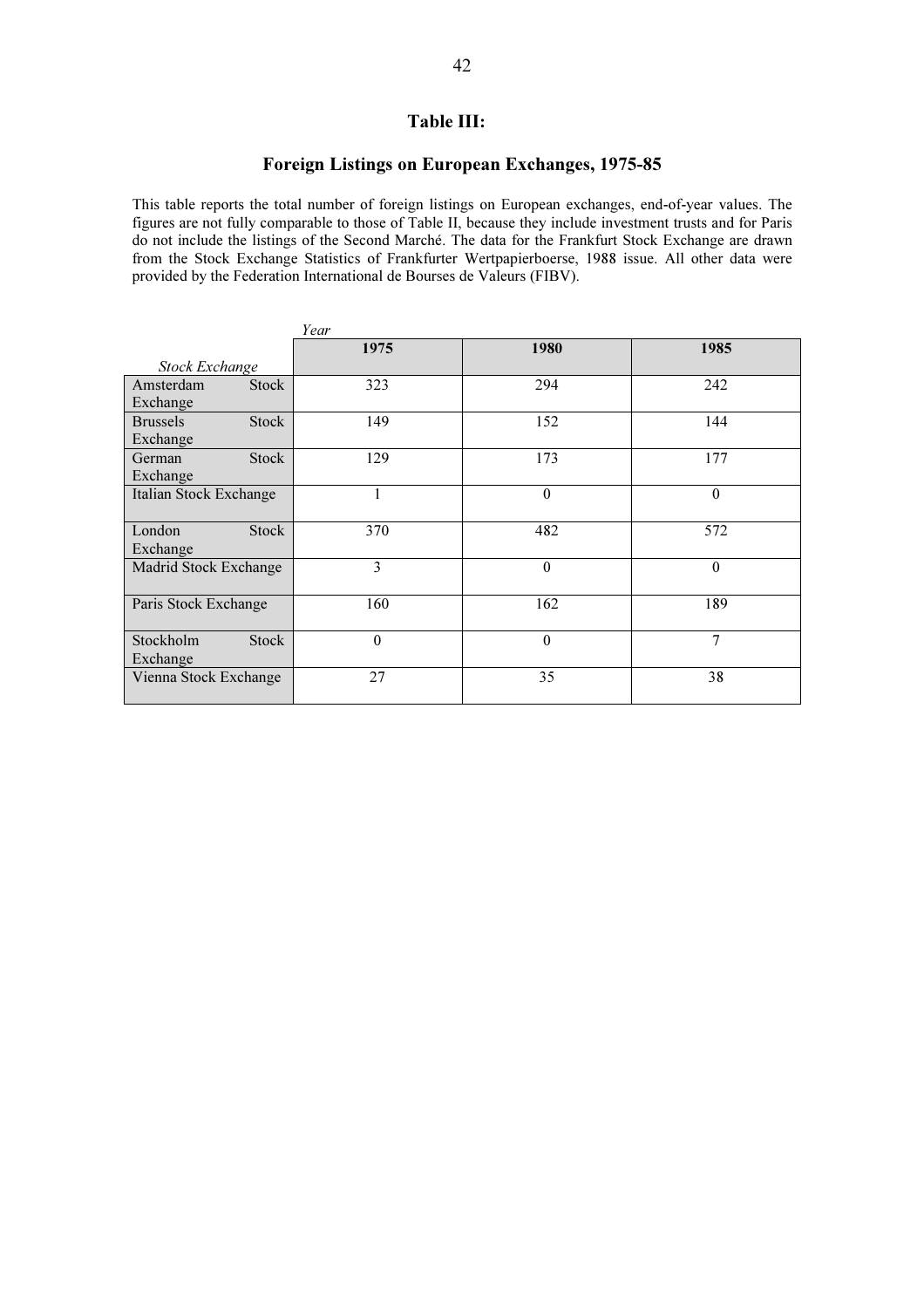# Table III:

### Foreign Listings on European Exchanges, 1975-85

This table reports the total number of foreign listings on European exchanges, end-of-year values. The figures are not fully comparable to those of Table II, because they include investment trusts and for Paris do not include the listings of the Second Marché. The data for the Frankfurt Stock Exchange are drawn from the Stock Exchange Statistics of Frankfurter Wertpapierboerse, 1988 issue. All other data were provided by the Federation International de Bourses de Valeurs (FIBV).

|                                 | Year     |                  |          |
|---------------------------------|----------|------------------|----------|
|                                 | 1975     | 1980             | 1985     |
| <b>Stock Exchange</b>           |          |                  |          |
| Amsterdam<br><b>Stock</b>       | 323      | 294              | 242      |
| Exchange                        |          |                  |          |
| <b>Brussels</b><br><b>Stock</b> | 149      | 152              | 144      |
| Exchange                        |          |                  |          |
| <b>Stock</b><br>German          | 129      | 173              | 177      |
| Exchange                        |          |                  |          |
| Italian Stock Exchange          | 1        | $\boldsymbol{0}$ | $\theta$ |
|                                 |          |                  |          |
| London<br><b>Stock</b>          | 370      | 482              | 572      |
| Exchange                        |          |                  |          |
| Madrid Stock Exchange           | 3        | $\theta$         | $\theta$ |
|                                 |          |                  |          |
| Paris Stock Exchange            | 160      | 162              | 189      |
|                                 |          |                  |          |
| Stockholm<br><b>Stock</b>       | $\theta$ | $\theta$         | 7        |
| Exchange                        |          |                  |          |
| Vienna Stock Exchange           | 27       | 35               | 38       |
|                                 |          |                  |          |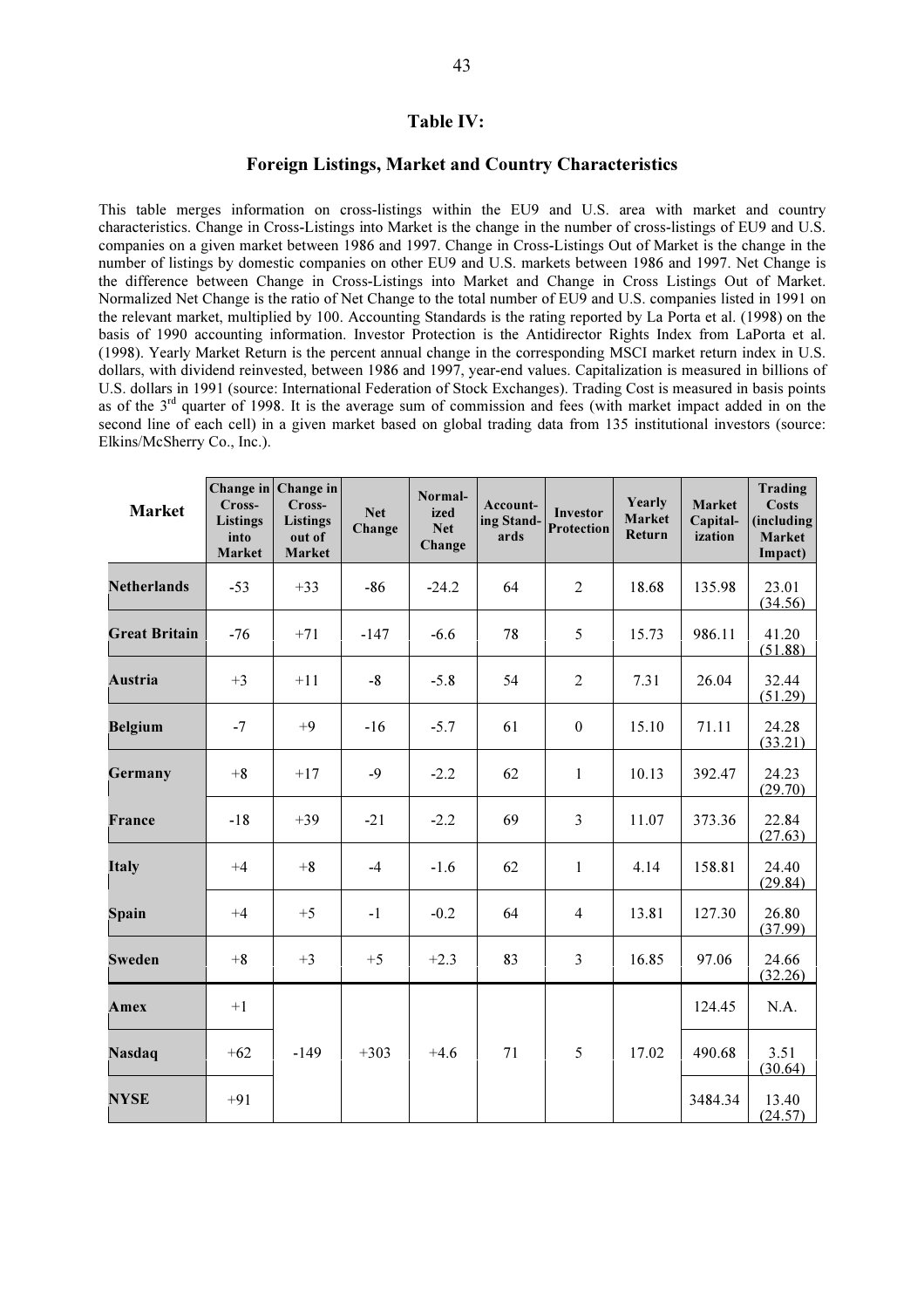### Table IV:

#### Foreign Listings, Market and Country Characteristics

This table merges information on cross-listings within the EU9 and U.S. area with market and country characteristics. Change in Cross-Listings into Market is the change in the number of cross-listings of EU9 and U.S. companies on a given market between 1986 and 1997. Change in Cross-Listings Out of Market is the change in the number of listings by domestic companies on other EU9 and U.S. markets between 1986 and 1997. Net Change is the difference between Change in Cross-Listings into Market and Change in Cross Listings Out of Market. Normalized Net Change is the ratio of Net Change to the total number of EU9 and U.S. companies listed in 1991 on the relevant market, multiplied by 100. Accounting Standards is the rating reported by La Porta et al. (1998) on the basis of 1990 accounting information. Investor Protection is the Antidirector Rights Index from LaPorta et al. (1998). Yearly Market Return is the percent annual change in the corresponding MSCI market return index in U.S. dollars, with dividend reinvested, between 1986 and 1997, year-end values. Capitalization is measured in billions of U.S. dollars in 1991 (source: International Federation of Stock Exchanges). Trading Cost is measured in basis points as of the  $3<sup>rd</sup>$  quarter of 1998. It is the average sum of commission and fees (with market impact added in on the second line of each cell) in a given market based on global trading data from 135 institutional investors (source: Elkins/McSherry Co., Inc.).

| <b>Market</b>        | Cross-<br><b>Listings</b><br>into<br><b>Market</b> | Change in Change in<br>Cross-<br>Listings<br>out of<br>Market | <b>Net</b><br>Change | Normal-<br>ized<br><b>Net</b><br>Change | Account-<br>ing Stand-<br>ards | <b>Investor</b><br><b>Protection</b> | Yearly<br>Market<br>Return | <b>Market</b><br>Capital-<br>ization | Trading<br><b>Costs</b><br>(including<br>Market<br>Impact) |
|----------------------|----------------------------------------------------|---------------------------------------------------------------|----------------------|-----------------------------------------|--------------------------------|--------------------------------------|----------------------------|--------------------------------------|------------------------------------------------------------|
| <b>Netherlands</b>   | $-53$                                              | $+33$                                                         | $-86$                | $-24.2$                                 | 64                             | $\overline{2}$                       | 18.68                      | 135.98                               | 23.01<br>(34.56)                                           |
| <b>Great Britain</b> | $-76$                                              | $+71$                                                         | $-147$               | $-6.6$                                  | 78                             | 5                                    | 15.73                      | 986.11                               | 41.20<br>(51.88)                                           |
| <b>Austria</b>       | $+3$                                               | $+11$                                                         | $-8$                 | $-5.8$                                  | 54                             | 2                                    | 7.31                       | 26.04                                | 32.44<br>(51.29)                                           |
| <b>Belgium</b>       | $-7$                                               | $+9$                                                          | $-16$                | $-5.7$                                  | 61                             | $\boldsymbol{0}$                     | 15.10                      | 71.11                                | 24.28<br>(33.21)                                           |
| Germany              | $+8$                                               | $+17$                                                         | $-9$                 | $-2.2$                                  | 62                             | 1                                    | 10.13                      | 392.47                               | 24.23<br>(29.70)                                           |
| <b>France</b>        | $-18$                                              | $+39$                                                         | $-21$                | $-2.2$                                  | 69                             | 3                                    | 11.07                      | 373.36                               | 22.84<br>(27.63)                                           |
| <b>Italy</b>         | $+4$                                               | $+8$                                                          | $-4$                 | $-1.6$                                  | 62                             | 1                                    | 4.14                       | 158.81                               | 24.40<br>(29.84)                                           |
| Spain                | $+4$                                               | $+5$                                                          | $-1$                 | $-0.2$                                  | 64                             | $\overline{4}$                       | 13.81                      | 127.30                               | 26.80<br>(37.99)                                           |
| <b>Sweden</b>        | $+8$                                               | $+3$                                                          | $+5$                 | $+2.3$                                  | 83                             | $\overline{3}$                       | 16.85                      | 97.06                                | 24.66<br>(32.26)                                           |
| Amex                 | $+1$                                               |                                                               |                      |                                         |                                |                                      |                            | 124.45                               | N.A.                                                       |
| <b>Nasdaq</b>        | $+62$                                              | $-149$                                                        | $+303$               | $+4.6$                                  | 71                             | 5                                    | 17.02                      | 490.68                               | 3.51<br>(30.64)                                            |
| <b>NYSE</b>          | $+91$                                              |                                                               |                      |                                         |                                |                                      |                            | 3484.34                              | 13.40<br>(24.57)                                           |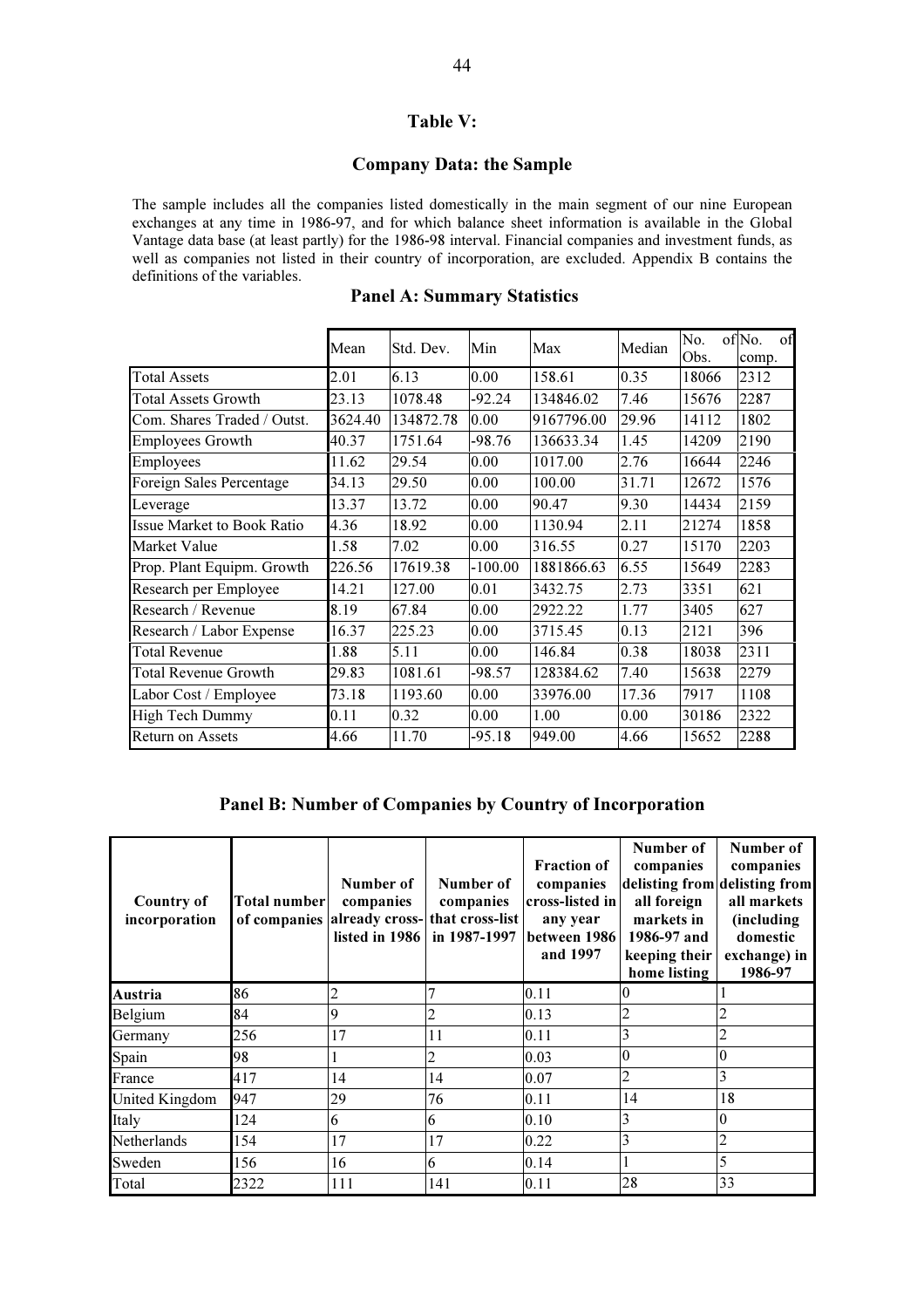# Table V:

### Company Data: the Sample

The sample includes all the companies listed domestically in the main segment of our nine European exchanges at any time in 1986-97, and for which balance sheet information is available in the Global Vantage data base (at least partly) for the 1986-98 interval. Financial companies and investment funds, as well as companies not listed in their country of incorporation, are excluded. Appendix B contains the definitions of the variables.

|                                   | Mean    | Std. Dev. | Min       | Max        | Median | No.   | of No.<br>of |
|-----------------------------------|---------|-----------|-----------|------------|--------|-------|--------------|
|                                   |         |           |           |            |        | Obs.  | comp.        |
| <b>Total Assets</b>               | 2.01    | 6.13      | 0.00      | 158.61     | 0.35   | 18066 | 2312         |
| <b>Total Assets Growth</b>        | 23.13   | 1078.48   | $-92.24$  | 134846.02  | 7.46   | 15676 | 2287         |
| Com. Shares Traded / Outst.       | 3624.40 | 134872.78 | 0.00      | 9167796.00 | 29.96  | 14112 | 1802         |
| <b>Employees Growth</b>           | 40.37   | 1751.64   | $-98.76$  | 136633.34  | 1.45   | 14209 | 2190         |
| Employees                         | 11.62   | 29.54     | 0.00      | 1017.00    | 2.76   | 16644 | 2246         |
| Foreign Sales Percentage          | 34.13   | 29.50     | 0.00      | 100.00     | 31.71  | 12672 | 1576         |
| Leverage                          | 13.37   | 13.72     | 0.00      | 90.47      | 9.30   | 14434 | 2159         |
| <b>Issue Market to Book Ratio</b> | 4.36    | 18.92     | 0.00      | 1130.94    | 2.11   | 21274 | 1858         |
| Market Value                      | 1.58    | 7.02      | 0.00      | 316.55     | 0.27   | 15170 | 2203         |
| Prop. Plant Equipm. Growth        | 226.56  | 17619.38  | $-100.00$ | 1881866.63 | 6.55   | 15649 | 2283         |
| Research per Employee             | 14.21   | 127.00    | 0.01      | 3432.75    | 2.73   | 3351  | 621          |
| Research / Revenue                | 8.19    | 67.84     | 0.00      | 2922.22    | 1.77   | 3405  | 627          |
| Research / Labor Expense          | 16.37   | 225.23    | 0.00      | 3715.45    | 0.13   | 2121  | 396          |
| <b>Total Revenue</b>              | 1.88    | 5.11      | 0.00      | 146.84     | 0.38   | 18038 | 2311         |
| <b>Total Revenue Growth</b>       | 29.83   | 1081.61   | $-98.57$  | 128384.62  | 7.40   | 15638 | 2279         |
| Labor Cost / Employee             | 73.18   | 1193.60   | 0.00      | 33976.00   | 17.36  | 7917  | 1108         |
| <b>High Tech Dummy</b>            | 0.11    | 0.32      | 0.00      | 1.00       | 0.00   | 30186 | 2322         |
| Return on Assets                  | 4.66    | 11.70     | $-95.18$  | 949.00     | 4.66   | 15652 | 2288         |

### Panel A: Summary Statistics

### Panel B: Number of Companies by Country of Incorporation

| <b>Country of</b><br>incorporation | <b>Total number</b> | Number of<br>companies<br>of companies already cross- that cross-list<br>listed in 1986 | Number of<br>companies<br>in 1987-1997 | <b>Fraction of</b><br>companies<br>cross-listed in<br>any year<br>between 1986<br>and 1997 | Number of<br>companies<br>all foreign<br>markets in<br>1986-97 and<br>keeping their<br>home listing | Number of<br>companies<br>delisting from delisting from<br>all markets<br>(including)<br>domestic<br>exchange) in<br>1986-97 |
|------------------------------------|---------------------|-----------------------------------------------------------------------------------------|----------------------------------------|--------------------------------------------------------------------------------------------|-----------------------------------------------------------------------------------------------------|------------------------------------------------------------------------------------------------------------------------------|
| Austria                            | 86                  | 2                                                                                       |                                        | 0.11                                                                                       | Ю                                                                                                   |                                                                                                                              |
| Belgium                            | 84                  | 9                                                                                       | $\overline{c}$                         | 0.13                                                                                       | $\overline{2}$                                                                                      |                                                                                                                              |
| Germany                            | 256                 | 17                                                                                      | 11                                     | 0.11                                                                                       | 3                                                                                                   |                                                                                                                              |
| Spain                              | 98                  |                                                                                         | 2                                      | 0.03                                                                                       | $\overline{0}$                                                                                      | Ю                                                                                                                            |
| France                             | 417                 | 14                                                                                      | 14                                     | 0.07                                                                                       | $\overline{2}$                                                                                      |                                                                                                                              |
| United Kingdom                     | 947                 | 29                                                                                      | 76                                     | 0.11                                                                                       | 14                                                                                                  | 18                                                                                                                           |
| Italy                              | 124                 | 6                                                                                       | 6                                      | 0.10                                                                                       | 3                                                                                                   | Ю                                                                                                                            |
| Netherlands                        | 154                 | 17                                                                                      | 17                                     | 0.22                                                                                       | 3                                                                                                   |                                                                                                                              |
| Sweden                             | 156                 | 16                                                                                      | 6                                      | 0.14                                                                                       |                                                                                                     |                                                                                                                              |
| Total                              | 2322                | 111                                                                                     | 141                                    | 0.11                                                                                       | 28                                                                                                  | 33                                                                                                                           |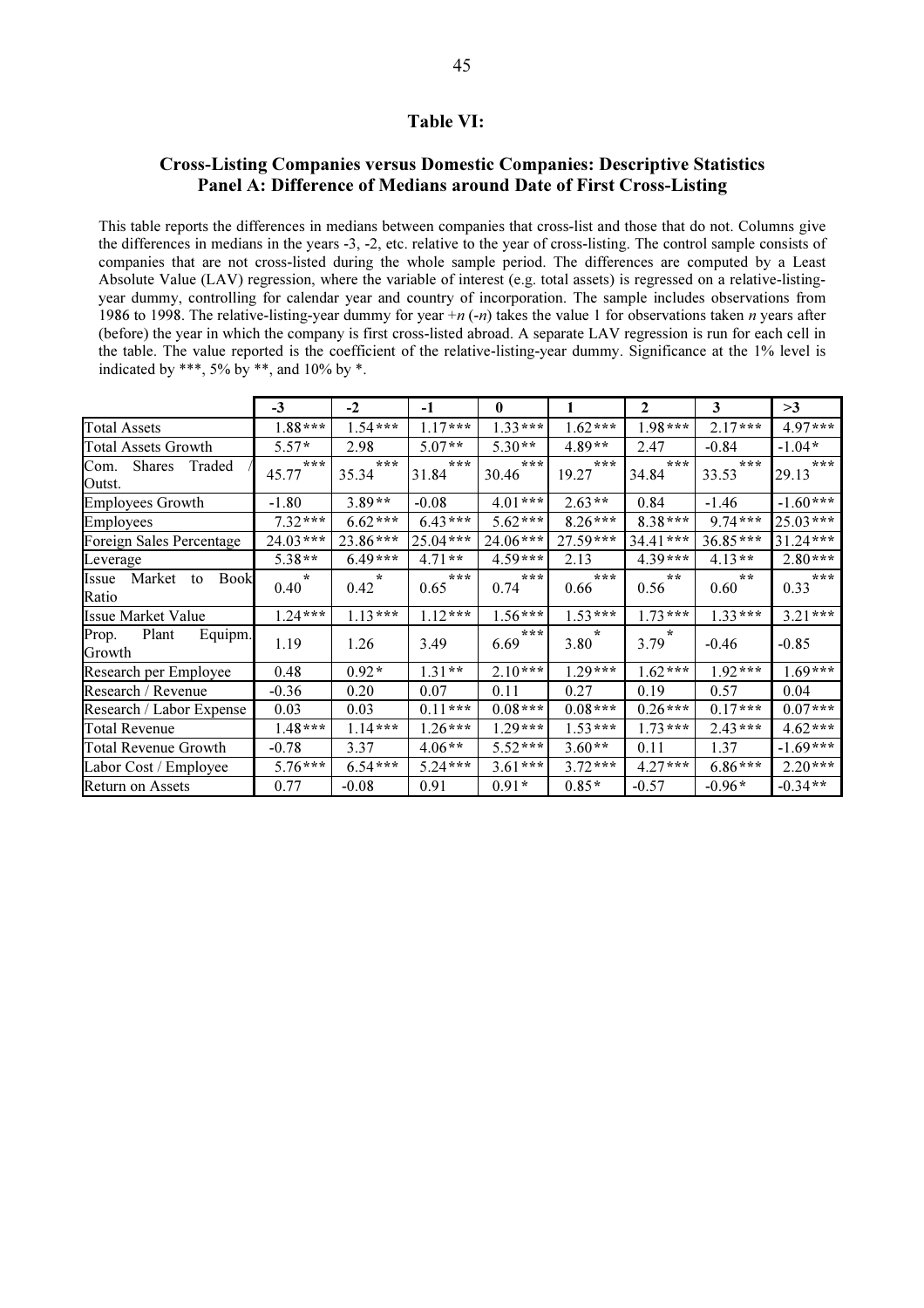### Table VI:

## Cross-Listing Companies versus Domestic Companies: Descriptive Statistics Panel A: Difference of Medians around Date of First Cross-Listing

This table reports the differences in medians between companies that cross-list and those that do not. Columns give the differences in medians in the years -3, -2, etc. relative to the year of cross-listing. The control sample consists of companies that are not cross-listed during the whole sample period. The differences are computed by a Least Absolute Value (LAV) regression, where the variable of interest (e.g. total assets) is regressed on a relative-listingyear dummy, controlling for calendar year and country of incorporation. The sample includes observations from 1986 to 1998. The relative-listing-year dummy for year  $+n(-n)$  takes the value 1 for observations taken *n* years after (before) the year in which the company is first cross-listed abroad. A separate LAV regression is run for each cell in the table. The value reported is the coefficient of the relative-listing-year dummy. Significance at the 1% level is indicated by \*\*\*,  $5\%$  by \*\*, and  $10\%$  by \*.

|                                     | $-3$                       | $-2$                       | $-1$                       | $\bf{0}$                   |                            | $\mathbf{2}$               | 3                            | >3                         |
|-------------------------------------|----------------------------|----------------------------|----------------------------|----------------------------|----------------------------|----------------------------|------------------------------|----------------------------|
| <b>Total Assets</b>                 | $1.88***$                  | $1.54***$                  | $1.17***$                  | $1.33***$                  | $1.62***$                  | $1.98***$                  | $2.17***$                    | $4.97***$                  |
| Total Assets Growth                 | $5.57*$                    | 2.98                       | $5.07**$                   | $5.30**$                   | $4.89**$                   | 2.47                       | $-0.84$                      | $-1.04*$                   |
| Com.<br>Shares<br>Traded<br>Outst.  | $\star\star\star$<br>45.77 | $\star\star\star$<br>35.34 | $\star\star\star$<br>31.84 | $\star\star\star$<br>30.46 | $\star\star\star$<br>19.27 | $\star\star\star$<br>34.84 | $\star \star \star$<br>33.53 | $\star\star\star$<br>29.13 |
| <b>Employees Growth</b>             | $-1.80$                    | $3.89**$                   | $-0.08$                    | $4.01***$                  | $2.63**$                   | 0.84                       | $-1.46$                      | $-1.60***$                 |
| Employees                           | $7.32***$                  | $6.62***$                  | $6.43***$                  | $5.62***$                  | $8.26***$                  | $8.38***$                  | $9.74***$                    | $25.03***$                 |
| Foreign Sales Percentage            | $24.03***$                 | $23.86***$                 | $25.04***$                 | $24.06***$                 | $27.59***$                 | 34.41***                   | 36.85***                     | $31.24***$                 |
| Leverage                            | $5.38**$                   | $6.49***$                  | $4.71**$                   | $4.59***$                  | 2.13                       | $4.39***$                  | $4.13**$                     | $2.80***$                  |
| Market to<br>Book<br>Issue<br>Ratio | $\star$<br>0.40            | $\star$<br>0.42            | $\star\star\star$<br>0.65  | $***$<br>0.74              | $\star\star\star$<br>0.66  | $**$<br>0.56               | $**$<br>0.60                 | $\star\star\star$<br>0.33  |
| <b>Issue Market Value</b>           | $1.24***$                  | $1.13***$                  | $1.12***$                  | $1.56***$                  | $1.53***$                  | $1.73***$                  | $1.33***$                    | $3.21***$                  |
| Prop.<br>Plant<br>Equipm.<br>Growth | 1.19                       | 1.26                       | 3.49                       | $\star\star\star$<br>6.69  | $\star$<br>3.80            | $\star$<br>3.79            | $-0.46$                      | $-0.85$                    |
| Research per Employee               | 0.48                       | $0.92*$                    | $1.31**$                   | $2.10***$                  | $1.29***$                  | $1.62***$                  | $1.92***$                    | $1.69***$                  |
| Research / Revenue                  | $-0.36$                    | 0.20                       | 0.07                       | 0.11                       | 0.27                       | 0.19                       | 0.57                         | 0.04                       |
| Research / Labor Expense            | 0.03                       | 0.03                       | $0.11***$                  | $0.08***$                  | $0.08***$                  | $0.26***$                  | $0.17***$                    | $0.07***$                  |
| Total Revenue                       | $1.48***$                  | $1.14***$                  | $1.26***$                  | $1.29***$                  | $1.53***$                  | $1.73***$                  | $2.43***$                    | $4.62***$                  |
| Total Revenue Growth                | $-0.78$                    | 3.37                       | $4.06**$                   | $5.52***$                  | $3.60**$                   | 0.11                       | 1.37                         | $-1.69***$                 |
| Labor Cost / Employee               | $5.76***$                  | $6.54***$                  | $5.24***$                  | $3.61***$                  | $3.72***$                  | $4.27***$                  | $6.86***$                    | $2.20***$                  |
| <b>Return on Assets</b>             | 0.77                       | $-0.08$                    | 0.91                       | $0.91*$                    | $0.85*$                    | $-0.57$                    | $-0.96*$                     | $-0.34**$                  |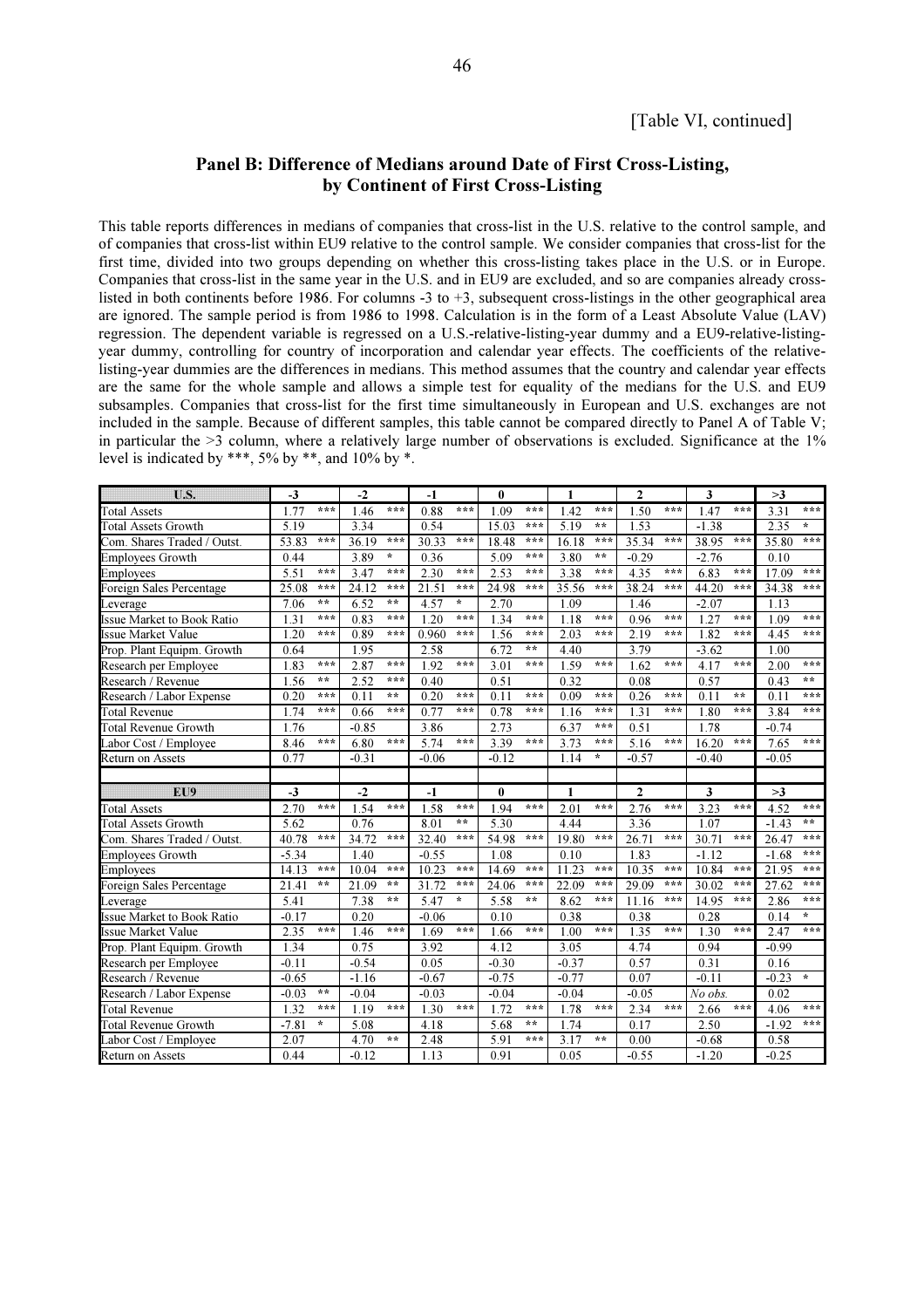### Panel B: Difference of Medians around Date of First Cross-Listing, by Continent of First Cross-Listing

This table reports differences in medians of companies that cross-list in the U.S. relative to the control sample, and of companies that cross-list within EU9 relative to the control sample. We consider companies that cross-list for the first time, divided into two groups depending on whether this cross-listing takes place in the U.S. or in Europe. Companies that cross-list in the same year in the U.S. and in EU9 are excluded, and so are companies already crosslisted in both continents before 1986. For columns -3 to +3, subsequent cross-listings in the other geographical area are ignored. The sample period is from 1986 to 1998. Calculation is in the form of a Least Absolute Value (LAV) regression. The dependent variable is regressed on a U.S.-relative-listing-year dummy and a EU9-relative-listingyear dummy, controlling for country of incorporation and calendar year effects. The coefficients of the relativelisting-year dummies are the differences in medians. This method assumes that the country and calendar year effects are the same for the whole sample and allows a simple test for equality of the medians for the U.S. and EU9 subsamples. Companies that cross-list for the first time simultaneously in European and U.S. exchanges are not included in the sample. Because of different samples, this table cannot be compared directly to Panel A of Table V; in particular the  $>3$  column, where a relatively large number of observations is excluded. Significance at the  $1\%$ level is indicated by \*\*\*,  $5\%$  by \*\*, and  $10\%$  by \*.

| U.S.                        | $-3$               | $-2$                     | -1               | $\bf{0}$      | 1               | $\overline{2}$ | 3               | >3                 |
|-----------------------------|--------------------|--------------------------|------------------|---------------|-----------------|----------------|-----------------|--------------------|
| <b>Total Assets</b>         | 1.77<br>***        | 1.46<br>***              | 0.88<br>$* * *$  | 1.09<br>***   | 1.42<br>$* * *$ | 1.50<br>***    | ***<br>1.47     | 3.31<br>***        |
| <b>Total Assets Growth</b>  | 5.19               | 3.34                     | 0.54             | ***<br>15.03  | 5.19<br>$**$    | 1.53           | $-1.38$         | $\star$<br>2.35    |
| Com. Shares Traded / Outst. | 53.83<br>***       | 36.19<br>$* * *$         | 30.33<br>$***$   | ***<br>18.48  | 16.18<br>***    | 35.34<br>***   | 38.95<br>***    | 35.80<br>***       |
| <b>Employees Growth</b>     | 0.44               | $\star$<br>3.89          | 0.36             | ***<br>5.09   | $* *$<br>3.80   | $-0.29$        | $-2.76$         | 0.10               |
| Employees                   | 5.51<br>***        | 3.47<br>***              | 2.30<br>***      | 2.53<br>***   | 3.38<br>***     | 4.35<br>***    | 6.83<br>$* * *$ | 17.09<br>***       |
| Foreign Sales Percentage    | ***<br>25.08       | ***<br>24.12             | $* * *$<br>21.51 | ***<br>24.98  | 35.56<br>***    | 38.24<br>***   | ***<br>44.20    | ***<br>34.38       |
| Leverage                    | 7.06<br>$* *$      | 6.52<br>$\star$ $\star$  | 4.57<br>$\star$  | 2.70          | 1.09            | 1.46           | $-2.07$         | 1.13               |
| Issue Market to Book Ratio  | 1.31<br>***        | 0.83<br>***              | ***<br>1.20      | ***<br>1.34   | ***<br>1.18     | ***<br>0.96    | ***<br>1.27     | ***<br>1.09        |
| Issue Market Value          | 1.20<br>***        | 0.89<br>***              | 0.960<br>$***$   | 1.56<br>***   | 2.03<br>***     | 2.19<br>***    | 1.82<br>***     | 4.45<br>***        |
| Prop. Plant Equipm. Growth  | 0.64               | 1.95                     | 2.58             | $* *$<br>6.72 | 4.40            | 3.79           | $-3.62$         | 1.00               |
| Research per Employee       | 1.83<br>***        | 2.87<br>***              | 1.92<br>$* * *$  | 3.01<br>***   | 1.59<br>***     | 1.62<br>***    | 4.17<br>***     | 2.00<br>***        |
| Research / Revenue          | $* *$<br>1.56      | ***<br>2.52              | 0.40             | 0.51          | 0.32            | 0.08           | 0.57            | **<br>0.43         |
| Research / Labor Expense    | ***<br>0.20        | $* *$<br>0.11            | ***<br>0.20      | ***<br>0.11   | ***<br>0.09     | ***<br>0.26    | **<br>0.11      | ***<br>0.11        |
| <b>Total Revenue</b>        | ***<br>1.74        | ***<br>0.66              | ***<br>0.77      | ***<br>0.78   | ***<br>1.16     | ***<br>1.31    | ***<br>1.80     | ***<br>3.84        |
| Total Revenue Growth        | 1.76               | $-0.85$                  | 3.86             | 2.73          | ***<br>6.37     | 0.51           | 1.78            | $-0.74$            |
| Labor Cost / Emplovee       | $* * *$<br>8.46    | 6.80<br>$* * *$          | 5.74<br>$***$    | 3.39<br>***   | ***<br>3.73     | ***<br>5.16    | ***<br>16.20    | 7.65<br>***        |
| Return on Assets            | 0.77               | $-0.31$                  | $-0.06$          | $-0.12$       | $\star$<br>1.14 | $-0.57$        | $-0.40$         | $-0.05$            |
|                             |                    |                          |                  |               |                 |                |                 |                    |
| EU9                         | $-3$               | $-2$                     | -1               | 0             | 1               | $\overline{2}$ | 3               | >3                 |
| <b>Total Assets</b>         | ***<br>2.70        | ***<br>1.54              | $* * *$<br>1.58  | ***<br>1.94   | ***<br>2.01     | 2.76<br>***    | 3.23<br>***     | ***<br>4.52        |
| <b>Total Assets Growth</b>  | 5.62               | 0.76                     | 8.01<br>**       | 5.30          | 4.44            | 3.36           | 1.07            | $* *$<br>$-1.43$   |
| Com. Shares Traded / Outst. | 40.78<br>***       | 34.72<br>***             | 32.40<br>***     | 54.98<br>***  | 19.80<br>***    | 26.71<br>***   | 30.71<br>***    | 26.47<br>***       |
| <b>Employees Growth</b>     | $-5.34$            | 1.40                     | $-0.55$          | 1.08          | 0.10            | 1.83           | $-1.12$         | ***<br>$-1.68$     |
| Employees                   | 14.13<br>***       | ***<br>10.04             | ***<br>10.23     | ***<br>14.69  | 11.23<br>***    | 10.35<br>***   | 10.84<br>***    | ***<br>21.95       |
| Foreign Sales Percentage    | $* *$<br>21.41     | $\star$ $\star$<br>21.09 | 31.72<br>$* * *$ | ***<br>24.06  | ***<br>22.09    | 29.09<br>***   | 30.02<br>***    | ***<br>27.62       |
| Leverage                    | 5.41               | 7.38<br>$* *$            | 5.47<br>$\star$  | 5.58<br>$**$  | ***<br>8.62     | ***<br>11.16   | ***<br>14.95    | ***<br>2.86        |
| Issue Market to Book Ratio  | $-0.17$            | 0.20                     | $-0.06$          | 0.10          | 0.38            | 0.38           | 0.28            | 0.14<br>$\star$    |
| Issue Market Value          | ***<br>2.35        | 1.46<br>***              | ***<br>1.69      | ***<br>1.66   | ***<br>1.00     | 1.35<br>***    | 1.30<br>***     | ***<br>2.47        |
| Prop. Plant Equipm. Growth  | 1.34               | 0.75                     | 3.92             | 4.12          | 3.05            | 4.74           | 0.94            | $-0.99$            |
| Research per Employee       | $-0.11$            | $-0.54$                  | 0.05             | $-0.30$       | $-0.37$         | 0.57           | 0.31            | 0.16               |
| Research / Revenue          | $-0.65$            | $-1.16$                  | $-0.67$          | $-0.75$       | $-0.77$         | 0.07           | $-0.11$         | $\star$<br>$-0.23$ |
| Research / Labor Expense    | $* *$<br>$-0.03$   | $-0.04$                  | $-0.03$          | $-0.04$       | $-0.04$         | $-0.05$        | No obs.         | 0.02               |
| <b>Total Revenue</b>        | 1.32<br>***        | 1.19<br>$***$            | 1.30<br>***      | 1.72<br>***   | 1.78<br>$* * *$ | 2.34<br>***    | 2.66<br>***     | ***<br>4.06        |
| Total Revenue Growth        | $-7.81$<br>$\star$ | 5.08                     | 4.18             | 5.68<br>**    | 1.74            | 0.17           | 2.50            | $-1.92$<br>***     |
| Labor Cost / Employee       | 2.07               | 4.70<br>$* *$            | 2.48             | 5.91<br>***   | 3.17<br>$**$    | 0.00           | $-0.68$         | 0.58               |
| Return on Assets            | 0.44               | $-0.12$                  | 1.13             | 0.91          | 0.05            | $-0.55$        | $-1.20$         | $-0.25$            |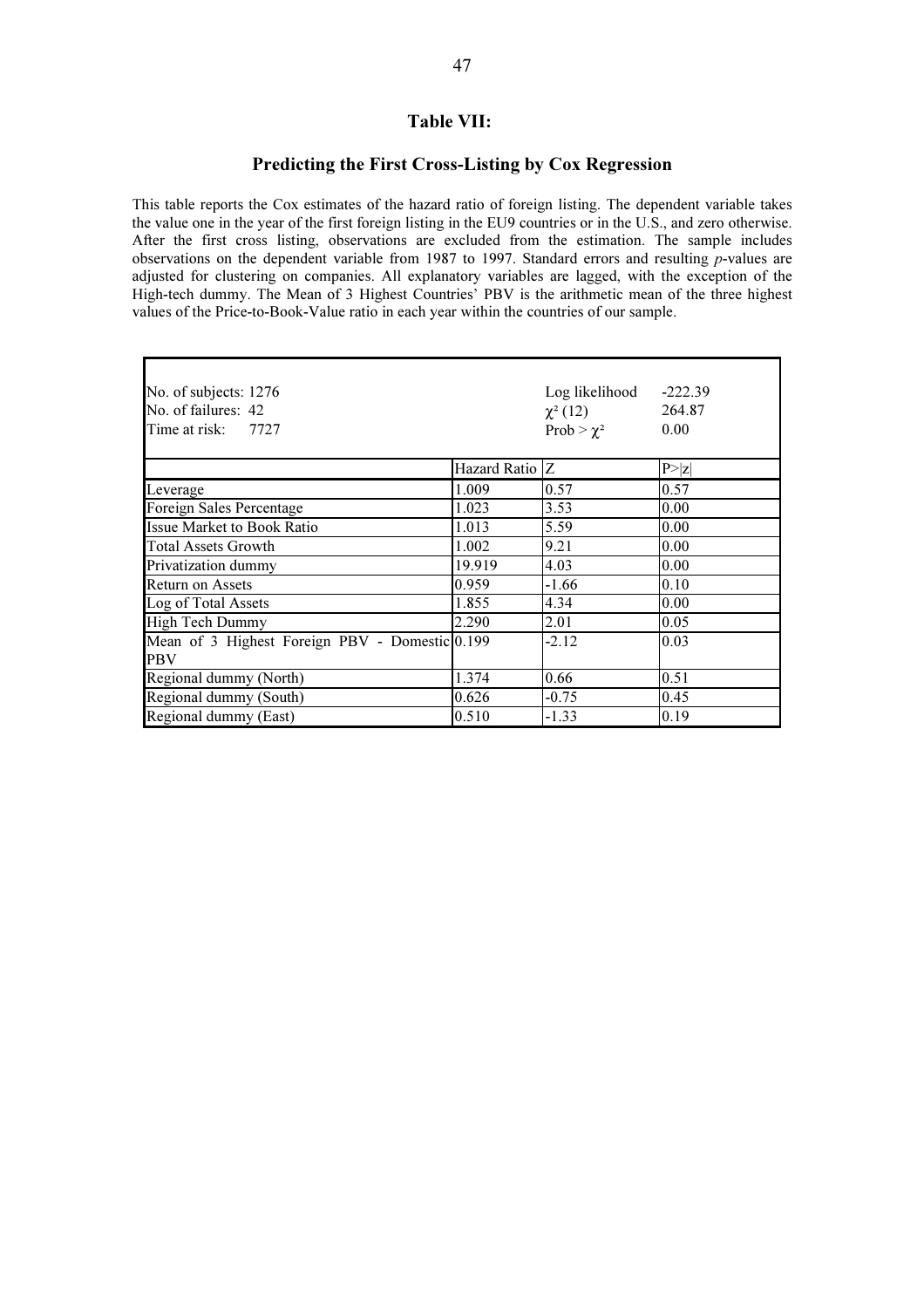### Table VII:

### Predicting the First Cross-Listing by Cox Regression

This table reports the Cox estimates of the hazard ratio of foreign listing. The dependent variable takes the value one in the year of the first foreign listing in the EU9 countries or in the U.S., and zero otherwise. After the first cross listing, observations are excluded from the estimation. The sample includes observations on the dependent variable from 1987 to 1997. Standard errors and resulting  $p$ -values are adjusted for clustering on companies. All explanatory variables are lagged, with the exception of the High-tech dummy. The Mean of 3 Highest Countries' PBV is the arithmetic mean of the three highest values of the Price-to-Book-Value ratio in each year within the countries of our sample.

| No. of subjects: 1276<br>No. of failures: 42   | Log likelihood | -222.39<br>264.87 |        |
|------------------------------------------------|----------------|-------------------|--------|
|                                                | $\chi^2(12)$   |                   |        |
| Time at risk: 7727                             |                | Prob $> \chi^2$   | 0.00   |
|                                                | Hazard Ratio Z |                   | P >  Z |
| Leverage                                       | 1.009          | 0.57              | 0.57   |
| Foreign Sales Percentage                       | 1.023          | 3.53              | 0.00   |
| <b>Issue Market to Book Ratio</b>              | 1.013          | 5.59              | 0.00   |
| <b>Total Assets Growth</b>                     | 1.002          | 9.21              | 0.00   |
| Privatization dummy                            | 19.919         | 4.03              | 0.00   |
| <b>Return on Assets</b>                        | 0.959          | $-1.66$           | 0.10   |
| Log of Total Assets                            | 1.855          | 4.34              | 0.00   |
| High Tech Dummy                                | 2.290          | 2.01              | 0.05   |
| Mean of 3 Highest Foreign PBV - Domestic 0.199 |                | $-2.12$           | 0.03   |
| <b>PBV</b>                                     |                |                   |        |
| Regional dummy (North)                         | 1.374          | 0.66              | 0.51   |
| Regional dummy (South)                         | 0.626          | $-0.75$           | 0.45   |
| Regional dummy (East)                          | 0.510          | $-1.33$           | 0.19   |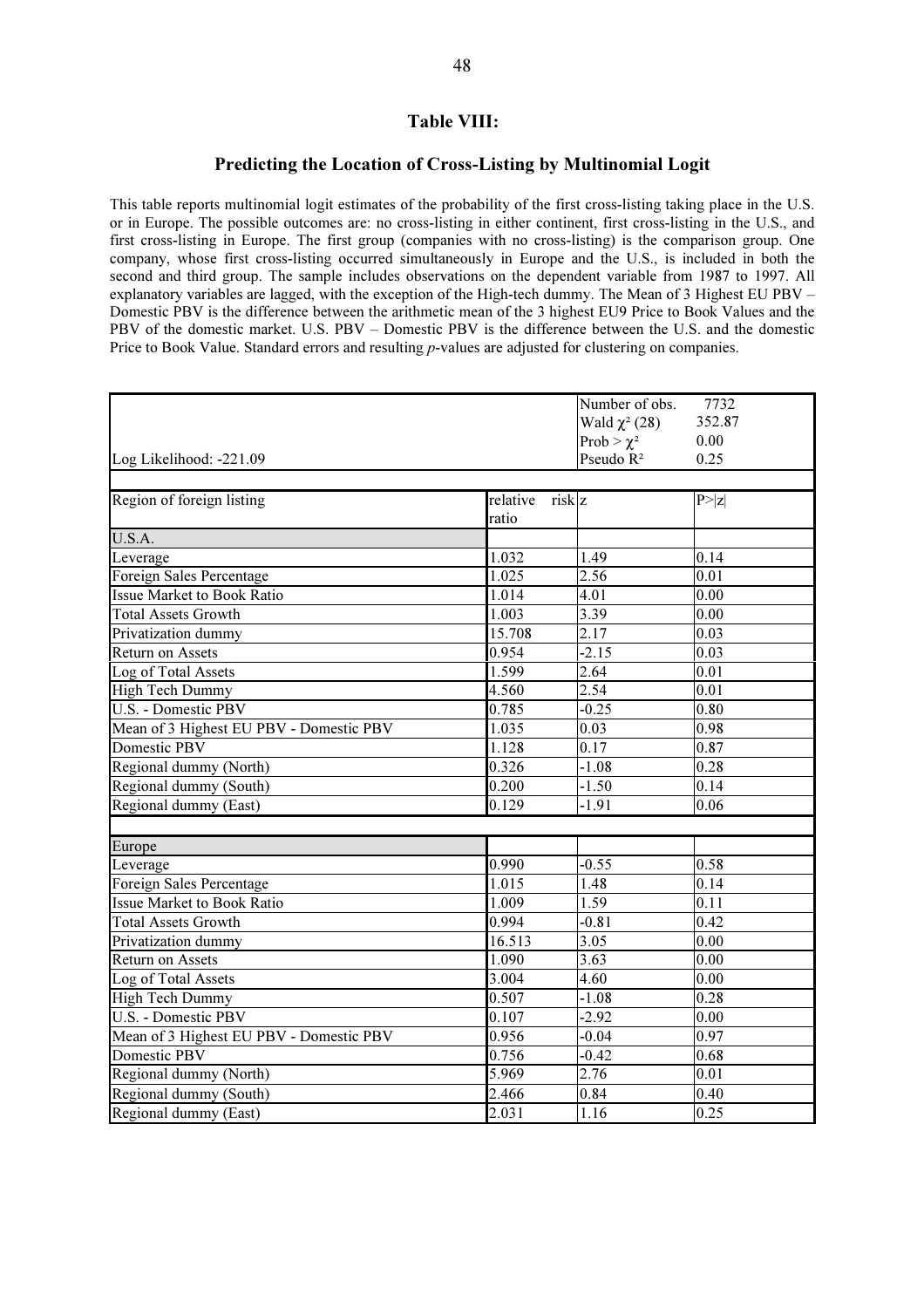### Table VIII:

### Predicting the Location of Cross-Listing by Multinomial Logit

This table reports multinomial logit estimates of the probability of the first cross-listing taking place in the U.S. or in Europe. The possible outcomes are: no cross-listing in either continent, first cross-listing in the U.S., and first cross-listing in Europe. The first group (companies with no cross-listing) is the comparison group. One company, whose first cross-listing occurred simultaneously in Europe and the U.S., is included in both the second and third group. The sample includes observations on the dependent variable from 1987 to 1997. All explanatory variables are lagged, with the exception of the High-tech dummy. The Mean of 3 Highest EU PBV – Domestic PBV is the difference between the arithmetic mean of the 3 highest EU9 Price to Book Values and the PBV of the domestic market. U.S. PBV – Domestic PBV is the difference between the U.S. and the domestic Price to Book Value. Standard errors and resulting *p*-values are adjusted for clustering on companies.

|                                         |                       | Number of obs.     | 7732   |
|-----------------------------------------|-----------------------|--------------------|--------|
|                                         |                       | Wald $\chi^2$ (28) | 352.87 |
|                                         | Prob $> \chi^2$       | 0.00               |        |
| Log Likelihood: -221.09                 | Pseudo R <sup>2</sup> | 0.25               |        |
|                                         |                       |                    |        |
| Region of foreign listing               | relative              | risk z             | P >  z |
|                                         | ratio                 |                    |        |
| U.S.A.                                  |                       |                    |        |
| Leverage                                | 1.032                 | 1.49               | 0.14   |
| Foreign Sales Percentage                | 1.025                 | 2.56               | 0.01   |
| <b>Issue Market to Book Ratio</b>       | 1.014                 | 4.01               | 0.00   |
| <b>Total Assets Growth</b>              | 1.003                 | 3.39               | 0.00   |
| Privatization dummy                     | 15.708                | 2.17               | 0.03   |
| <b>Return on Assets</b>                 | 0.954                 | $-2.15$            | 0.03   |
| Log of Total Assets                     | 1.599                 | 2.64               | 0.01   |
| <b>High Tech Dummy</b>                  | 4.560                 | 2.54               | 0.01   |
| U.S. - Domestic PBV                     | 0.785                 | $-0.25$            | 0.80   |
| Mean of 3 Highest EU PBV - Domestic PBV | 1.035                 | 0.03               | 0.98   |
| Domestic PBV                            | 1.128                 | 0.17               | 0.87   |
| Regional dummy (North)                  | 0.326                 | $-1.08$            | 0.28   |
| Regional dummy (South)                  | 0.200                 | $-1.50$            | 0.14   |
| Regional dummy (East)                   | 0.129                 | $-1.91$            | 0.06   |
|                                         |                       |                    |        |
| Europe                                  |                       |                    |        |
| Leverage                                | 0.990                 | $-0.55$            | 0.58   |
| Foreign Sales Percentage                | 1.015                 | 1.48               | 0.14   |
| <b>Issue Market to Book Ratio</b>       | 1.009                 | 1.59               | 0.11   |
| <b>Total Assets Growth</b>              | 0.994                 | $-0.81$            | 0.42   |
| Privatization dummy                     | 16.513                | 3.05               | 0.00   |
| <b>Return on Assets</b>                 | 1.090                 | 3.63               | 0.00   |
| Log of Total Assets                     | 3.004                 | 4.60               | 0.00   |
| <b>High Tech Dummy</b>                  | 0.507                 | $-1.08$            | 0.28   |
| U.S. - Domestic PBV                     | 0.107                 | $-2.92$            | 0.00   |
| Mean of 3 Highest EU PBV - Domestic PBV | 0.956                 | $-0.04$            | 0.97   |
| <b>Domestic PBV</b>                     | 0.756                 | $-0.42$            | 0.68   |
| Regional dummy (North)                  | 5.969                 | 2.76               | 0.01   |
| Regional dummy (South)                  | 2.466                 | 0.84               | 0.40   |
| Regional dummy (East)                   | 2.031                 | 1.16               | 0.25   |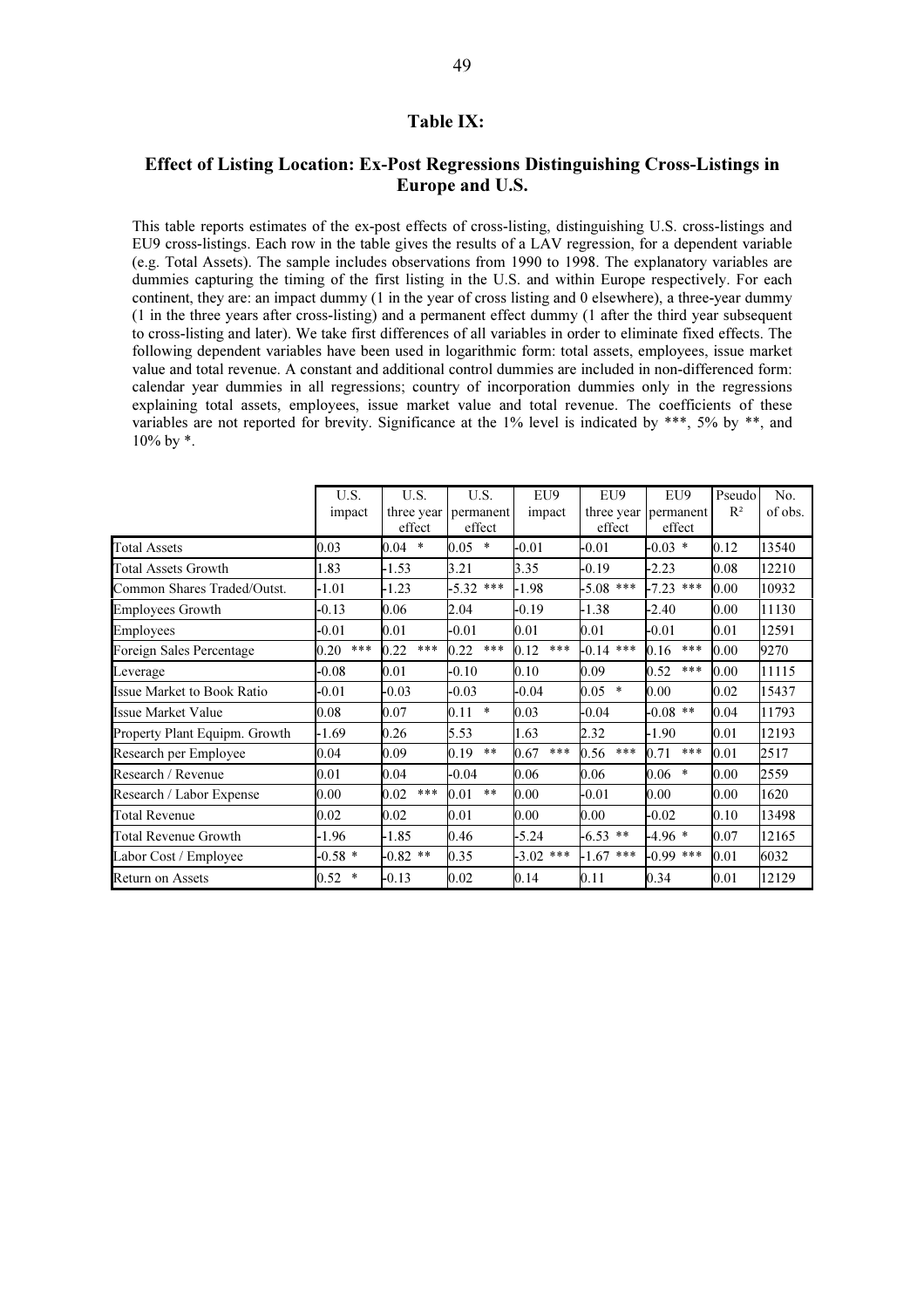### Table IX:

### Effect of Listing Location: Ex-Post Regressions Distinguishing Cross-Listings in Europe and U.S.

This table reports estimates of the ex-post effects of cross-listing, distinguishing U.S. cross-listings and EU9 cross-listings. Each row in the table gives the results of a LAV regression, for a dependent variable (e.g. Total Assets). The sample includes observations from 1990 to 1998. The explanatory variables are dummies capturing the timing of the first listing in the U.S. and within Europe respectively. For each continent, they are: an impact dummy (1 in the year of cross listing and 0 elsewhere), a three-year dummy (1 in the three years after cross-listing) and a permanent effect dummy (1 after the third year subsequent to cross-listing and later). We take first differences of all variables in order to eliminate fixed effects. The following dependent variables have been used in logarithmic form: total assets, employees, issue market value and total revenue. A constant and additional control dummies are included in non-differenced form: calendar year dummies in all regressions; country of incorporation dummies only in the regressions explaining total assets, employees, issue market value and total revenue. The coefficients of these variables are not reported for brevity. Significance at the 1% level is indicated by \*\*\*, 5% by \*\*, and 10% by \*.

|                                   | U.S.            | U.S.           | U.S.           | EU9         | EU9                | EU9            | Pseudo | No.     |
|-----------------------------------|-----------------|----------------|----------------|-------------|--------------------|----------------|--------|---------|
|                                   | impact          | three year     | permanent      | impact      | three year         | permanent      | $R^2$  | of obs. |
|                                   |                 | effect         | effect         |             | effect             | effect         |        |         |
| <b>Total Assets</b>               | 0.03            | $\ast$<br>0.04 | $\ast$<br>0.05 | $-0.01$     | $-0.01$            | $-0.03$ *      | 0.12   | 13540   |
| <b>Total Assets Growth</b>        | 1.83            | $-1.53$        | 3.21           | 3.35        | $-0.19$            | $-2.23$        | 0.08   | 12210   |
| Common Shares Traded/Outst.       | $-1.01$         | $-1.23$        | $-5.32$ ***    | $-1.98$     | $-5.08$ ***        | $-7.23$ ***    | 0.00   | 10932   |
| <b>Employees Growth</b>           | $-0.13$         | 0.06           | 2.04           | $-0.19$     | $-1.38$            | $-2.40$        | 0.00   | 11130   |
| Employees                         | $-0.01$         | 0.01           | $-0.01$        | 0.01        | 0.01               | $-0.01$        | 0.01   | 12591   |
| Foreign Sales Percentage          | ***<br>$0.20\,$ | ***<br>0.22    | $***$<br>0.22  | ***<br>0.12 | $-0.14$ ***        | ***<br>0.16    | 0.00   | 9270    |
| Leverage                          | $-0.08$         | 0.01           | $-0.10$        | 0.10        | 0.09               | ***<br>0.52    | 0.00   | 11115   |
| <b>Issue Market to Book Ratio</b> | $-0.01$         | $-0.03$        | $-0.03$        | $-0.04$     | $\ast$<br>$0.05 -$ | 0.00           | 0.02   | 15437   |
| Issue Market Value                | 0.08            | 0.07           | $\ast$<br>0.11 | 0.03        | $-0.04$            | $-0.08$ **     | 0.04   | 11793   |
| Property Plant Equipm. Growth     | $-1.69$         | 0.26           | 5.53           | 1.63        | 2.32               | $-1.90$        | 0.01   | 12193   |
| Research per Employee             | 0.04            | 0.09           | $***$<br>0.19  | ***<br>0.67 | ***<br>0.56        | ***<br>0.71    | 0.01   | 2517    |
| Research / Revenue                | 0.01            | 0.04           | $-0.04$        | 0.06        | 0.06               | 0.06<br>$\ast$ | 0.00   | 2559    |
| Research / Labor Expense          | 0.00            | ***<br>0.02    | $***$<br>0.01  | 0.00        | $-0.01$            | 0.00           | 0.00   | 1620    |
| <b>Total Revenue</b>              | 0.02            | 0.02           | 0.01           | 0.00        | 0.00               | $-0.02$        | 0.10   | 13498   |
| <b>Total Revenue Growth</b>       | $-1.96$         | $-1.85$        | 0.46           | $-5.24$     | $-6.53$ **         | $-4.96*$       | 0.07   | 12165   |
| Labor Cost / Employee             | $-0.58*$        | $-0.82$ **     | 0.35           | $-3.02$ *** | $-1.67$ ***        | $-0.99$ ***    | 0.01   | 6032    |
| <b>Return on Assets</b>           | $\ast$<br>0.52  | $-0.13$        | 0.02           | 0.14        | 0.11               | 0.34           | 0.01   | 12129   |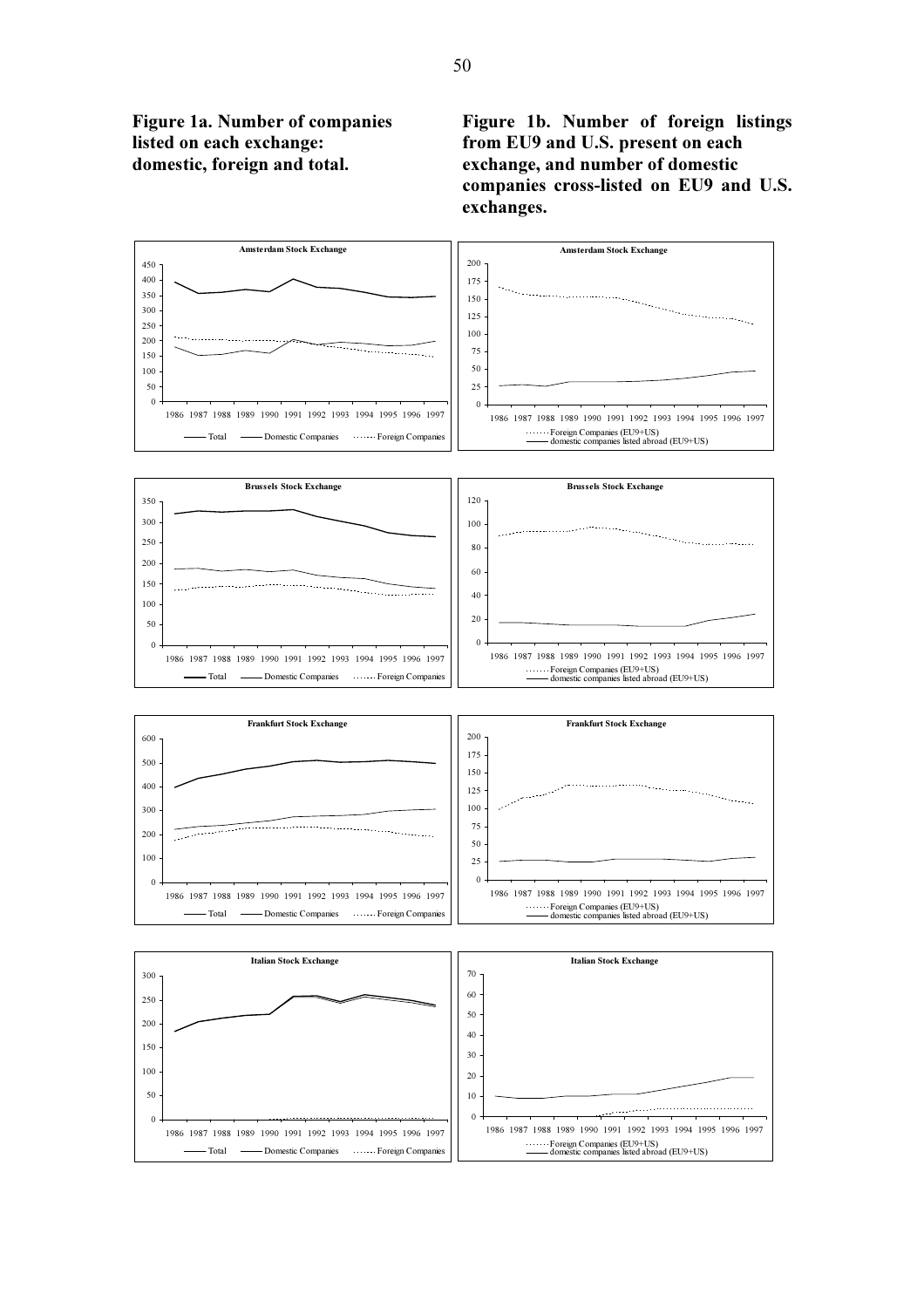Figure 1a. Number of companies Figure 1b. Number of foreign listings listed on each exchange: from EU9 and U.S. present on each domestic, foreign and total. exchange, and number of domestic companies cross-listed on EU9 and U.S. exchanges.





![](_page_50_Figure_4.jpeg)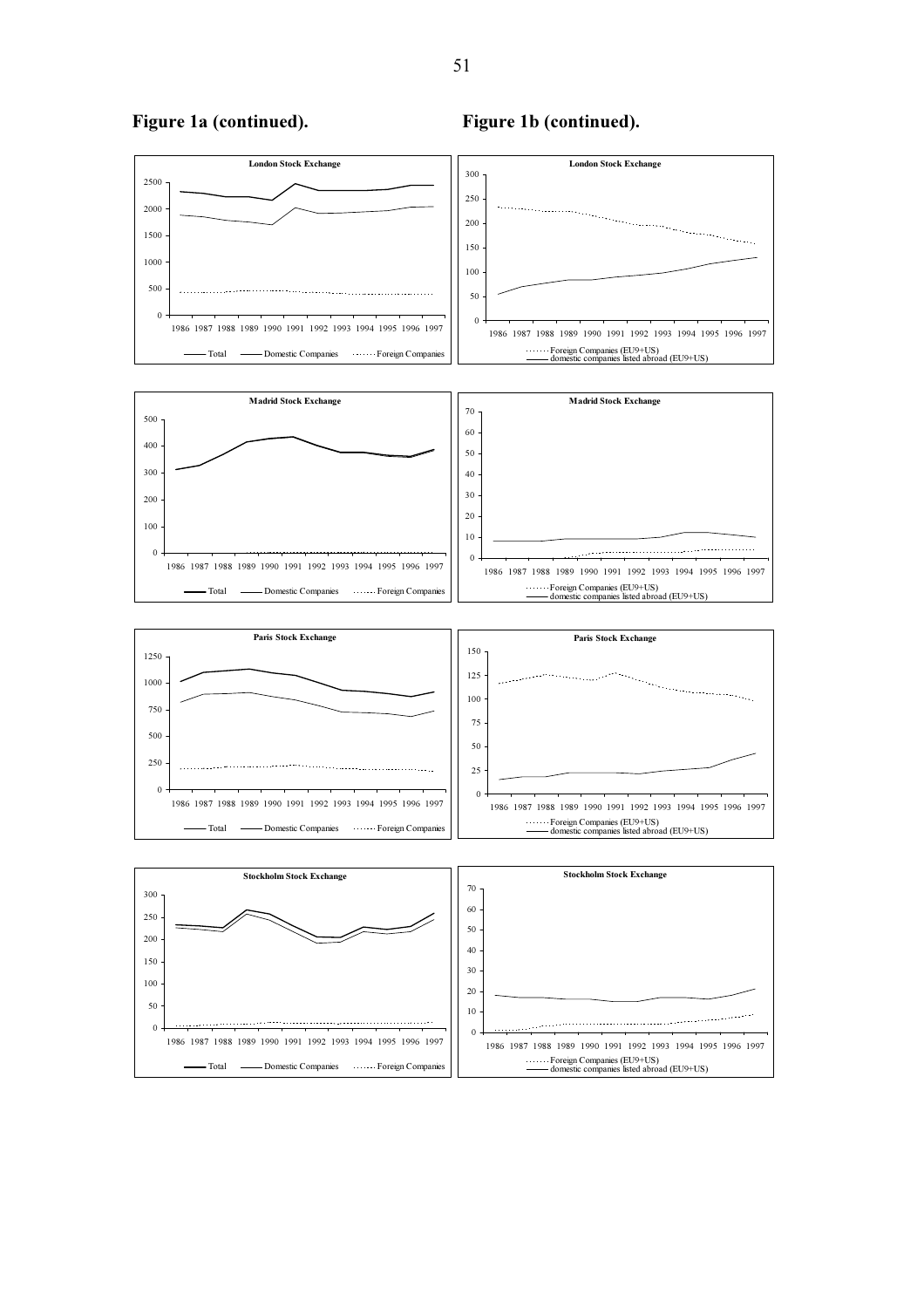![](_page_51_Figure_0.jpeg)

### Figure 1a (continued). Figure 1b (continued).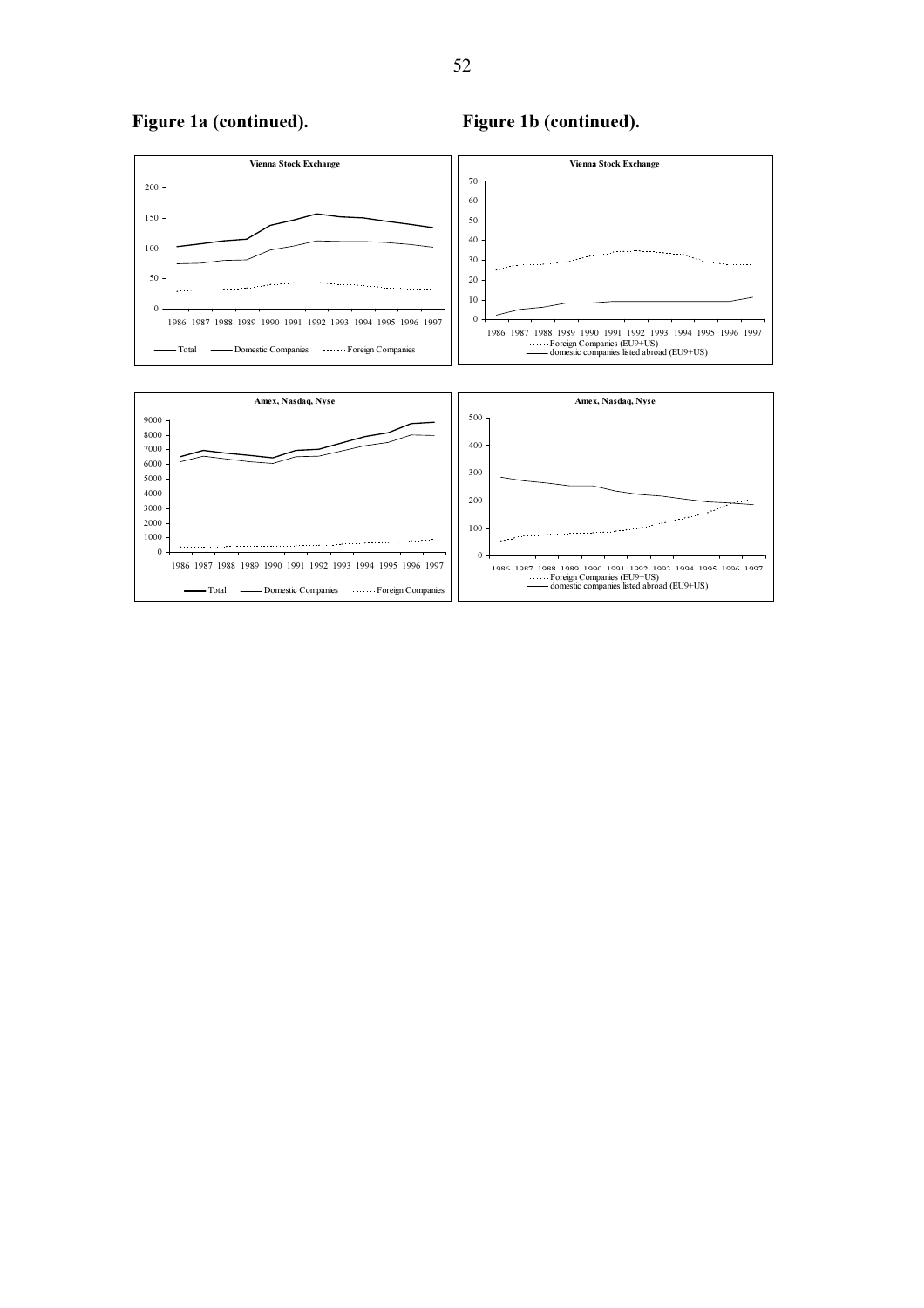![](_page_52_Figure_1.jpeg)

# Figure 1a (continued). Figure 1b (continued).